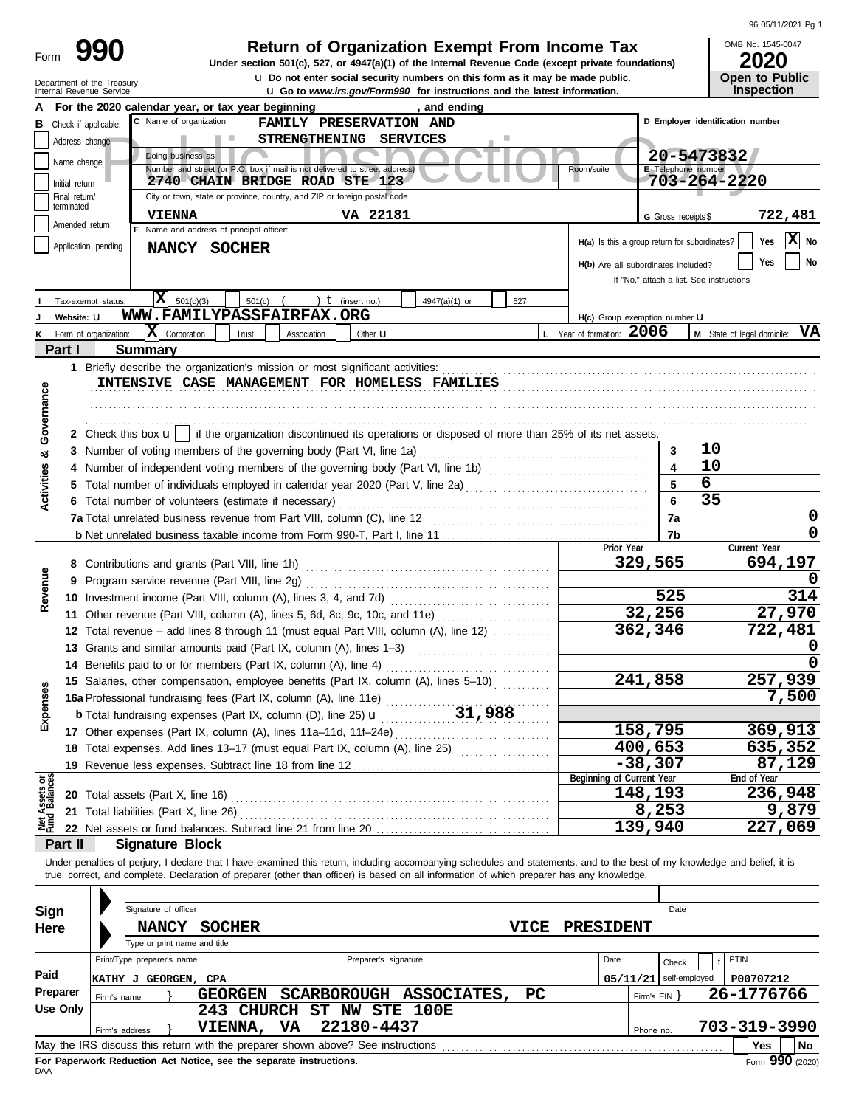| Form | ľ |
|------|---|
|      |   |

# **990 2020 2010 2020 2020 2020 2020 2020 2020 2020 2020 2020 2020 2020 2020 2020**

**u** Do not enter social security numbers on this form as it may be made public. **Open to Public** 

96 05/11/2021 Pg 1

OMB No. 1545-0047

|                                                                                                                                                               |                                                                                            | Department of the Treasury<br>Internal Revenue Service |                                                                  |                                                 |                                                                                 |  |                      | Q Do not enter social security numbers on this form as it may be made public.<br><b>u</b> Go to www.irs.gov/Form990 for instructions and the latest information.           |             |                                               |                     |                                  | Open to Public<br><b>Inspection</b>             |
|---------------------------------------------------------------------------------------------------------------------------------------------------------------|--------------------------------------------------------------------------------------------|--------------------------------------------------------|------------------------------------------------------------------|-------------------------------------------------|---------------------------------------------------------------------------------|--|----------------------|----------------------------------------------------------------------------------------------------------------------------------------------------------------------------|-------------|-----------------------------------------------|---------------------|----------------------------------|-------------------------------------------------|
|                                                                                                                                                               |                                                                                            |                                                        |                                                                  |                                                 | For the 2020 calendar year, or tax year beginning                               |  |                      | and ending                                                                                                                                                                 |             |                                               |                     |                                  |                                                 |
|                                                                                                                                                               | <b>B</b> Check if applicable:                                                              |                                                        |                                                                  | C Name of organization                          | FAMILY PRESERVATION AND                                                         |  |                      |                                                                                                                                                                            |             |                                               |                     | D Employer identification number |                                                 |
|                                                                                                                                                               |                                                                                            | STRENGTHENING SERVICES<br>Address change<br>n a        |                                                                  |                                                 |                                                                                 |  |                      |                                                                                                                                                                            |             |                                               |                     |                                  |                                                 |
|                                                                                                                                                               | Name change                                                                                |                                                        |                                                                  | Doing business as                               |                                                                                 |  |                      |                                                                                                                                                                            |             |                                               |                     | 20-5473832                       |                                                 |
|                                                                                                                                                               |                                                                                            |                                                        |                                                                  |                                                 | Number and street (or P.O. box if mail is not delivered to street address)      |  |                      |                                                                                                                                                                            |             | Room/suite                                    | E Telephone number  |                                  |                                                 |
| 703-264-2220<br>2740 CHAIN BRIDGE ROAD STE 123<br>Initial return<br>City or town, state or province, country, and ZIP or foreign postal code<br>Final return/ |                                                                                            |                                                        |                                                                  |                                                 |                                                                                 |  |                      |                                                                                                                                                                            |             |                                               |                     |                                  |                                                 |
|                                                                                                                                                               | terminated<br>VA 22181<br><b>VIENNA</b>                                                    |                                                        |                                                                  |                                                 |                                                                                 |  |                      |                                                                                                                                                                            |             |                                               |                     |                                  |                                                 |
|                                                                                                                                                               | Amended return                                                                             |                                                        |                                                                  | F Name and address of principal officer:        |                                                                                 |  |                      |                                                                                                                                                                            |             |                                               | G Gross receipts \$ |                                  | 722,481                                         |
|                                                                                                                                                               |                                                                                            | Application pending                                    |                                                                  |                                                 |                                                                                 |  |                      |                                                                                                                                                                            |             | H(a) Is this a group return for subordinates? |                     |                                  | X No<br>Yes                                     |
|                                                                                                                                                               | NANCY SOCHER<br>Yes<br>No<br>H(b) Are all subordinates included?                           |                                                        |                                                                  |                                                 |                                                                                 |  |                      |                                                                                                                                                                            |             |                                               |                     |                                  |                                                 |
|                                                                                                                                                               |                                                                                            |                                                        |                                                                  |                                                 |                                                                                 |  |                      |                                                                                                                                                                            |             |                                               |                     |                                  |                                                 |
|                                                                                                                                                               | If "No," attach a list. See instructions<br>IХ<br>) $t$ (insert no.)<br>Tax-exempt status: |                                                        |                                                                  |                                                 |                                                                                 |  |                      |                                                                                                                                                                            |             |                                               |                     |                                  |                                                 |
|                                                                                                                                                               | Website: U                                                                                 |                                                        |                                                                  | 501(c)(3)                                       | 501(c)<br>WWW.FAMILYPASSFAIRFAX.ORG                                             |  |                      | 4947(a)(1) or                                                                                                                                                              | 527         | H(c) Group exemption number U                 |                     |                                  |                                                 |
| ĸ                                                                                                                                                             |                                                                                            | Form of organization:                                  | $ \mathbf{X} $ Corporation                                       |                                                 | Trust<br>Association                                                            |  | Other $\mathbf u$    |                                                                                                                                                                            |             | L Year of formation: 2006                     |                     |                                  | <b>M</b> State of legal domicile: $\mathbf{VA}$ |
|                                                                                                                                                               | Part I                                                                                     |                                                        | <b>Summary</b>                                                   |                                                 |                                                                                 |  |                      |                                                                                                                                                                            |             |                                               |                     |                                  |                                                 |
|                                                                                                                                                               |                                                                                            |                                                        |                                                                  |                                                 | 1 Briefly describe the organization's mission or most significant activities:   |  |                      |                                                                                                                                                                            |             |                                               |                     |                                  |                                                 |
|                                                                                                                                                               |                                                                                            |                                                        |                                                                  |                                                 | INTENSIVE CASE MANAGEMENT FOR HOMELESS FAMILIES                                 |  |                      |                                                                                                                                                                            |             |                                               |                     |                                  |                                                 |
|                                                                                                                                                               |                                                                                            |                                                        |                                                                  |                                                 |                                                                                 |  |                      |                                                                                                                                                                            |             |                                               |                     |                                  |                                                 |
| Governance                                                                                                                                                    |                                                                                            |                                                        |                                                                  |                                                 |                                                                                 |  |                      |                                                                                                                                                                            |             |                                               |                     |                                  |                                                 |
|                                                                                                                                                               |                                                                                            |                                                        |                                                                  |                                                 |                                                                                 |  |                      | 2 Check this box $\mathbf{u}$   if the organization discontinued its operations or disposed of more than 25% of its net assets.                                            |             |                                               |                     |                                  |                                                 |
| ಯ                                                                                                                                                             |                                                                                            |                                                        |                                                                  |                                                 | 3 Number of voting members of the governing body (Part VI, line 1a)             |  |                      |                                                                                                                                                                            |             |                                               | 3                   | 10                               |                                                 |
|                                                                                                                                                               | 4                                                                                          |                                                        |                                                                  |                                                 |                                                                                 |  |                      |                                                                                                                                                                            |             |                                               | 4                   | 10                               |                                                 |
|                                                                                                                                                               | 5                                                                                          |                                                        |                                                                  |                                                 |                                                                                 |  |                      | Total number of individuals employed in calendar year 2020 (Part V, line 2a) [[[[[[[[[[[[[[[[[[[[[[[[[[[[[[[[                                                              |             |                                               | 5                   | 6                                |                                                 |
| Activities                                                                                                                                                    |                                                                                            |                                                        |                                                                  |                                                 | 6 Total number of volunteers (estimate if necessary)                            |  |                      |                                                                                                                                                                            |             |                                               | 6                   | 35                               |                                                 |
|                                                                                                                                                               |                                                                                            |                                                        |                                                                  |                                                 |                                                                                 |  |                      |                                                                                                                                                                            |             |                                               | 7a                  |                                  | 0                                               |
|                                                                                                                                                               |                                                                                            |                                                        |                                                                  |                                                 |                                                                                 |  |                      |                                                                                                                                                                            |             |                                               | 7b                  |                                  | 0                                               |
|                                                                                                                                                               |                                                                                            |                                                        |                                                                  |                                                 |                                                                                 |  |                      |                                                                                                                                                                            |             | Prior Year                                    |                     |                                  | Current Year                                    |
|                                                                                                                                                               |                                                                                            |                                                        |                                                                  | 8 Contributions and grants (Part VIII, line 1h) |                                                                                 |  |                      |                                                                                                                                                                            |             |                                               | 329,565             |                                  | 694,197                                         |
| Revenue                                                                                                                                                       | 9                                                                                          |                                                        |                                                                  | Program service revenue (Part VIII, line 2g)    |                                                                                 |  |                      |                                                                                                                                                                            |             |                                               |                     |                                  |                                                 |
|                                                                                                                                                               |                                                                                            |                                                        | 10 Investment income (Part VIII, column (A), lines 3, 4, and 7d) |                                                 |                                                                                 |  |                      |                                                                                                                                                                            |             |                                               | 525                 |                                  | 314                                             |
|                                                                                                                                                               |                                                                                            |                                                        |                                                                  |                                                 |                                                                                 |  |                      | 11 Other revenue (Part VIII, column (A), lines 5, 6d, 8c, 9c, 10c, and 11e)                                                                                                |             |                                               | 32,256              |                                  | 27,970                                          |
|                                                                                                                                                               |                                                                                            |                                                        |                                                                  |                                                 |                                                                                 |  |                      | 12 Total revenue - add lines 8 through 11 (must equal Part VIII, column (A), line 12)                                                                                      |             |                                               | 362,346             |                                  | 722,481                                         |
|                                                                                                                                                               |                                                                                            |                                                        |                                                                  |                                                 | 13 Grants and similar amounts paid (Part IX, column (A), lines 1-3)             |  |                      |                                                                                                                                                                            |             |                                               |                     |                                  |                                                 |
|                                                                                                                                                               |                                                                                            |                                                        |                                                                  |                                                 | 14 Benefits paid to or for members (Part IX, column (A), line 4)                |  |                      |                                                                                                                                                                            |             |                                               |                     |                                  |                                                 |
|                                                                                                                                                               |                                                                                            |                                                        |                                                                  |                                                 |                                                                                 |  |                      | 15 Salaries, other compensation, employee benefits (Part IX, column (A), lines 5-10)                                                                                       |             |                                               | 241,858             |                                  | 257,939                                         |
| nses                                                                                                                                                          |                                                                                            |                                                        |                                                                  |                                                 | 16a Professional fundraising fees (Part IX, column (A), line 11e)               |  |                      |                                                                                                                                                                            |             |                                               |                     |                                  | 7,500                                           |
| Exper                                                                                                                                                         |                                                                                            |                                                        |                                                                  |                                                 | <b>b</b> Total fundraising expenses (Part IX, column (D), line 25) $\mathbf{u}$ |  |                      | 31,988                                                                                                                                                                     |             |                                               |                     |                                  |                                                 |
|                                                                                                                                                               |                                                                                            |                                                        |                                                                  |                                                 | 17 Other expenses (Part IX, column (A), lines 11a-11d, 11f-24e)                 |  |                      |                                                                                                                                                                            |             |                                               | 158, 795            |                                  | 369,913                                         |
|                                                                                                                                                               |                                                                                            |                                                        |                                                                  |                                                 | 18 Total expenses. Add lines 13-17 (must equal Part IX, column (A), line 25)    |  |                      |                                                                                                                                                                            |             |                                               | 400,653             |                                  | 635,352                                         |
|                                                                                                                                                               |                                                                                            |                                                        |                                                                  |                                                 | 19 Revenue less expenses. Subtract line 18 from line 12                         |  |                      |                                                                                                                                                                            |             |                                               | $-38,307$           |                                  | 87,129                                          |
| Net Assets or<br>Fund Balances                                                                                                                                |                                                                                            |                                                        |                                                                  |                                                 |                                                                                 |  |                      |                                                                                                                                                                            |             | Beginning of Current Year                     | 148,193             |                                  | End of Year<br>236,948                          |
|                                                                                                                                                               |                                                                                            |                                                        |                                                                  | 20 Total assets (Part X, line 16)               |                                                                                 |  |                      |                                                                                                                                                                            |             |                                               | 8,253               |                                  | 9,879                                           |
|                                                                                                                                                               |                                                                                            |                                                        |                                                                  | 21 Total liabilities (Part X, line 26)          |                                                                                 |  |                      |                                                                                                                                                                            |             |                                               | 139,940             |                                  | 227,069                                         |
|                                                                                                                                                               | Part II                                                                                    |                                                        |                                                                  | <b>Signature Block</b>                          |                                                                                 |  |                      |                                                                                                                                                                            |             |                                               |                     |                                  |                                                 |
|                                                                                                                                                               |                                                                                            |                                                        |                                                                  |                                                 |                                                                                 |  |                      | Under penalties of perjury, I declare that I have examined this return, including accompanying schedules and statements, and to the best of my knowledge and belief, it is |             |                                               |                     |                                  |                                                 |
|                                                                                                                                                               |                                                                                            |                                                        |                                                                  |                                                 |                                                                                 |  |                      | true, correct, and complete. Declaration of preparer (other than officer) is based on all information of which preparer has any knowledge.                                 |             |                                               |                     |                                  |                                                 |
|                                                                                                                                                               |                                                                                            |                                                        |                                                                  |                                                 |                                                                                 |  |                      |                                                                                                                                                                            |             |                                               |                     |                                  |                                                 |
| Sign                                                                                                                                                          |                                                                                            |                                                        | Signature of officer                                             |                                                 |                                                                                 |  |                      |                                                                                                                                                                            |             |                                               | Date                |                                  |                                                 |
| Here                                                                                                                                                          |                                                                                            |                                                        | <b>NANCY</b>                                                     | <b>SOCHER</b>                                   |                                                                                 |  |                      |                                                                                                                                                                            | <b>VICE</b> | <b>PRESIDENT</b>                              |                     |                                  |                                                 |
|                                                                                                                                                               |                                                                                            |                                                        |                                                                  | Type or print name and title                    |                                                                                 |  |                      |                                                                                                                                                                            |             |                                               |                     |                                  |                                                 |
|                                                                                                                                                               |                                                                                            |                                                        | Print/Type preparer's name                                       |                                                 |                                                                                 |  | Preparer's signature |                                                                                                                                                                            |             | Date                                          | Check               | PTIN<br>if                       |                                                 |
| Paid                                                                                                                                                          |                                                                                            |                                                        |                                                                  | KATHY J GEORGEN, CPA                            |                                                                                 |  |                      |                                                                                                                                                                            |             | 05/11/21                                      | self-employed       |                                  | P00707212                                       |
|                                                                                                                                                               | Preparer                                                                                   | Firm's name                                            |                                                                  | <b>GEORGEN</b>                                  |                                                                                 |  |                      | SCARBOROUGH ASSOCIATES,                                                                                                                                                    | PC          |                                               | Firm's $EIN$ }      |                                  | 26-1776766                                      |
|                                                                                                                                                               | <b>Use Only</b>                                                                            |                                                        |                                                                  |                                                 | 243 CHURCH ST NW STE 100E                                                       |  |                      |                                                                                                                                                                            |             |                                               |                     |                                  |                                                 |
|                                                                                                                                                               |                                                                                            | Firm's address                                         |                                                                  | VIENNA,                                         | VA                                                                              |  | 22180-4437           |                                                                                                                                                                            |             |                                               | Phone no.           |                                  | 703-319-3990                                    |
|                                                                                                                                                               |                                                                                            |                                                        |                                                                  |                                                 | May the IRS discuss this return with the preparer shown above? See instructions |  |                      |                                                                                                                                                                            |             |                                               |                     |                                  | Yes<br>No                                       |

| Sign     |                                                                                              | Signature of officer         |                                                                    |           |                         |      |                  |              | Date          |                 |  |
|----------|----------------------------------------------------------------------------------------------|------------------------------|--------------------------------------------------------------------|-----------|-------------------------|------|------------------|--------------|---------------|-----------------|--|
| Here     |                                                                                              | <b>NANCY</b>                 | <b>SOCHER</b>                                                      |           |                         | VICE | <b>PRESIDENT</b> |              |               |                 |  |
|          |                                                                                              | Type or print name and title |                                                                    |           |                         |      |                  |              |               |                 |  |
|          |                                                                                              | Print/Type preparer's name   |                                                                    |           | Preparer's signature    |      | Date             |              | Check         | PTIN            |  |
| Paid     | KATIIY J                                                                                     | GEORGEN, CPA                 |                                                                    |           |                         |      |                  | 05/11/21     | self-employed | P00707212       |  |
| Preparer |                                                                                              | Firm's name                  | <b>GEORGEN</b>                                                     |           | SCARBOROUGH ASSOCIATES, | PC.  |                  | Firm's $EIN$ |               | 26-1776766      |  |
| Use Only |                                                                                              |                              | 243                                                                | CHURCH ST | <b>NW STE 100E</b>      |      |                  |              |               |                 |  |
|          |                                                                                              | Firm's address               | <b>VIENNA,</b>                                                     | VA.       | 22180-4437              |      |                  | Phone no.    |               | 703-319-3990    |  |
|          | May the IRS discuss this return with the preparer shown above? See instructions<br>No<br>Yes |                              |                                                                    |           |                         |      |                  |              |               |                 |  |
| DAA      |                                                                                              |                              | For Paperwork Reduction Act Notice, see the separate instructions. |           |                         |      |                  |              |               | Form 990 (2020) |  |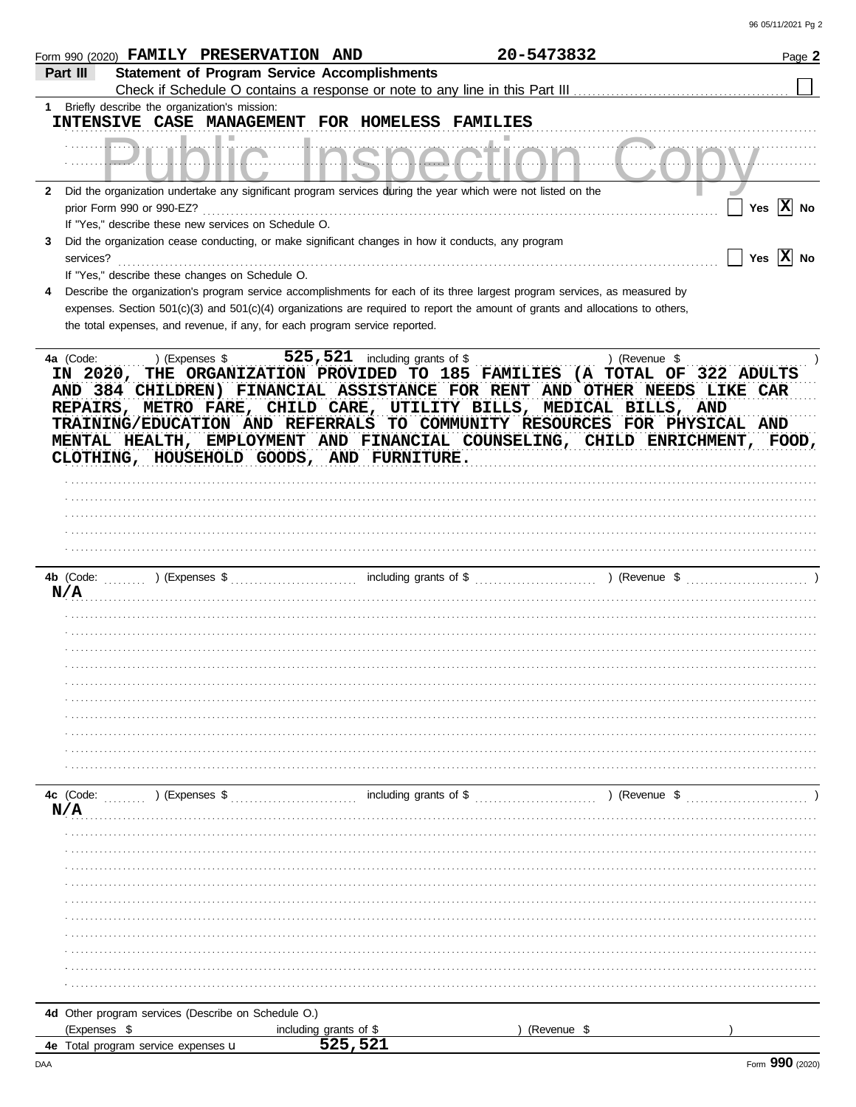|              | Form 990 (2020) FAMILY PRESERVATION AND                                                                                                                                                                                                                                                                                                                |                                   | 20-5473832             |               | Page 2                |
|--------------|--------------------------------------------------------------------------------------------------------------------------------------------------------------------------------------------------------------------------------------------------------------------------------------------------------------------------------------------------------|-----------------------------------|------------------------|---------------|-----------------------|
| Part III     | <b>Statement of Program Service Accomplishments</b>                                                                                                                                                                                                                                                                                                    |                                   |                        |               |                       |
| $1 \quad$    | Briefly describe the organization's mission:<br>INTENSIVE CASE MANAGEMENT FOR HOMELESS FAMILIES                                                                                                                                                                                                                                                        |                                   |                        |               |                       |
|              | ш                                                                                                                                                                                                                                                                                                                                                      |                                   |                        |               |                       |
| $\mathbf{2}$ | Did the organization undertake any significant program services during the year which were not listed on the<br>prior Form 990 or 990-EZ?                                                                                                                                                                                                              |                                   |                        |               | Yes $ X $ No          |
|              | If "Yes," describe these new services on Schedule O.                                                                                                                                                                                                                                                                                                   |                                   |                        |               |                       |
| 3            | Did the organization cease conducting, or make significant changes in how it conducts, any program<br>services?<br>If "Yes," describe these changes on Schedule O.                                                                                                                                                                                     |                                   |                        |               | Yes $ \mathbf{X} $ No |
| 4            | Describe the organization's program service accomplishments for each of its three largest program services, as measured by                                                                                                                                                                                                                             |                                   |                        |               |                       |
|              | expenses. Section 501(c)(3) and 501(c)(4) organizations are required to report the amount of grants and allocations to others,                                                                                                                                                                                                                         |                                   |                        |               |                       |
|              | the total expenses, and revenue, if any, for each program service reported.                                                                                                                                                                                                                                                                            |                                   |                        |               |                       |
|              | AND 384 CHILDREN) FINANCIAL ASSISTANCE FOR RENT AND OTHER NEEDS LIKE CAR<br>REPAIRS, METRO FARE, CHILD CARE, UTILITY BILLS, MEDICAL BILLS, AND<br>TRAINING/EDUCATION AND REFERRALS TO COMMUNITY RESOURCES FOR PHYSICAL AND<br>MENTAL HEALTH, EMPLOYMENT AND FINANCIAL COUNSELING, CHILD ENRICHMENT, FOOD,<br>CLOTHING, HOUSEHOLD GOODS, AND FURNITURE. |                                   |                        |               |                       |
|              |                                                                                                                                                                                                                                                                                                                                                        |                                   |                        |               |                       |
|              |                                                                                                                                                                                                                                                                                                                                                        |                                   |                        |               |                       |
|              | 4b (Code:<br>) (Expenses $\frac{1}{2}$ (Expenses $\frac{1}{2}$ )                                                                                                                                                                                                                                                                                       |                                   |                        |               |                       |
| N/A          |                                                                                                                                                                                                                                                                                                                                                        |                                   |                        |               |                       |
|              |                                                                                                                                                                                                                                                                                                                                                        |                                   |                        |               |                       |
|              |                                                                                                                                                                                                                                                                                                                                                        |                                   |                        |               |                       |
|              |                                                                                                                                                                                                                                                                                                                                                        |                                   |                        |               |                       |
|              |                                                                                                                                                                                                                                                                                                                                                        |                                   |                        |               |                       |
|              |                                                                                                                                                                                                                                                                                                                                                        |                                   |                        |               |                       |
|              |                                                                                                                                                                                                                                                                                                                                                        |                                   |                        |               |                       |
|              |                                                                                                                                                                                                                                                                                                                                                        |                                   |                        |               |                       |
|              |                                                                                                                                                                                                                                                                                                                                                        |                                   |                        |               |                       |
|              |                                                                                                                                                                                                                                                                                                                                                        |                                   |                        |               |                       |
|              |                                                                                                                                                                                                                                                                                                                                                        |                                   |                        |               |                       |
|              | 4c (Code:<br>) (Expenses \$                                                                                                                                                                                                                                                                                                                            |                                   | including grants of \$ | ) (Revenue \$ |                       |
| N/A          |                                                                                                                                                                                                                                                                                                                                                        |                                   |                        |               |                       |
|              |                                                                                                                                                                                                                                                                                                                                                        |                                   |                        |               |                       |
|              |                                                                                                                                                                                                                                                                                                                                                        |                                   |                        |               |                       |
|              |                                                                                                                                                                                                                                                                                                                                                        |                                   |                        |               |                       |
|              |                                                                                                                                                                                                                                                                                                                                                        |                                   |                        |               |                       |
|              |                                                                                                                                                                                                                                                                                                                                                        |                                   |                        |               |                       |
|              |                                                                                                                                                                                                                                                                                                                                                        |                                   |                        |               |                       |
|              |                                                                                                                                                                                                                                                                                                                                                        |                                   |                        |               |                       |
|              |                                                                                                                                                                                                                                                                                                                                                        |                                   |                        |               |                       |
|              |                                                                                                                                                                                                                                                                                                                                                        |                                   |                        |               |                       |
|              |                                                                                                                                                                                                                                                                                                                                                        |                                   |                        |               |                       |
|              | 4d Other program services (Describe on Schedule O.)                                                                                                                                                                                                                                                                                                    |                                   |                        |               |                       |
|              | (Expenses \$                                                                                                                                                                                                                                                                                                                                           | including grants of \$<br>525,521 |                        | (Revenue \$   |                       |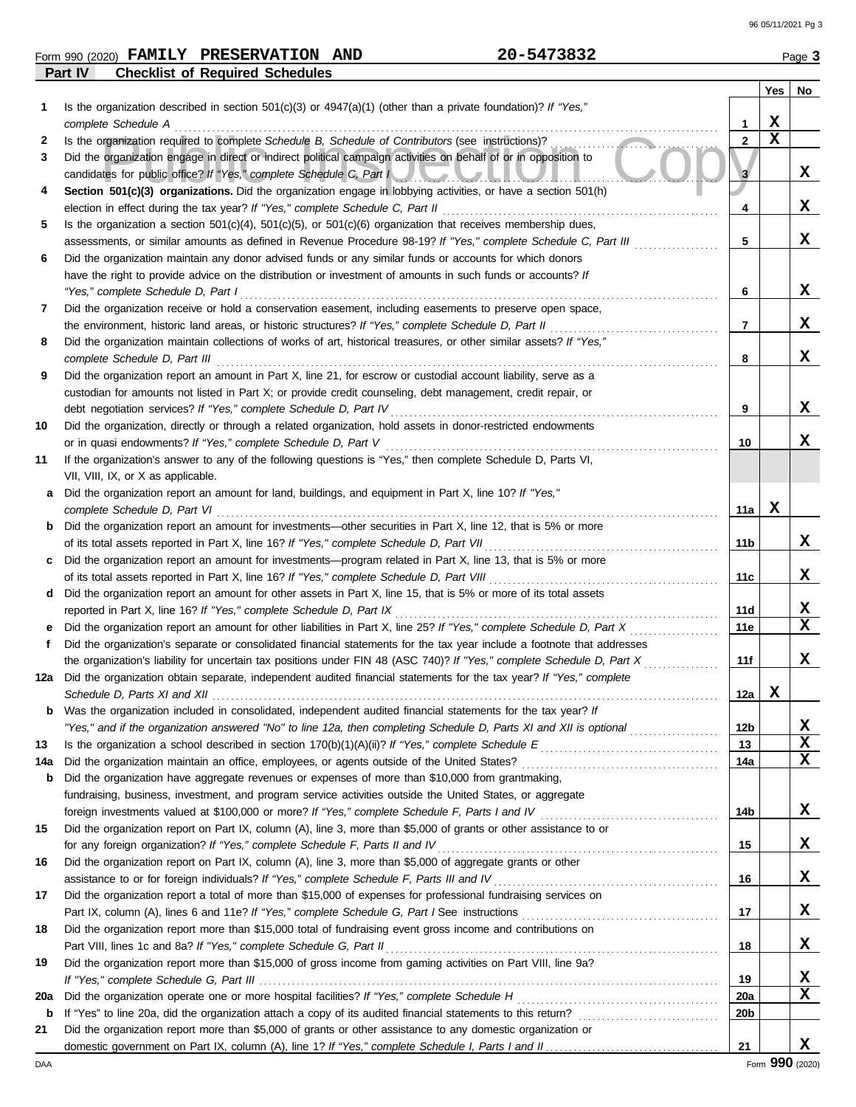| Form 990 (2020) | <b>FAMILY</b> | <b>PRESERVATION</b>                    | <b>AND</b> | 20-5473832 | Page 3 |
|-----------------|---------------|----------------------------------------|------------|------------|--------|
| Part IV         |               | <b>Checklist of Required Schedules</b> |            |            |        |

|             |                                                                                                                                                                                                                              |                 | Yes         | No     |
|-------------|------------------------------------------------------------------------------------------------------------------------------------------------------------------------------------------------------------------------------|-----------------|-------------|--------|
|             | Is the organization described in section $501(c)(3)$ or $4947(a)(1)$ (other than a private foundation)? If "Yes,"                                                                                                            |                 |             |        |
|             | complete Schedule A                                                                                                                                                                                                          | 1               | X           |        |
| 2           | Is the organization required to complete Schedule B, Schedule of Contributors (see instructions)?                                                                                                                            | $\overline{2}$  | $\mathbf x$ |        |
| 3           | Did the organization engage in direct or indirect political campaign activities on behalf of or in opposition to<br>candidates for public office? If "Yes," complete Schedule C, Part New York Contract of the C.            | 3               |             | X      |
| 4           | Section 501(c)(3) organizations. Did the organization engage in lobbying activities, or have a section 501(h)<br>election in effect during the tax year? If "Yes," complete Schedule C, Part II                              | 4               |             | X      |
| 5           | Is the organization a section $501(c)(4)$ , $501(c)(5)$ , or $501(c)(6)$ organization that receives membership dues,                                                                                                         |                 |             |        |
|             | assessments, or similar amounts as defined in Revenue Procedure 98-19? If "Yes," complete Schedule C, Part III                                                                                                               | 5               |             | X      |
| 6           | Did the organization maintain any donor advised funds or any similar funds or accounts for which donors                                                                                                                      |                 |             |        |
|             | have the right to provide advice on the distribution or investment of amounts in such funds or accounts? If                                                                                                                  |                 |             |        |
|             | "Yes," complete Schedule D, Part I                                                                                                                                                                                           | 6               |             | X      |
| 7           | Did the organization receive or hold a conservation easement, including easements to preserve open space,                                                                                                                    |                 |             |        |
|             | the environment, historic land areas, or historic structures? If "Yes," complete Schedule D, Part II                                                                                                                         | $\overline{7}$  |             | X      |
| 8           | Did the organization maintain collections of works of art, historical treasures, or other similar assets? If "Yes,"                                                                                                          |                 |             |        |
|             | complete Schedule D, Part III                                                                                                                                                                                                | 8               |             | x      |
| 9           | Did the organization report an amount in Part X, line 21, for escrow or custodial account liability, serve as a                                                                                                              |                 |             |        |
|             | custodian for amounts not listed in Part X; or provide credit counseling, debt management, credit repair, or                                                                                                                 |                 |             |        |
|             | debt negotiation services? If "Yes," complete Schedule D, Part IV                                                                                                                                                            | 9               |             | x      |
| 10          | Did the organization, directly or through a related organization, hold assets in donor-restricted endowments                                                                                                                 |                 |             |        |
|             | or in quasi endowments? If "Yes," complete Schedule D, Part V                                                                                                                                                                | 10              |             | x      |
| 11          | If the organization's answer to any of the following questions is "Yes," then complete Schedule D, Parts VI,                                                                                                                 |                 |             |        |
|             | VII, VIII, IX, or X as applicable.                                                                                                                                                                                           |                 |             |        |
| а           | Did the organization report an amount for land, buildings, and equipment in Part X, line 10? If "Yes,"                                                                                                                       |                 |             |        |
|             | complete Schedule D, Part VI                                                                                                                                                                                                 | 11a             | X           |        |
| b           | Did the organization report an amount for investments—other securities in Part X, line 12, that is 5% or more                                                                                                                |                 |             |        |
|             | of its total assets reported in Part X, line 16? If "Yes," complete Schedule D, Part VII                                                                                                                                     | 11 b            |             | X      |
| c           | Did the organization report an amount for investments—program related in Part X, line 13, that is 5% or more                                                                                                                 |                 |             |        |
|             | of its total assets reported in Part X, line 16? If "Yes," complete Schedule D, Part VIII                                                                                                                                    | 11c             |             | x      |
| d           | Did the organization report an amount for other assets in Part X, line 15, that is 5% or more of its total assets                                                                                                            |                 |             |        |
|             | reported in Part X, line 16? If "Yes," complete Schedule D, Part IX                                                                                                                                                          | 11d             |             | X      |
|             | Did the organization report an amount for other liabilities in Part X, line 25? If "Yes," complete Schedule D, Part X                                                                                                        | 11e             |             | X      |
| f           | Did the organization's separate or consolidated financial statements for the tax year include a footnote that addresses                                                                                                      |                 |             |        |
|             | the organization's liability for uncertain tax positions under FIN 48 (ASC 740)? If "Yes," complete Schedule D, Part X                                                                                                       | 11f             |             | x      |
|             | 12a Did the organization obtain separate, independent audited financial statements for the tax year? If "Yes," complete                                                                                                      |                 |             |        |
|             |                                                                                                                                                                                                                              | 12a             | X           |        |
|             | Was the organization included in consolidated, independent audited financial statements for the tax year? If                                                                                                                 |                 |             |        |
|             | "Yes," and if the organization answered "No" to line 12a, then completing Schedule D, Parts XI and XII is optional                                                                                                           | 12b             |             | X<br>X |
| 13          |                                                                                                                                                                                                                              | 13              |             | X      |
| 14a         | Did the organization maintain an office, employees, or agents outside of the United States?                                                                                                                                  | 14a             |             |        |
| b           | Did the organization have aggregate revenues or expenses of more than \$10,000 from grantmaking,                                                                                                                             |                 |             |        |
|             | fundraising, business, investment, and program service activities outside the United States, or aggregate<br>foreign investments valued at \$100,000 or more? If "Yes," complete Schedule F, Parts I and IV [[[[[[[[[[[[[[[[ | 14b             |             | X      |
| 15          | Did the organization report on Part IX, column (A), line 3, more than \$5,000 of grants or other assistance to or                                                                                                            |                 |             |        |
|             | for any foreign organization? If "Yes," complete Schedule F, Parts II and IV                                                                                                                                                 | 15              |             | X      |
| 16          | Did the organization report on Part IX, column (A), line 3, more than \$5,000 of aggregate grants or other                                                                                                                   |                 |             |        |
|             | assistance to or for foreign individuals? If "Yes," complete Schedule F, Parts III and IV                                                                                                                                    | 16              |             | X      |
| 17          | Did the organization report a total of more than \$15,000 of expenses for professional fundraising services on                                                                                                               |                 |             |        |
|             |                                                                                                                                                                                                                              | 17              |             | X      |
| 18          | Did the organization report more than \$15,000 total of fundraising event gross income and contributions on                                                                                                                  |                 |             |        |
|             | Part VIII, lines 1c and 8a? If "Yes," complete Schedule G, Part II                                                                                                                                                           | 18              |             | X      |
| 19          | Did the organization report more than \$15,000 of gross income from gaming activities on Part VIII, line 9a?                                                                                                                 |                 |             |        |
|             |                                                                                                                                                                                                                              | 19              |             | x      |
| 20a         | Did the organization operate one or more hospital facilities? If "Yes," complete Schedule H                                                                                                                                  | 20a             |             | х      |
| $\mathbf b$ | If "Yes" to line 20a, did the organization attach a copy of its audited financial statements to this return?                                                                                                                 | 20 <sub>b</sub> |             |        |
| 21          | Did the organization report more than \$5,000 of grants or other assistance to any domestic organization or                                                                                                                  |                 |             |        |
|             |                                                                                                                                                                                                                              | 21              |             | x      |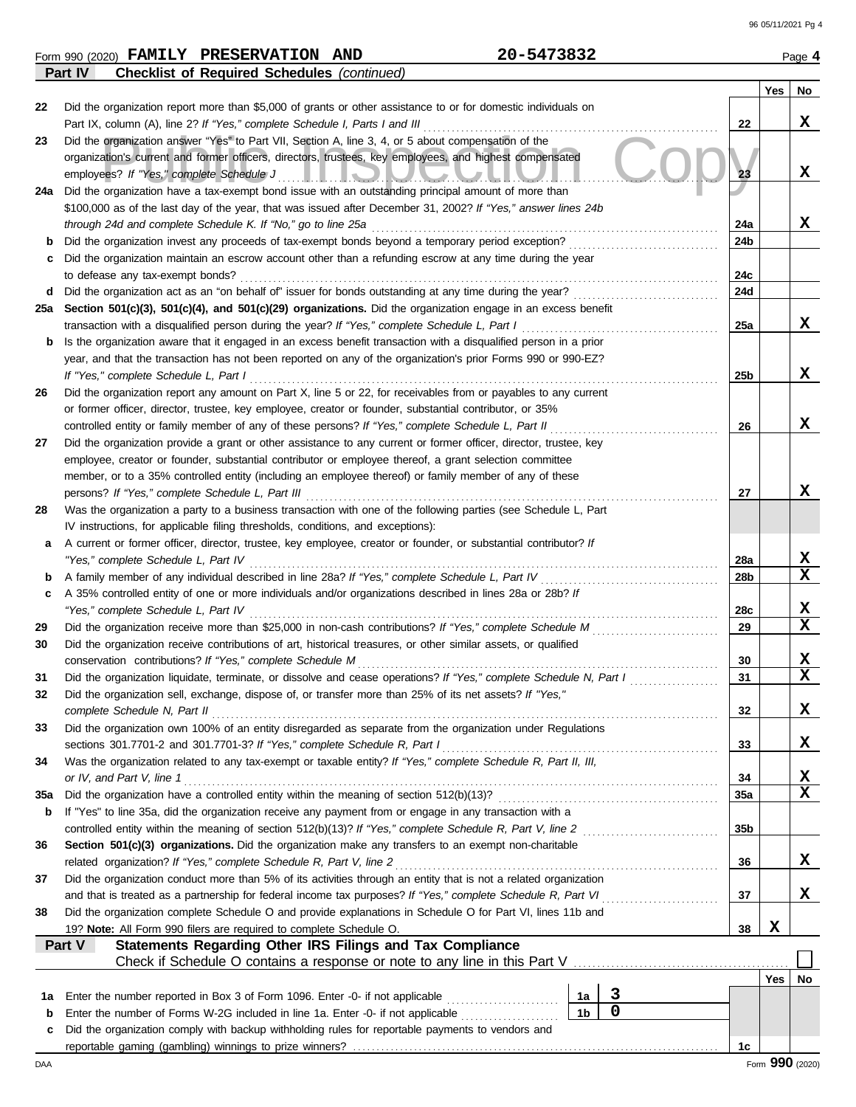**Yes No**

 $\sqrt{ }$ 

| Form 990 (2020) $\textbf{FAMILY}$ | <b>PRESERVATION</b>                                | <b>AND</b> | 73832<br>20–547 | Page |
|-----------------------------------|----------------------------------------------------|------------|-----------------|------|
| Part IV                           | <b>Checklist of Required Schedules (continued)</b> |            |                 |      |

| 22       | Did the organization report more than \$5,000 of grants or other assistance to or for domestic individuals on                                                                                                              |                 |     |                              |  |  |  |  |  |  |
|----------|----------------------------------------------------------------------------------------------------------------------------------------------------------------------------------------------------------------------------|-----------------|-----|------------------------------|--|--|--|--|--|--|
|          | Part IX, column (A), line 2? If "Yes," complete Schedule I, Parts I and III                                                                                                                                                | 22              |     | x                            |  |  |  |  |  |  |
| 23       | Did the organization answer "Yes" to Part VII, Section A, line 3, 4, or 5 about compensation of the                                                                                                                        |                 |     |                              |  |  |  |  |  |  |
|          | organization's current and former officers, directors, trustees, key employees, and highest compensated                                                                                                                    | 23              |     | x                            |  |  |  |  |  |  |
| 24a      | employees? If "Yes," complete Schedule J<br><u> HEROIOUA ALITU</u><br>Did the organization have a tax-exempt bond issue with an outstanding principal amount of more than                                                  |                 |     |                              |  |  |  |  |  |  |
|          | \$100,000 as of the last day of the year, that was issued after December 31, 2002? If "Yes," answer lines 24b                                                                                                              |                 |     |                              |  |  |  |  |  |  |
|          | through 24d and complete Schedule K. If "No," go to line 25a                                                                                                                                                               | 24a             |     | x                            |  |  |  |  |  |  |
| b        | Did the organization invest any proceeds of tax-exempt bonds beyond a temporary period exception?                                                                                                                          | 24b             |     |                              |  |  |  |  |  |  |
|          | Did the organization maintain an escrow account other than a refunding escrow at any time during the year                                                                                                                  |                 |     |                              |  |  |  |  |  |  |
|          | to defease any tax-exempt bonds?                                                                                                                                                                                           |                 |     |                              |  |  |  |  |  |  |
| d        | Did the organization act as an "on behalf of" issuer for bonds outstanding at any time during the year?                                                                                                                    | 24c<br>24d      |     |                              |  |  |  |  |  |  |
| 25a      | Section 501(c)(3), 501(c)(4), and 501(c)(29) organizations. Did the organization engage in an excess benefit                                                                                                               |                 |     |                              |  |  |  |  |  |  |
|          | transaction with a disqualified person during the year? If "Yes," complete Schedule L, Part I                                                                                                                              | 25a             |     | x                            |  |  |  |  |  |  |
| b        | Is the organization aware that it engaged in an excess benefit transaction with a disqualified person in a prior                                                                                                           |                 |     |                              |  |  |  |  |  |  |
|          | year, and that the transaction has not been reported on any of the organization's prior Forms 990 or 990-EZ?                                                                                                               |                 |     |                              |  |  |  |  |  |  |
|          | If "Yes," complete Schedule L, Part I                                                                                                                                                                                      | 25 <sub>b</sub> |     | x                            |  |  |  |  |  |  |
| 26       | Did the organization report any amount on Part X, line 5 or 22, for receivables from or payables to any current                                                                                                            |                 |     |                              |  |  |  |  |  |  |
|          | or former officer, director, trustee, key employee, creator or founder, substantial contributor, or 35%                                                                                                                    |                 |     |                              |  |  |  |  |  |  |
|          | controlled entity or family member of any of these persons? If "Yes," complete Schedule L, Part II                                                                                                                         | 26              |     | x                            |  |  |  |  |  |  |
| 27       | Did the organization provide a grant or other assistance to any current or former officer, director, trustee, key                                                                                                          |                 |     |                              |  |  |  |  |  |  |
|          | employee, creator or founder, substantial contributor or employee thereof, a grant selection committee                                                                                                                     |                 |     |                              |  |  |  |  |  |  |
|          | member, or to a 35% controlled entity (including an employee thereof) or family member of any of these                                                                                                                     |                 |     |                              |  |  |  |  |  |  |
|          | persons? If "Yes," complete Schedule L, Part III                                                                                                                                                                           | 27              |     | x                            |  |  |  |  |  |  |
| 28       | Was the organization a party to a business transaction with one of the following parties (see Schedule L, Part                                                                                                             |                 |     |                              |  |  |  |  |  |  |
|          | IV instructions, for applicable filing thresholds, conditions, and exceptions):                                                                                                                                            |                 |     |                              |  |  |  |  |  |  |
| а        | A current or former officer, director, trustee, key employee, creator or founder, or substantial contributor? If                                                                                                           |                 |     |                              |  |  |  |  |  |  |
|          | "Yes," complete Schedule L, Part IV                                                                                                                                                                                        |                 |     |                              |  |  |  |  |  |  |
|          | A family member of any individual described in line 28a? If "Yes," complete Schedule L, Part IV<br>28 <sub>b</sub>                                                                                                         |                 |     |                              |  |  |  |  |  |  |
| c        | A 35% controlled entity of one or more individuals and/or organizations described in lines 28a or 28b? If                                                                                                                  |                 |     |                              |  |  |  |  |  |  |
|          | "Yes," complete Schedule L, Part IV                                                                                                                                                                                        | 28c<br>29       |     | X<br>$\overline{\mathbf{x}}$ |  |  |  |  |  |  |
| 29<br>30 | Did the organization receive more than \$25,000 in non-cash contributions? If "Yes," complete Schedule M<br>Did the organization receive contributions of art, historical treasures, or other similar assets, or qualified |                 |     |                              |  |  |  |  |  |  |
|          | conservation contributions? If "Yes," complete Schedule M                                                                                                                                                                  | 30              |     | X                            |  |  |  |  |  |  |
| 31       | Did the organization liquidate, terminate, or dissolve and cease operations? If "Yes," complete Schedule N, Part I                                                                                                         | 31              |     | $\overline{\mathbf{x}}$      |  |  |  |  |  |  |
| 32       | Did the organization sell, exchange, dispose of, or transfer more than 25% of its net assets? If "Yes,"                                                                                                                    |                 |     |                              |  |  |  |  |  |  |
|          | complete Schedule N, Part II                                                                                                                                                                                               | 32              |     | X                            |  |  |  |  |  |  |
| 33       | Did the organization own 100% of an entity disregarded as separate from the organization under Regulations                                                                                                                 |                 |     |                              |  |  |  |  |  |  |
|          | sections 301.7701-2 and 301.7701-3? If "Yes," complete Schedule R, Part I                                                                                                                                                  | 33              |     | x                            |  |  |  |  |  |  |
| 34       | Was the organization related to any tax-exempt or taxable entity? If "Yes," complete Schedule R, Part II, III,                                                                                                             |                 |     |                              |  |  |  |  |  |  |
|          | or IV, and Part V, line 1                                                                                                                                                                                                  | 34              |     | X                            |  |  |  |  |  |  |
| 35a      |                                                                                                                                                                                                                            | 35a             |     | $\overline{\mathbf{x}}$      |  |  |  |  |  |  |
| b        | If "Yes" to line 35a, did the organization receive any payment from or engage in any transaction with a                                                                                                                    |                 |     |                              |  |  |  |  |  |  |
|          | controlled entity within the meaning of section 512(b)(13)? If "Yes," complete Schedule R, Part V, line 2                                                                                                                  | 35 <sub>b</sub> |     |                              |  |  |  |  |  |  |
| 36       | Section 501(c)(3) organizations. Did the organization make any transfers to an exempt non-charitable                                                                                                                       |                 |     |                              |  |  |  |  |  |  |
|          | related organization? If "Yes," complete Schedule R, Part V, line 2                                                                                                                                                        | 36              |     | x                            |  |  |  |  |  |  |
| 37       | Did the organization conduct more than 5% of its activities through an entity that is not a related organization                                                                                                           |                 |     |                              |  |  |  |  |  |  |
|          | and that is treated as a partnership for federal income tax purposes? If "Yes," complete Schedule R, Part VI                                                                                                               | 37              |     | x                            |  |  |  |  |  |  |
| 38       | Did the organization complete Schedule O and provide explanations in Schedule O for Part VI, lines 11b and                                                                                                                 |                 |     |                              |  |  |  |  |  |  |
|          | 19? Note: All Form 990 filers are required to complete Schedule O.                                                                                                                                                         | 38              | X   |                              |  |  |  |  |  |  |
|          | Statements Regarding Other IRS Filings and Tax Compliance<br>Part V                                                                                                                                                        |                 |     |                              |  |  |  |  |  |  |
|          | Check if Schedule O contains a response or note to any line in this Part V [11] Check if Schedule O contains a response or note to any line in this Part V                                                                 |                 | Yes | No                           |  |  |  |  |  |  |
|          | 3<br>Enter the number reported in Box 3 of Form 1096. Enter -0- if not applicable<br>1a                                                                                                                                    |                 |     |                              |  |  |  |  |  |  |
| 1а<br>b  | $\overline{0}$<br>1 <sub>b</sub><br>Enter the number of Forms W-2G included in line 1a. Enter -0- if not applicable                                                                                                        |                 |     |                              |  |  |  |  |  |  |
| c        | Did the organization comply with backup withholding rules for reportable payments to vendors and                                                                                                                           |                 |     |                              |  |  |  |  |  |  |
|          |                                                                                                                                                                                                                            | 1c              |     |                              |  |  |  |  |  |  |
| DAA      |                                                                                                                                                                                                                            |                 |     | Form 990 (2020)              |  |  |  |  |  |  |

**28**

**27**

**26**

**23**

**31 32**

**33**

**34**

**36**

**37**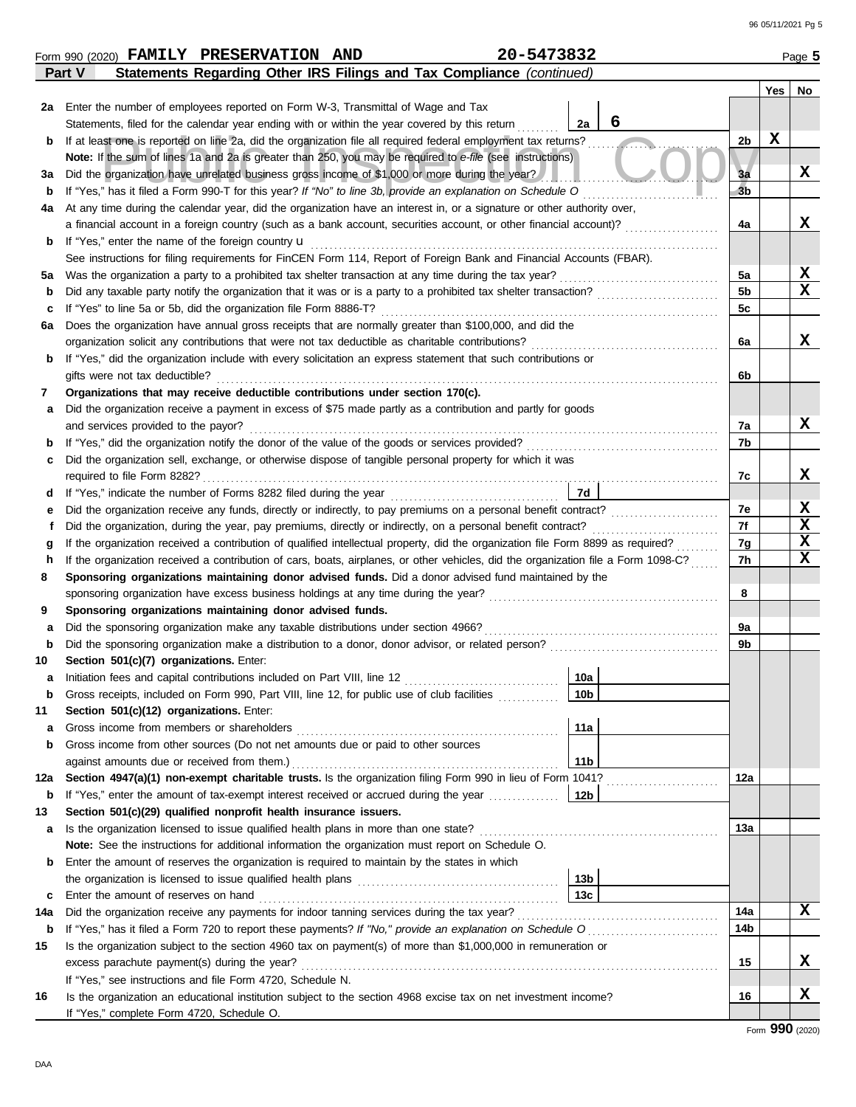| 20-5473832<br>Form 990 (2020) FAMILY PRESERVATION AND<br>Page 5 |                                                                                                                                                                                                                                           |                 |                |     |             |  |  |  |  |  |
|-----------------------------------------------------------------|-------------------------------------------------------------------------------------------------------------------------------------------------------------------------------------------------------------------------------------------|-----------------|----------------|-----|-------------|--|--|--|--|--|
|                                                                 | Statements Regarding Other IRS Filings and Tax Compliance (continued)<br>Part V                                                                                                                                                           |                 |                |     |             |  |  |  |  |  |
|                                                                 |                                                                                                                                                                                                                                           |                 |                | Yes | No          |  |  |  |  |  |
|                                                                 | 2a Enter the number of employees reported on Form W-3, Transmittal of Wage and Tax                                                                                                                                                        |                 |                |     |             |  |  |  |  |  |
|                                                                 | Statements, filed for the calendar year ending with or within the year covered by this return                                                                                                                                             | 6<br>2a         |                |     |             |  |  |  |  |  |
| b                                                               | If at least one is reported on line 2a, did the organization file all required federal employment tax returns?                                                                                                                            |                 | 2b             | X   |             |  |  |  |  |  |
|                                                                 | Note: If the sum of lines 1a and 2a is greater than 250, you may be required to e-file (see instructions)                                                                                                                                 |                 |                |     |             |  |  |  |  |  |
| За                                                              | Did the organization have unrelated business gross income of \$1,000 or more during the year?                                                                                                                                             |                 | 3a             |     | X           |  |  |  |  |  |
| b                                                               | If "Yes," has it filed a Form 990-T for this year? If "No" to line 3b, provide an explanation on Schedule O                                                                                                                               |                 | 3 <sub>b</sub> |     |             |  |  |  |  |  |
| 4а                                                              | At any time during the calendar year, did the organization have an interest in, or a signature or other authority over,                                                                                                                   |                 |                |     |             |  |  |  |  |  |
|                                                                 | a financial account in a foreign country (such as a bank account, securities account, or other financial account)?                                                                                                                        |                 | 4a             |     | x           |  |  |  |  |  |
| b                                                               | If "Yes," enter the name of the foreign country <b>u</b>                                                                                                                                                                                  |                 |                |     |             |  |  |  |  |  |
|                                                                 | See instructions for filing requirements for FinCEN Form 114, Report of Foreign Bank and Financial Accounts (FBAR).                                                                                                                       |                 |                |     |             |  |  |  |  |  |
| 5a                                                              | Was the organization a party to a prohibited tax shelter transaction at any time during the tax year?                                                                                                                                     |                 | 5a             |     | X           |  |  |  |  |  |
| b                                                               | Did any taxable party notify the organization that it was or is a party to a prohibited tax shelter transaction?                                                                                                                          |                 | 5b             |     | $\mathbf x$ |  |  |  |  |  |
| c                                                               | If "Yes" to line 5a or 5b, did the organization file Form 8886-T?                                                                                                                                                                         |                 | 5c             |     |             |  |  |  |  |  |
| 6а                                                              | Does the organization have annual gross receipts that are normally greater than \$100,000, and did the                                                                                                                                    |                 |                |     |             |  |  |  |  |  |
|                                                                 | organization solicit any contributions that were not tax deductible as charitable contributions?                                                                                                                                          |                 | 6a             |     | x           |  |  |  |  |  |
| b                                                               | If "Yes," did the organization include with every solicitation an express statement that such contributions or                                                                                                                            |                 |                |     |             |  |  |  |  |  |
|                                                                 | gifts were not tax deductible?                                                                                                                                                                                                            |                 | 6b             |     |             |  |  |  |  |  |
| 7                                                               | Organizations that may receive deductible contributions under section 170(c).                                                                                                                                                             |                 |                |     |             |  |  |  |  |  |
| а                                                               | Did the organization receive a payment in excess of \$75 made partly as a contribution and partly for goods                                                                                                                               |                 |                |     | X           |  |  |  |  |  |
|                                                                 | and services provided to the payor?<br>If "Yes," did the organization notify the donor of the value of the goods or services provided?<br>If "Yes," did the organization notify the donor of the value of the goods or services provided? |                 | 7а<br>7b       |     |             |  |  |  |  |  |
| b                                                               | Did the organization sell, exchange, or otherwise dispose of tangible personal property for which it was                                                                                                                                  |                 |                |     |             |  |  |  |  |  |
| c                                                               |                                                                                                                                                                                                                                           |                 | 7с             |     | X           |  |  |  |  |  |
| d                                                               |                                                                                                                                                                                                                                           | 7d              |                |     |             |  |  |  |  |  |
| е                                                               | Did the organization receive any funds, directly or indirectly, to pay premiums on a personal benefit contract?                                                                                                                           |                 | 7e             |     | X           |  |  |  |  |  |
| f                                                               | Did the organization, during the year, pay premiums, directly or indirectly, on a personal benefit contract?                                                                                                                              |                 | 7f             |     | X           |  |  |  |  |  |
| g                                                               | If the organization received a contribution of qualified intellectual property, did the organization file Form 8899 as required?                                                                                                          |                 | 7g             |     | X           |  |  |  |  |  |
| h                                                               | If the organization received a contribution of cars, boats, airplanes, or other vehicles, did the organization file a Form 1098-C?                                                                                                        |                 | 7h             |     | $\mathbf x$ |  |  |  |  |  |
| 8                                                               | Sponsoring organizations maintaining donor advised funds. Did a donor advised fund maintained by the                                                                                                                                      |                 |                |     |             |  |  |  |  |  |
|                                                                 | sponsoring organization have excess business holdings at any time during the year?                                                                                                                                                        |                 | 8              |     |             |  |  |  |  |  |
| 9                                                               | Sponsoring organizations maintaining donor advised funds.                                                                                                                                                                                 |                 |                |     |             |  |  |  |  |  |
| а                                                               | Did the sponsoring organization make any taxable distributions under section 4966?                                                                                                                                                        |                 | 9а             |     |             |  |  |  |  |  |
| b                                                               | Did the sponsoring organization make a distribution to a donor, donor advisor, or related person?                                                                                                                                         |                 | 9b             |     |             |  |  |  |  |  |
| 10                                                              | Section 501(c)(7) organizations. Enter:                                                                                                                                                                                                   |                 |                |     |             |  |  |  |  |  |
|                                                                 | Initiation fees and capital contributions included on Part VIII, line 12 [11] [11] [12] [11] [11] [12] [11] [1                                                                                                                            | 10a             |                |     |             |  |  |  |  |  |
| b                                                               | Gross receipts, included on Form 990, Part VIII, line 12, for public use of club facilities                                                                                                                                               | 10 <sub>b</sub> |                |     |             |  |  |  |  |  |
| 11                                                              | Section 501(c)(12) organizations. Enter:                                                                                                                                                                                                  |                 |                |     |             |  |  |  |  |  |
| а                                                               | Gross income from members or shareholders                                                                                                                                                                                                 | 11a             |                |     |             |  |  |  |  |  |
| b                                                               | Gross income from other sources (Do not net amounts due or paid to other sources                                                                                                                                                          |                 |                |     |             |  |  |  |  |  |
|                                                                 | against amounts due or received from them.)                                                                                                                                                                                               | 11 <sub>b</sub> |                |     |             |  |  |  |  |  |
| 12a                                                             | Section 4947(a)(1) non-exempt charitable trusts. Is the organization filing Form 990 in lieu of Form 1041?                                                                                                                                |                 | 12a            |     |             |  |  |  |  |  |
| b                                                               |                                                                                                                                                                                                                                           |                 |                |     |             |  |  |  |  |  |
| 13                                                              | Section 501(c)(29) qualified nonprofit health insurance issuers.                                                                                                                                                                          |                 |                |     |             |  |  |  |  |  |
| а                                                               | Is the organization licensed to issue qualified health plans in more than one state?                                                                                                                                                      |                 | 13a            |     |             |  |  |  |  |  |
|                                                                 | Note: See the instructions for additional information the organization must report on Schedule O.                                                                                                                                         |                 |                |     |             |  |  |  |  |  |
| b                                                               | Enter the amount of reserves the organization is required to maintain by the states in which                                                                                                                                              |                 |                |     |             |  |  |  |  |  |
|                                                                 |                                                                                                                                                                                                                                           | 13b             |                |     |             |  |  |  |  |  |
| c                                                               | Enter the amount of reserves on hand                                                                                                                                                                                                      | 13 <sub>c</sub> |                |     |             |  |  |  |  |  |
| 14a                                                             | Did the organization receive any payments for indoor tanning services during the tax year?                                                                                                                                                |                 | 14a            |     | X           |  |  |  |  |  |
| b                                                               |                                                                                                                                                                                                                                           |                 | 14b            |     |             |  |  |  |  |  |
| 15                                                              | Is the organization subject to the section 4960 tax on payment(s) of more than \$1,000,000 in remuneration or                                                                                                                             |                 |                |     |             |  |  |  |  |  |
|                                                                 | excess parachute payment(s) during the year?                                                                                                                                                                                              |                 | 15             |     | X           |  |  |  |  |  |
|                                                                 | If "Yes," see instructions and file Form 4720, Schedule N.                                                                                                                                                                                |                 |                |     |             |  |  |  |  |  |
| 16                                                              | Is the organization an educational institution subject to the section 4968 excise tax on net investment income?                                                                                                                           |                 | 16             |     | X           |  |  |  |  |  |
|                                                                 | If "Yes," complete Form 4720, Schedule O.                                                                                                                                                                                                 |                 |                |     |             |  |  |  |  |  |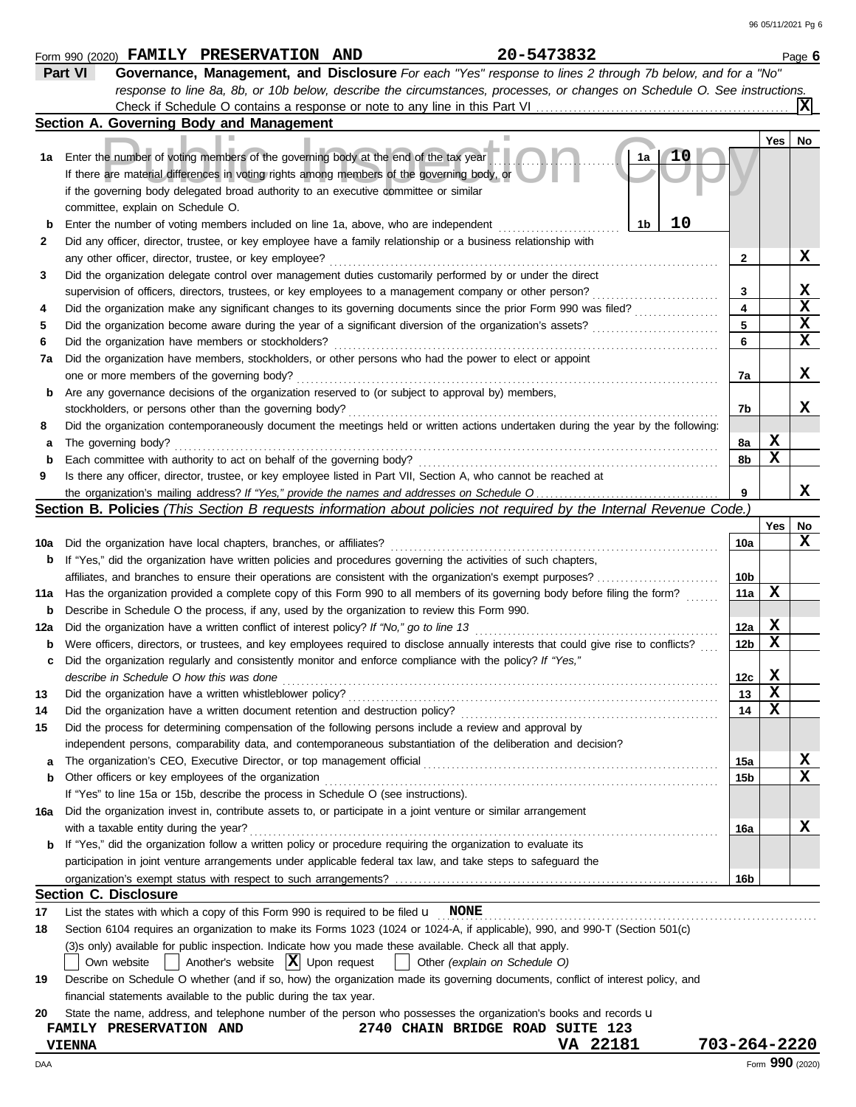|     | 20-5473832<br>Form 990 (2020) FAMILY PRESERVATION AND                                                                               |                 |       | Page 6           |  |  |  |  |  |
|-----|-------------------------------------------------------------------------------------------------------------------------------------|-----------------|-------|------------------|--|--|--|--|--|
|     | Part VI<br>Governance, Management, and Disclosure For each "Yes" response to lines 2 through 7b below, and for a "No"               |                 |       |                  |  |  |  |  |  |
|     | response to line 8a, 8b, or 10b below, describe the circumstances, processes, or changes on Schedule O. See instructions.           |                 |       |                  |  |  |  |  |  |
|     |                                                                                                                                     |                 |       |                  |  |  |  |  |  |
|     | Section A. Governing Body and Management                                                                                            |                 |       |                  |  |  |  |  |  |
|     |                                                                                                                                     |                 | Yes   | No               |  |  |  |  |  |
| 1а  | 1a<br>Enter the number of voting members of the governing body at the end of the tax year                                           |                 |       |                  |  |  |  |  |  |
|     | If there are material differences in voting rights among members of the governing body, or                                          |                 |       |                  |  |  |  |  |  |
|     | if the governing body delegated broad authority to an executive committee or similar                                                |                 |       |                  |  |  |  |  |  |
|     | committee, explain on Schedule O.                                                                                                   |                 |       |                  |  |  |  |  |  |
| b   | 10<br>1 <sub>b</sub><br>Enter the number of voting members included on line 1a, above, who are independent                          |                 |       |                  |  |  |  |  |  |
| 2   | Did any officer, director, trustee, or key employee have a family relationship or a business relationship with                      |                 |       |                  |  |  |  |  |  |
|     | any other officer, director, trustee, or key employee?                                                                              | 2               |       | X                |  |  |  |  |  |
| 3   | Did the organization delegate control over management duties customarily performed by or under the direct                           |                 |       |                  |  |  |  |  |  |
|     | supervision of officers, directors, trustees, or key employees to a management company or other person?                             | 3               |       | X                |  |  |  |  |  |
| 4   | Did the organization make any significant changes to its governing documents since the prior Form 990 was filed?                    | 4               |       | $\mathbf x$      |  |  |  |  |  |
| 5   | Did the organization become aware during the year of a significant diversion of the organization's assets?                          | 5               |       | X                |  |  |  |  |  |
| 6   | Did the organization have members or stockholders?<br>.                                                                             | 6               |       | $\mathbf x$      |  |  |  |  |  |
| 7a  | Did the organization have members, stockholders, or other persons who had the power to elect or appoint                             |                 |       |                  |  |  |  |  |  |
|     | one or more members of the governing body?                                                                                          | 7a              |       | X                |  |  |  |  |  |
| b   | Are any governance decisions of the organization reserved to (or subject to approval by) members,                                   |                 |       |                  |  |  |  |  |  |
|     | stockholders, or persons other than the governing body?                                                                             | 7b              |       | x                |  |  |  |  |  |
| 8   | Did the organization contemporaneously document the meetings held or written actions undertaken during the year by the following:   |                 |       |                  |  |  |  |  |  |
| а   | The governing body?                                                                                                                 | 8a              | X     |                  |  |  |  |  |  |
| b   | Each committee with authority to act on behalf of the governing body?                                                               | 8b              | X     |                  |  |  |  |  |  |
| 9   | Is there any officer, director, trustee, or key employee listed in Part VII, Section A, who cannot be reached at                    |                 |       |                  |  |  |  |  |  |
|     |                                                                                                                                     | 9               |       | x                |  |  |  |  |  |
|     | <b>Section B. Policies</b> (This Section B requests information about policies not required by the Internal Revenue Code.)          |                 |       |                  |  |  |  |  |  |
|     |                                                                                                                                     |                 | Yes l | No               |  |  |  |  |  |
| 10a | Did the organization have local chapters, branches, or affiliates?                                                                  | 10a             |       | x                |  |  |  |  |  |
| b   | If "Yes," did the organization have written policies and procedures governing the activities of such chapters,                      |                 |       |                  |  |  |  |  |  |
|     |                                                                                                                                     | 10b             |       |                  |  |  |  |  |  |
| 11a | Has the organization provided a complete copy of this Form 990 to all members of its governing body before filing the form?         | 11a             | X     |                  |  |  |  |  |  |
| b   | Describe in Schedule O the process, if any, used by the organization to review this Form 990.                                       |                 |       |                  |  |  |  |  |  |
| 12a | Did the organization have a written conflict of interest policy? If "No," go to line 13                                             | 12a             | X     |                  |  |  |  |  |  |
| b   | Were officers, directors, or trustees, and key employees required to disclose annually interests that could give rise to conflicts? | 12 <sub>b</sub> | X     |                  |  |  |  |  |  |
|     | Did the organization regularly and consistently monitor and enforce compliance with the policy? If "Yes,"                           |                 |       |                  |  |  |  |  |  |
| c   |                                                                                                                                     | 12 <sub>c</sub> | X     |                  |  |  |  |  |  |
|     | describe in Schedule O how this was done                                                                                            |                 | X     |                  |  |  |  |  |  |
| 13  | Did the organization have a written whistleblower policy?                                                                           | 13              | х     |                  |  |  |  |  |  |
| 14  | Did the organization have a written document retention and destruction policy?                                                      | 14              |       |                  |  |  |  |  |  |
| 15  | Did the process for determining compensation of the following persons include a review and approval by                              |                 |       |                  |  |  |  |  |  |
|     | independent persons, comparability data, and contemporaneous substantiation of the deliberation and decision?                       |                 |       |                  |  |  |  |  |  |
| а   | The organization's CEO, Executive Director, or top management official                                                              | 15a             |       | X<br>$\mathbf x$ |  |  |  |  |  |
| b   | Other officers or key employees of the organization                                                                                 | 15b             |       |                  |  |  |  |  |  |
|     | If "Yes" to line 15a or 15b, describe the process in Schedule O (see instructions).                                                 |                 |       |                  |  |  |  |  |  |
| 16a | Did the organization invest in, contribute assets to, or participate in a joint venture or similar arrangement                      |                 |       |                  |  |  |  |  |  |
|     | with a taxable entity during the year?                                                                                              | 16a             |       | X                |  |  |  |  |  |
|     | <b>b</b> If "Yes," did the organization follow a written policy or procedure requiring the organization to evaluate its             |                 |       |                  |  |  |  |  |  |
|     | participation in joint venture arrangements under applicable federal tax law, and take steps to safeguard the                       |                 |       |                  |  |  |  |  |  |
|     |                                                                                                                                     | 16b             |       |                  |  |  |  |  |  |
|     | <b>Section C. Disclosure</b>                                                                                                        |                 |       |                  |  |  |  |  |  |
| 17  | List the states with which a copy of this Form 990 is required to be filed $\mathbf u$ NONE                                         |                 |       |                  |  |  |  |  |  |
| 18  | Section 6104 requires an organization to make its Forms 1023 (1024 or 1024-A, if applicable), 990, and 990-T (Section 501(c)        |                 |       |                  |  |  |  |  |  |
|     | (3)s only) available for public inspection. Indicate how you made these available. Check all that apply.                            |                 |       |                  |  |  |  |  |  |
|     | Another's website $ \mathbf{X} $ Upon request<br>Other (explain on Schedule O)<br>Own website                                       |                 |       |                  |  |  |  |  |  |
| 19  | Describe on Schedule O whether (and if so, how) the organization made its governing documents, conflict of interest policy, and     |                 |       |                  |  |  |  |  |  |
|     | financial statements available to the public during the tax year.                                                                   |                 |       |                  |  |  |  |  |  |
| 20  | State the name, address, and telephone number of the person who possesses the organization's books and records u                    |                 |       |                  |  |  |  |  |  |
|     | 2740 CHAIN BRIDGE ROAD SUITE 123<br>FAMILY PRESERVATION AND                                                                         |                 |       |                  |  |  |  |  |  |
|     | VA 22181<br><b>VIENNA</b>                                                                                                           | 703-264-2220    |       |                  |  |  |  |  |  |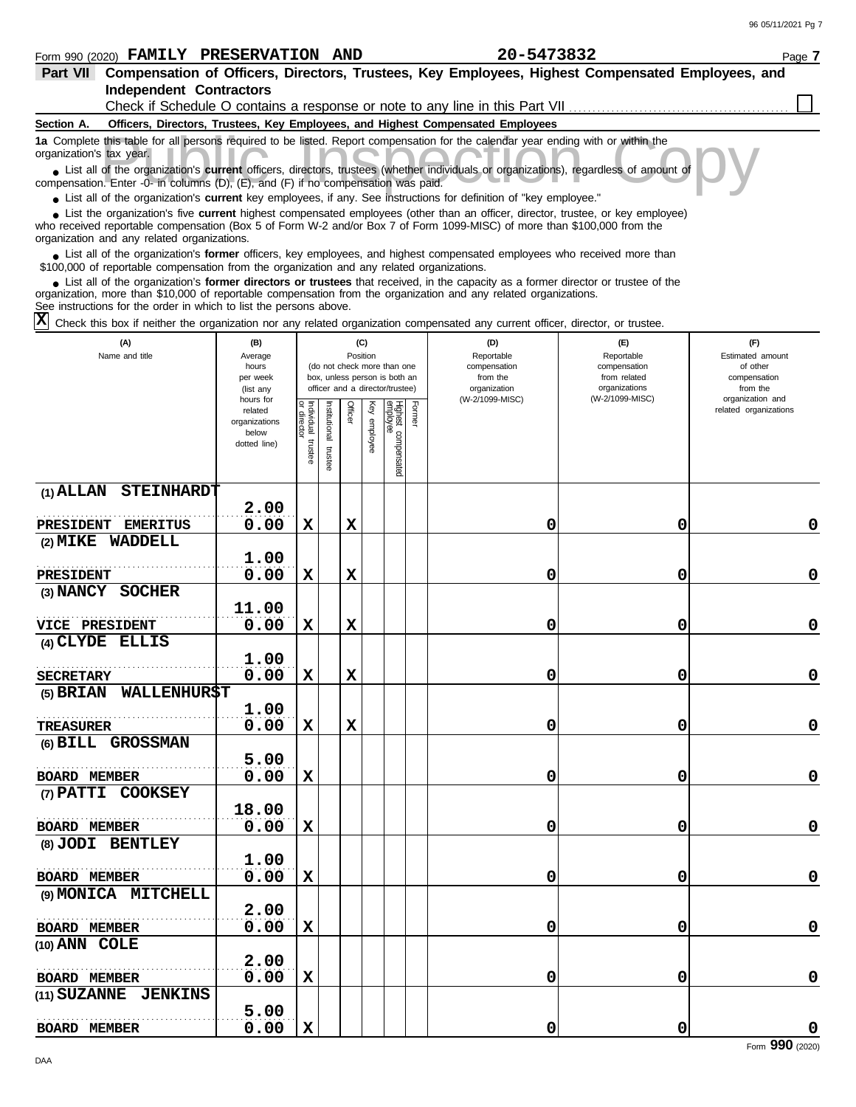## Form 990 (2020) Page **7 FAMILY PRESERVATION AND 20-5473832**

| Part VII Compensation of Officers, Directors, Trustees, Key Employees, Highest Compensated Employees, and<br><b>Independent Contractors</b>                                                                                                                                                                |                        |            |              |          |          |                                                              |        |                                                                                 |                              |                                           |
|------------------------------------------------------------------------------------------------------------------------------------------------------------------------------------------------------------------------------------------------------------------------------------------------------------|------------------------|------------|--------------|----------|----------|--------------------------------------------------------------|--------|---------------------------------------------------------------------------------|------------------------------|-------------------------------------------|
|                                                                                                                                                                                                                                                                                                            |                        |            |              |          |          |                                                              |        | Check if Schedule O contains a response or note to any line in this Part VII    |                              |                                           |
| Section A.                                                                                                                                                                                                                                                                                                 |                        |            |              |          |          |                                                              |        | Officers, Directors, Trustees, Key Employees, and Highest Compensated Employees |                              |                                           |
| 1a Complete this table for all persons required to be listed. Report compensation for the calendar year ending with or within the<br>organization's tax year.                                                                                                                                              |                        |            |              |          |          |                                                              |        |                                                                                 |                              |                                           |
| List all of the organization's <b>current</b> officers, directors, trustees (whether individuals or organizations), regardless of amount of<br>compensation. Enter -0- in columns (D), (E), and (F) if no compensation was paid.                                                                           |                        |            |              |          |          |                                                              |        |                                                                                 |                              |                                           |
| • List all of the organization's current key employees, if any. See instructions for definition of "key employee."                                                                                                                                                                                         |                        |            |              |          |          |                                                              |        |                                                                                 |                              |                                           |
| • List the organization's five current highest compensated employees (other than an officer, director, trustee, or key employee)<br>who received reportable compensation (Box 5 of Form W-2 and/or Box 7 of Form 1099-MISC) of more than \$100,000 from the<br>organization and any related organizations. |                        |            |              |          |          |                                                              |        |                                                                                 |                              |                                           |
| • List all of the organization's former officers, key employees, and highest compensated employees who received more than<br>\$100,000 of reportable compensation from the organization and any related organizations.                                                                                     |                        |            |              |          |          |                                                              |        |                                                                                 |                              |                                           |
| • List all of the organization's former directors or trustees that received, in the capacity as a former director or trustee of the<br>organization, more than \$10,000 of reportable compensation from the organization and any related organizations.                                                    |                        |            |              |          |          |                                                              |        |                                                                                 |                              |                                           |
| See instructions for the order in which to list the persons above.<br>$\mathbf{\overline{x}}$<br>Check this box if neither the organization nor any related organization compensated any current officer, director, or trustee.                                                                            |                        |            |              |          |          |                                                              |        |                                                                                 |                              |                                           |
| (A)                                                                                                                                                                                                                                                                                                        | (B)                    |            |              |          | (C)      |                                                              |        | (D)                                                                             | (E)                          | (F)                                       |
| Name and title                                                                                                                                                                                                                                                                                             | Average                |            |              | Position |          |                                                              |        | Reportable                                                                      | Reportable                   | Estimated amount                          |
|                                                                                                                                                                                                                                                                                                            | hours<br>per week      |            |              |          |          | (do not check more than one<br>box, unless person is both an |        | compensation<br>from the                                                        | compensation<br>from related | of other<br>compensation                  |
|                                                                                                                                                                                                                                                                                                            | (list any              |            |              |          |          | officer and a director/trustee)                              |        | organization                                                                    | organizations                | from the                                  |
|                                                                                                                                                                                                                                                                                                            | hours for<br>related   |            |              | Officer  | Ķey      |                                                              | Former | (W-2/1099-MISC)                                                                 | (W-2/1099-MISC)              | organization and<br>related organizations |
|                                                                                                                                                                                                                                                                                                            | organizations<br>below | Individual | nstitutional |          |          |                                                              |        |                                                                                 |                              |                                           |
|                                                                                                                                                                                                                                                                                                            | dotted line)           |            |              |          | employee |                                                              |        |                                                                                 |                              |                                           |
|                                                                                                                                                                                                                                                                                                            |                        | trustee    | trustee      |          |          | Highest compensated<br>employee                              |        |                                                                                 |                              |                                           |
| $(1)$ ALLAN<br><b>STEINHARDT</b>                                                                                                                                                                                                                                                                           |                        |            |              |          |          |                                                              |        |                                                                                 |                              |                                           |
|                                                                                                                                                                                                                                                                                                            | 2.00                   |            |              |          |          |                                                              |        |                                                                                 |                              |                                           |
| <b>PRESIDENT</b><br><b>EMERITUS</b>                                                                                                                                                                                                                                                                        | 0.00                   | X          |              | х        |          |                                                              |        | 0                                                                               | 0                            | 0                                         |
| (2) MIKE WADDELL                                                                                                                                                                                                                                                                                           |                        |            |              |          |          |                                                              |        |                                                                                 |                              |                                           |
|                                                                                                                                                                                                                                                                                                            | 1.00                   |            |              |          |          |                                                              |        |                                                                                 |                              |                                           |
| <b>PRESIDENT</b>                                                                                                                                                                                                                                                                                           | 0.00                   | X          |              | х        |          |                                                              |        | 0                                                                               | 0                            | 0                                         |
| (3) NANCY SOCHER                                                                                                                                                                                                                                                                                           |                        |            |              |          |          |                                                              |        |                                                                                 |                              |                                           |
|                                                                                                                                                                                                                                                                                                            | 11.00                  |            |              |          |          |                                                              |        |                                                                                 |                              |                                           |
| <b>VICE PRESIDENT</b>                                                                                                                                                                                                                                                                                      | 0.00                   | X          |              | х        |          |                                                              |        | 0                                                                               | 0                            | 0                                         |
| (4) CLYDE ELLIS                                                                                                                                                                                                                                                                                            |                        |            |              |          |          |                                                              |        |                                                                                 |                              |                                           |
|                                                                                                                                                                                                                                                                                                            | 1.00<br>0.00           |            |              |          |          |                                                              |        | 0                                                                               |                              | 0                                         |
| <b>SECRETARY</b><br>(5) BRIAN WALLENHUR\$T                                                                                                                                                                                                                                                                 |                        | X          |              | X        |          |                                                              |        |                                                                                 | 0                            |                                           |
|                                                                                                                                                                                                                                                                                                            | 1.00                   |            |              |          |          |                                                              |        |                                                                                 |                              |                                           |
| <b>TREASURER</b>                                                                                                                                                                                                                                                                                           | 0.00                   | X          |              | х        |          |                                                              |        | 0                                                                               | 0                            | 0                                         |
| (6) BILL GROSSMAN                                                                                                                                                                                                                                                                                          |                        |            |              |          |          |                                                              |        |                                                                                 |                              |                                           |
|                                                                                                                                                                                                                                                                                                            | 5.00                   |            |              |          |          |                                                              |        |                                                                                 |                              |                                           |
| BOARD MEMBER                                                                                                                                                                                                                                                                                               | 0.00                   | X          |              |          |          |                                                              |        | 0                                                                               | 0                            | $\mathbf 0$                               |
| (7) PATTI COOKSEY                                                                                                                                                                                                                                                                                          |                        |            |              |          |          |                                                              |        |                                                                                 |                              |                                           |
|                                                                                                                                                                                                                                                                                                            | 18.00                  |            |              |          |          |                                                              |        |                                                                                 |                              |                                           |
| <b>BOARD MEMBER</b>                                                                                                                                                                                                                                                                                        | 0.00                   | X          |              |          |          |                                                              |        | 0                                                                               | 0                            | $\mathbf 0$                               |
| (8) JODI BENTLEY                                                                                                                                                                                                                                                                                           |                        |            |              |          |          |                                                              |        |                                                                                 |                              |                                           |
|                                                                                                                                                                                                                                                                                                            | 1.00                   |            |              |          |          |                                                              |        |                                                                                 |                              |                                           |
| BOARD MEMBER                                                                                                                                                                                                                                                                                               | 0.00                   | X          |              |          |          |                                                              |        | 0                                                                               | 0                            | $\mathbf 0$                               |
| (9) MONICA MITCHELL                                                                                                                                                                                                                                                                                        |                        |            |              |          |          |                                                              |        |                                                                                 |                              |                                           |
|                                                                                                                                                                                                                                                                                                            | 2.00                   |            |              |          |          |                                                              |        |                                                                                 |                              |                                           |
| <b>BOARD MEMBER</b>                                                                                                                                                                                                                                                                                        | 0.00                   | X          |              |          |          |                                                              |        | 0                                                                               | 0                            | $\mathbf 0$                               |
| (10) ANN COLE                                                                                                                                                                                                                                                                                              | 2.00                   |            |              |          |          |                                                              |        |                                                                                 |                              |                                           |
| <b>BOARD MEMBER</b>                                                                                                                                                                                                                                                                                        | 0.00                   | X          |              |          |          |                                                              |        | 0                                                                               | 0                            | $\mathbf 0$                               |
| (11) SUZANNE JENKINS                                                                                                                                                                                                                                                                                       |                        |            |              |          |          |                                                              |        |                                                                                 |                              |                                           |
|                                                                                                                                                                                                                                                                                                            | 5.00                   |            |              |          |          |                                                              |        |                                                                                 |                              |                                           |
| <b>BOARD MEMBER</b>                                                                                                                                                                                                                                                                                        | 0.00                   | X          |              |          |          |                                                              |        | 0                                                                               | 0                            | 0                                         |
|                                                                                                                                                                                                                                                                                                            |                        |            |              |          |          |                                                              |        |                                                                                 |                              | Form 990 (2020)                           |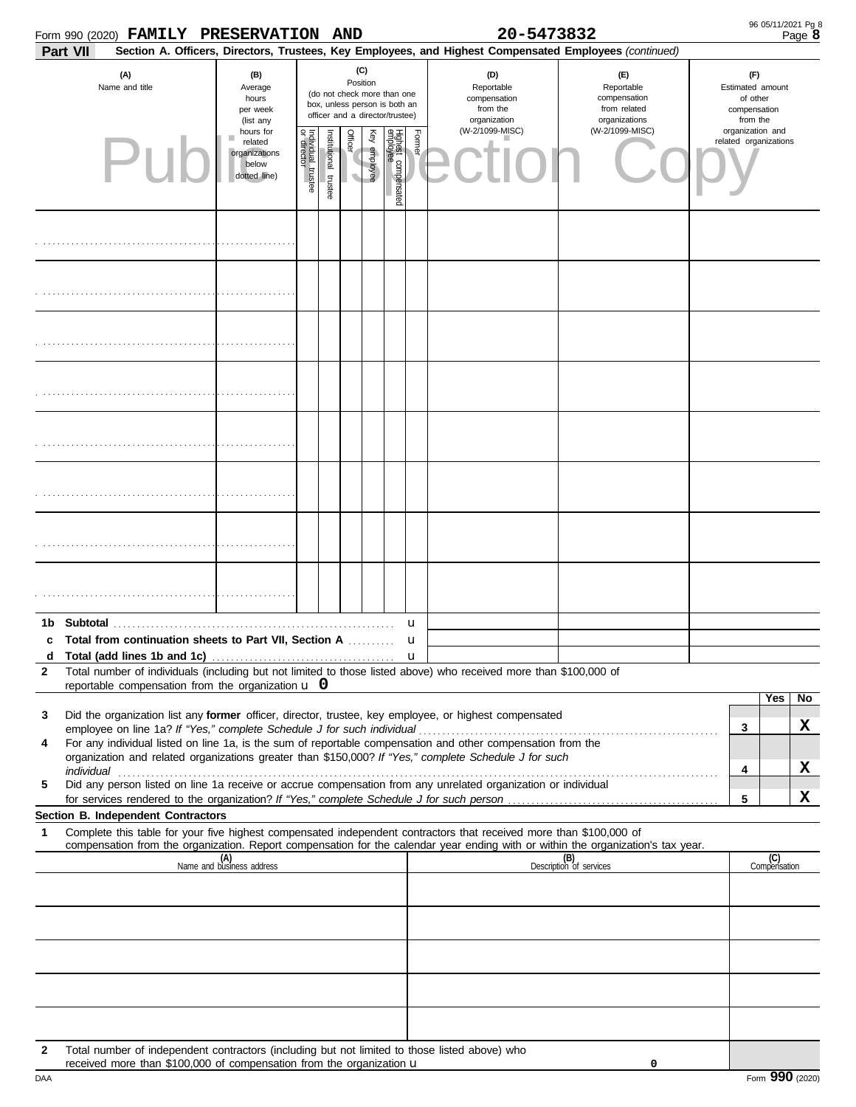| Form 990 (2020) FAMILY PRESERVATION AND                                                                                                                                                    |                                                                |                         |                       |                                                                                                                    |              |                                 |                  | 20-5473832                                                                                             |                                                                    |   | 96 05/11/2021 Pg 8                                              | Page 8 |
|--------------------------------------------------------------------------------------------------------------------------------------------------------------------------------------------|----------------------------------------------------------------|-------------------------|-----------------------|--------------------------------------------------------------------------------------------------------------------|--------------|---------------------------------|------------------|--------------------------------------------------------------------------------------------------------|--------------------------------------------------------------------|---|-----------------------------------------------------------------|--------|
| Part VII                                                                                                                                                                                   |                                                                |                         |                       |                                                                                                                    |              |                                 |                  | Section A. Officers, Directors, Trustees, Key Employees, and Highest Compensated Employees (continued) |                                                                    |   |                                                                 |        |
| (A)<br>Name and title                                                                                                                                                                      | (B)<br>Average<br>hours<br>per week<br>(list any               |                         |                       | (C)<br>Position<br>(do not check more than one<br>box, unless person is both an<br>officer and a director/trustee) |              |                                 |                  | (D)<br>Reportable<br>compensation<br>from the<br>organization                                          | (E)<br>Reportable<br>compensation<br>from related<br>organizations |   | (F)<br>Estimated amount<br>of other<br>compensation<br>from the |        |
| PU                                                                                                                                                                                         | hours for<br>related<br>organizations<br>below<br>dotted line) | Individual 1<br>trustee | Institutional trustee | Officer<br>٧                                                                                                       | Key employee | Highest compensated<br>employee | Former           | (W-2/1099-MISC)                                                                                        | (W-2/1099-MISC)                                                    |   | organization and<br>related organizations                       |        |
|                                                                                                                                                                                            |                                                                |                         |                       |                                                                                                                    |              |                                 |                  |                                                                                                        |                                                                    |   |                                                                 |        |
|                                                                                                                                                                                            |                                                                |                         |                       |                                                                                                                    |              |                                 |                  |                                                                                                        |                                                                    |   |                                                                 |        |
|                                                                                                                                                                                            |                                                                |                         |                       |                                                                                                                    |              |                                 |                  |                                                                                                        |                                                                    |   |                                                                 |        |
|                                                                                                                                                                                            |                                                                |                         |                       |                                                                                                                    |              |                                 |                  |                                                                                                        |                                                                    |   |                                                                 |        |
|                                                                                                                                                                                            |                                                                |                         |                       |                                                                                                                    |              |                                 |                  |                                                                                                        |                                                                    |   |                                                                 |        |
|                                                                                                                                                                                            |                                                                |                         |                       |                                                                                                                    |              |                                 |                  |                                                                                                        |                                                                    |   |                                                                 |        |
|                                                                                                                                                                                            |                                                                |                         |                       |                                                                                                                    |              |                                 |                  |                                                                                                        |                                                                    |   |                                                                 |        |
|                                                                                                                                                                                            |                                                                |                         |                       |                                                                                                                    |              |                                 |                  |                                                                                                        |                                                                    |   |                                                                 |        |
| Total from continuation sheets to Part VII, Section A                                                                                                                                      |                                                                |                         |                       |                                                                                                                    |              |                                 | u                |                                                                                                        |                                                                    |   |                                                                 |        |
| d                                                                                                                                                                                          |                                                                |                         |                       |                                                                                                                    |              |                                 | u<br>$\mathbf u$ |                                                                                                        |                                                                    |   |                                                                 |        |
| Total number of individuals (including but not limited to those listed above) who received more than \$100,000 of<br>$\mathbf{2}$                                                          |                                                                |                         |                       |                                                                                                                    |              |                                 |                  |                                                                                                        |                                                                    |   |                                                                 |        |
| reportable compensation from the organization $\bf{u}$ 0                                                                                                                                   |                                                                |                         |                       |                                                                                                                    |              |                                 |                  |                                                                                                        |                                                                    |   | Yes                                                             | No     |
| Did the organization list any former officer, director, trustee, key employee, or highest compensated<br>3                                                                                 |                                                                |                         |                       |                                                                                                                    |              |                                 |                  |                                                                                                        |                                                                    |   |                                                                 | X      |
| employee on line 1a? If "Yes," complete Schedule J for such individual<br>For any individual listed on line 1a, is the sum of reportable compensation and other compensation from the<br>4 |                                                                |                         |                       |                                                                                                                    |              |                                 |                  |                                                                                                        |                                                                    | 3 |                                                                 |        |
| organization and related organizations greater than \$150,000? If "Yes," complete Schedule J for such                                                                                      |                                                                |                         |                       |                                                                                                                    |              |                                 |                  |                                                                                                        |                                                                    | 4 |                                                                 | X      |
| individual<br>Did any person listed on line 1a receive or accrue compensation from any unrelated organization or individual<br>5                                                           |                                                                |                         |                       |                                                                                                                    |              |                                 |                  |                                                                                                        |                                                                    |   |                                                                 |        |
|                                                                                                                                                                                            |                                                                |                         |                       |                                                                                                                    |              |                                 |                  |                                                                                                        |                                                                    | 5 |                                                                 | X      |
| Section B. Independent Contractors<br>Complete this table for your five highest compensated independent contractors that received more than \$100,000 of<br>1                              |                                                                |                         |                       |                                                                                                                    |              |                                 |                  |                                                                                                        |                                                                    |   |                                                                 |        |
| compensation from the organization. Report compensation for the calendar year ending with or within the organization's tax year.                                                           |                                                                |                         |                       |                                                                                                                    |              |                                 |                  |                                                                                                        |                                                                    |   |                                                                 |        |
|                                                                                                                                                                                            | (A)<br>Name and business address                               |                         |                       |                                                                                                                    |              |                                 |                  |                                                                                                        | (B)<br>Description of services                                     |   | (C)<br>Compensation                                             |        |
|                                                                                                                                                                                            |                                                                |                         |                       |                                                                                                                    |              |                                 |                  |                                                                                                        |                                                                    |   |                                                                 |        |
|                                                                                                                                                                                            |                                                                |                         |                       |                                                                                                                    |              |                                 |                  |                                                                                                        |                                                                    |   |                                                                 |        |
|                                                                                                                                                                                            |                                                                |                         |                       |                                                                                                                    |              |                                 |                  |                                                                                                        |                                                                    |   |                                                                 |        |
|                                                                                                                                                                                            |                                                                |                         |                       |                                                                                                                    |              |                                 |                  |                                                                                                        |                                                                    |   |                                                                 |        |
| Total number of independent contractors (including but not limited to those listed above) who<br>2<br>received more than \$100,000 of compensation from the organization u                 |                                                                |                         |                       |                                                                                                                    |              |                                 |                  |                                                                                                        | 0                                                                  |   |                                                                 |        |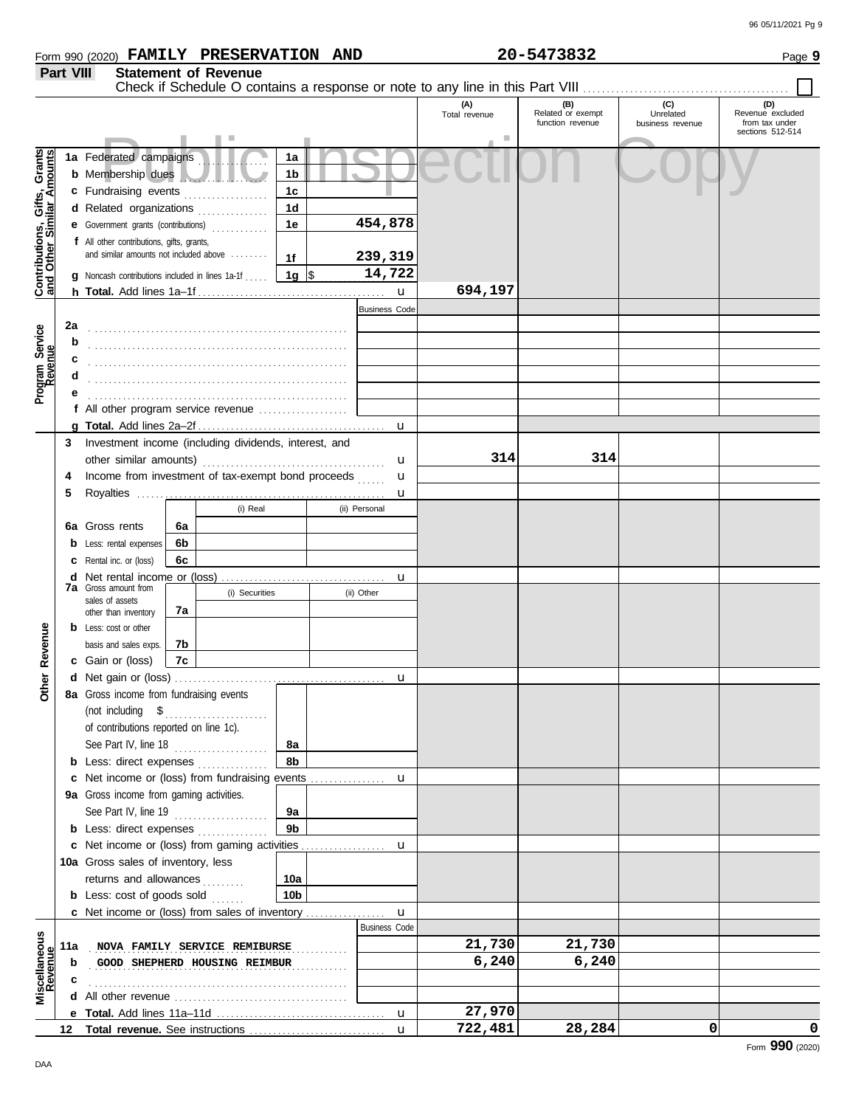|                                                                                                |                   | Form 990 (2020) FAMILY PRESERVATION AND                                                                                                                                                                                                                                              |    |                               |                                                                                                   |                                                                       |                      | 20-5473832                                   |                                      | Page 9                                                        |
|------------------------------------------------------------------------------------------------|-------------------|--------------------------------------------------------------------------------------------------------------------------------------------------------------------------------------------------------------------------------------------------------------------------------------|----|-------------------------------|---------------------------------------------------------------------------------------------------|-----------------------------------------------------------------------|----------------------|----------------------------------------------|--------------------------------------|---------------------------------------------------------------|
|                                                                                                | Part VIII         |                                                                                                                                                                                                                                                                                      |    | <b>Statement of Revenue</b>   |                                                                                                   |                                                                       |                      |                                              |                                      |                                                               |
|                                                                                                |                   |                                                                                                                                                                                                                                                                                      |    |                               |                                                                                                   |                                                                       |                      |                                              |                                      |                                                               |
|                                                                                                |                   |                                                                                                                                                                                                                                                                                      |    |                               |                                                                                                   |                                                                       | (A)<br>Total revenue | (B)<br>Related or exempt<br>function revenue | (C)<br>Unrelated<br>business revenue | (D)<br>Revenue excluded<br>from tax under<br>sections 512-514 |
| <b>Contributions, Gifts, Grants</b><br>and Other Similar Amounts<br>Program Service<br>Revenue | 2a<br>b<br>c<br>d | 1a Federated campaigns<br><b>b</b> Membership dues<br>c Fundraising events<br>d Related organizations<br>e Government grants (contributions)<br>f All other contributions, gifts, grants,<br>and similar amounts not included above<br>Noncash contributions included in lines 1a-1f |    |                               | 1a<br>1 <sub>b</sub><br>1 <sub>c</sub><br>1 <sub>d</sub><br>1e<br>1 <sub>f</sub><br>1g $\vert$ \$ | 454,878<br>239, 319<br>14,722<br>$\mathbf{u}$<br><b>Business Code</b> | 694,197              |                                              |                                      |                                                               |
|                                                                                                |                   |                                                                                                                                                                                                                                                                                      |    |                               |                                                                                                   |                                                                       |                      |                                              |                                      |                                                               |
|                                                                                                |                   | f All other program service revenue                                                                                                                                                                                                                                                  |    |                               |                                                                                                   |                                                                       |                      |                                              |                                      |                                                               |
|                                                                                                |                   |                                                                                                                                                                                                                                                                                      |    |                               |                                                                                                   | u                                                                     |                      |                                              |                                      |                                                               |
|                                                                                                | 3<br>4<br>5       | Investment income (including dividends, interest, and<br>other similar amounts)<br>Income from investment of tax-exempt bond proceeds                                                                                                                                                |    |                               |                                                                                                   | u<br>u                                                                | 314                  | 314                                          |                                      |                                                               |
|                                                                                                |                   |                                                                                                                                                                                                                                                                                      |    | (i) Real                      |                                                                                                   | u<br>(ii) Personal                                                    |                      |                                              |                                      |                                                               |
|                                                                                                |                   |                                                                                                                                                                                                                                                                                      |    |                               |                                                                                                   |                                                                       |                      |                                              |                                      |                                                               |
|                                                                                                | 6а                | Gross rents                                                                                                                                                                                                                                                                          | 6a |                               |                                                                                                   |                                                                       |                      |                                              |                                      |                                                               |
|                                                                                                | b                 | Less: rental expenses                                                                                                                                                                                                                                                                | 6b |                               |                                                                                                   |                                                                       |                      |                                              |                                      |                                                               |
|                                                                                                |                   | Rental inc. or (loss)                                                                                                                                                                                                                                                                | 6c |                               |                                                                                                   |                                                                       |                      |                                              |                                      |                                                               |
|                                                                                                | d                 | Net rental income or (loss)<br><b>7a</b> Gross amount from                                                                                                                                                                                                                           |    | (i) Securities                |                                                                                                   | u<br>(ii) Other                                                       |                      |                                              |                                      |                                                               |
|                                                                                                |                   | sales of assets                                                                                                                                                                                                                                                                      |    |                               |                                                                                                   |                                                                       |                      |                                              |                                      |                                                               |
|                                                                                                |                   | other than inventory<br><b>b</b> Less: cost or other                                                                                                                                                                                                                                 | 7a |                               |                                                                                                   |                                                                       |                      |                                              |                                      |                                                               |
| Revenue                                                                                        |                   | basis and sales exps.                                                                                                                                                                                                                                                                | 7b |                               |                                                                                                   |                                                                       |                      |                                              |                                      |                                                               |
|                                                                                                |                   | c Gain or (loss)                                                                                                                                                                                                                                                                     | 7c |                               |                                                                                                   |                                                                       |                      |                                              |                                      |                                                               |
|                                                                                                |                   |                                                                                                                                                                                                                                                                                      |    |                               |                                                                                                   |                                                                       |                      |                                              |                                      |                                                               |
| <b>Other</b>                                                                                   |                   | 8a Gross income from fundraising events<br>(not including \$<br>of contributions reported on line 1c).<br>See Part IV, line 18                                                                                                                                                       |    | .                             |                                                                                                   |                                                                       |                      |                                              |                                      |                                                               |
|                                                                                                |                   | <b>b</b> Less: direct expenses                                                                                                                                                                                                                                                       |    | .                             | 8а<br>8b                                                                                          |                                                                       |                      |                                              |                                      |                                                               |
|                                                                                                |                   |                                                                                                                                                                                                                                                                                      |    |                               |                                                                                                   |                                                                       |                      |                                              |                                      |                                                               |
|                                                                                                |                   | 9a Gross income from gaming activities.                                                                                                                                                                                                                                              |    |                               |                                                                                                   |                                                                       |                      |                                              |                                      |                                                               |
|                                                                                                |                   | See Part IV, line 19                                                                                                                                                                                                                                                                 |    |                               | 9а                                                                                                |                                                                       |                      |                                              |                                      |                                                               |
|                                                                                                |                   | <b>b</b> Less: direct expenses                                                                                                                                                                                                                                                       |    |                               | 9 <sub>b</sub>                                                                                    |                                                                       |                      |                                              |                                      |                                                               |
|                                                                                                |                   |                                                                                                                                                                                                                                                                                      |    |                               |                                                                                                   |                                                                       |                      |                                              |                                      |                                                               |
|                                                                                                |                   | 10a Gross sales of inventory, less                                                                                                                                                                                                                                                   |    |                               |                                                                                                   |                                                                       |                      |                                              |                                      |                                                               |
|                                                                                                |                   | returns and allowances                                                                                                                                                                                                                                                               |    | <b>College</b>                | 10a                                                                                               |                                                                       |                      |                                              |                                      |                                                               |
|                                                                                                |                   | <b>b</b> Less: cost of goods sold                                                                                                                                                                                                                                                    |    |                               | 10 <sub>b</sub>                                                                                   |                                                                       |                      |                                              |                                      |                                                               |
|                                                                                                |                   | <b>c</b> Net income or (loss) from sales of inventory                                                                                                                                                                                                                                |    |                               |                                                                                                   | $\mathbf u$                                                           |                      |                                              |                                      |                                                               |
|                                                                                                |                   |                                                                                                                                                                                                                                                                                      |    |                               |                                                                                                   | <b>Business Code</b>                                                  |                      |                                              |                                      |                                                               |
|                                                                                                | 11a               |                                                                                                                                                                                                                                                                                      |    | NOVA FAMILY SERVICE REMIBURSE |                                                                                                   |                                                                       | 21,730               | 21,730                                       |                                      |                                                               |
|                                                                                                | b                 |                                                                                                                                                                                                                                                                                      |    | GOOD SHEPHERD HOUSING REIMBUR |                                                                                                   |                                                                       | 6,240                | 6,240                                        |                                      |                                                               |
| Miscellaneous<br>Revenue                                                                       |                   |                                                                                                                                                                                                                                                                                      |    |                               |                                                                                                   |                                                                       |                      |                                              |                                      |                                                               |
|                                                                                                | d                 |                                                                                                                                                                                                                                                                                      |    |                               |                                                                                                   |                                                                       |                      |                                              |                                      |                                                               |

u

u

**27,970**

**722,481 28,284 0 0**

**d** All other revenue . . . . . . . . . . . . . . . . . . . . . . . . . . . . . . . . . . . . . **e Total.** Add lines 11a–11d . . . . . . . . . . . . . . . . . . . . . . . . . . . . . . . . . . . . **12 Total revenue.** See instructions ................................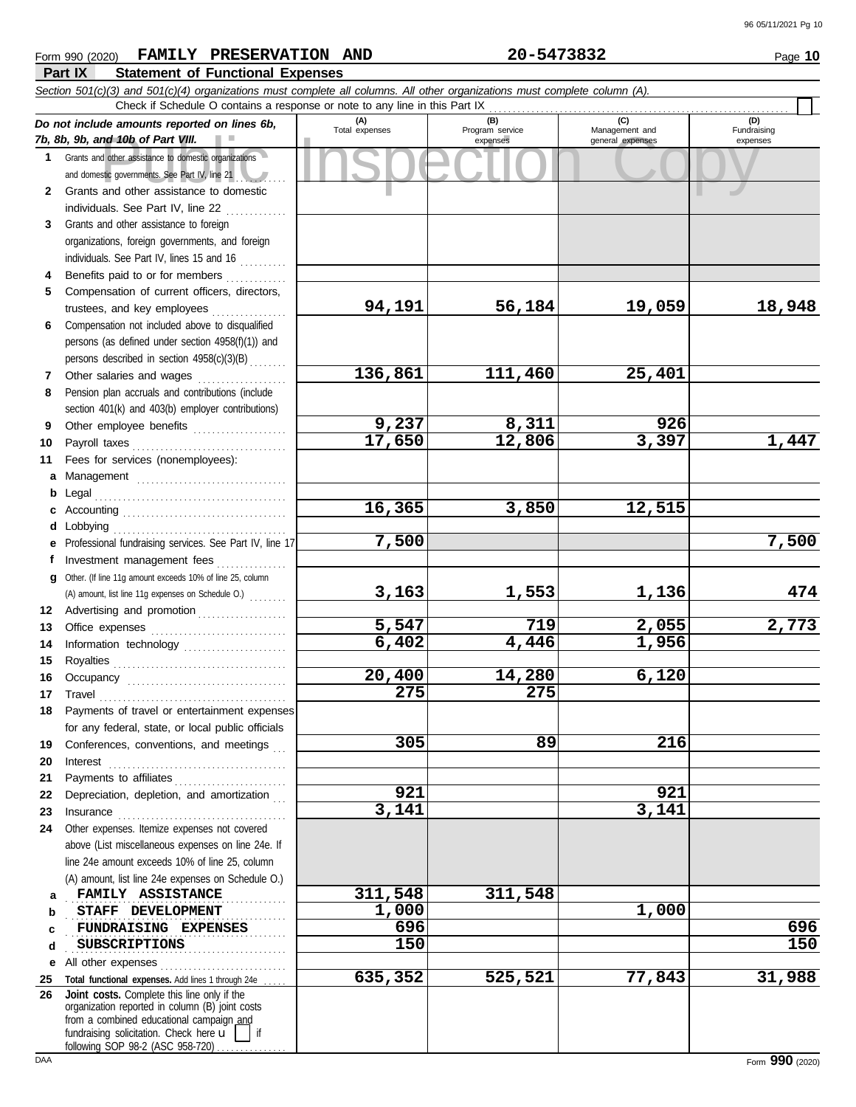#### nd 10b of Part VIII.<br>
dother assistance to domestic organizations<br>
and other assistance to domestic<br>
and other assistance to domestic **Part IX Statement of Functional Expenses** Form 990 (2020) Page **10 FAMILY PRESERVATION AND 20-5473832** *Section 501(c)(3) and 501(c)(4) organizations must complete all columns. All other organizations must complete column (A). Do not include amounts reported on lines 6b, 7b, 8b, 9b, and 10b of Part VIII.* **1 2 3 4 5 6 7 8 9 10 11 a** Management ................................. **b** Legal . . . . . . . . . . . . . . . . . . . . . . . . . . . . . . . . . . . . . . . . . **c** Accounting . . . . . . . . . . . . . . . . . . . . . . . . . . . . . . . . . . . **d** Lobbying . . . . . . . . . . . . . . . . . . . . . . . . . . . . . . . . . . . . . **e** Professional fundraising services. See Part IV, line 17 **f g** Other. (If line 11g amount exceeds 10% of line 25, column **12** Advertising and promotion . . . . . . . . . . . . . . . . . **13 14 15 16 17 18 19 20 21 22** Depreciation, depletion, and amortization . . . **23 24 a b c d e** All other expenses . . . . . . . . . . . . . . . . . . . . . . . . . . . **25 Total functional expenses.** Add lines 1 through 24e . . . . . **26** Grants and other assistance to domestic organizations and domestic governments. See Part IV, line 21 Grants and other assistance to domestic individuals. See Part IV, line 22 Grants and other assistance to foreign organizations, foreign governments, and foreign individuals. See Part IV, lines 15 and 16 Benefits paid to or for members ............. Compensation of current officers, directors, trustees, and key employees . . . . . . . . . . . . . . . . Compensation not included above to disqualified persons (as defined under section 4958(f)(1)) and persons described in section 4958(c)(3)(B) . . . . . . . . Other salaries and wages ................... Pension plan accruals and contributions (include section 401(k) and 403(b) employer contributions) Other employee benefits .................... Payroll taxes . . . . . . . . . . . . . . . . . . . . . . . . . . . . . . . . . Fees for services (nonemployees): Investment management fees ................ Office expenses ................................ Information technology ..................... Royalties . . . . . . . . . . . . . . . . . . . . . . . . . . . . . . . . . . . . . Occupancy . . . . . . . . . . . . . . . . . . . . . . . . . . . . . . . . . . Travel . . . . . . . . . . . . . . . . . . . . . . . . . . . . . . . . . . . . . . . . Payments of travel or entertainment expenses for any federal, state, or local public officials Conferences, conventions, and meetings Interest . . . . . . . . . . . . . . . . . . . . . . . . . . . . . . . . . . . . . . Payments to affiliates . . . . . . . . . . . . . . . . . . . . . . . . Insurance . . . . . . . . . . . . . . . . . . . . . . . . . . . . . . . . . . . . Other expenses. Itemize expenses not covered above (List miscellaneous expenses on line 24e. If line 24e amount exceeds 10% of line 25, column (A) amount, list line 24e expenses on Schedule O.) fundraising solicitation. Check here  $\mathbf{u}$  | if organization reported in column (B) joint costs from a combined educational campaign and **(A) (B) (C) (D)** Management and expenses and general expenses (D)<br>Fundraising expenses **FAMILY ASSISTANCE** 211,548 311,548 **STAFF DEVELOPMENT** 1,000 1,000 1,000 . . . . . . . . . . . . . . . . . . . . . . . . . . . . . . . . . . . . . . . . . . . . . . . **FUNDRAISING EXPENSES 696 696** . . . . . . . . . . . . . . . . . . . . . . . . . . . . . . . . . . . . . . . . . . . . . . . Check if Schedule O contains a response or note to any line in this Part IX **Joint costs.** Complete this line only if the (A) amount, list line 11g expenses on Schedule O.) . . . . . . . . **94,191 56,184 19,059 18,948 136,861 111,460 25,401 9,237 8,311 926 17,650 12,806 3,397 1,447 16,365 3,850 12,515 7,500 7,500 3,163 1,553 1,136 474 5,547 719 2,055 2,773 6,402 4,446 1,956 20,400 14,280 6,120 275 275 305 89 216 921 921 3,141 3,141 SUBSCRIPTIONS 150 150 635,352 525,521 77,843 31,988**

following SOP 98-2 (ASC 958-720)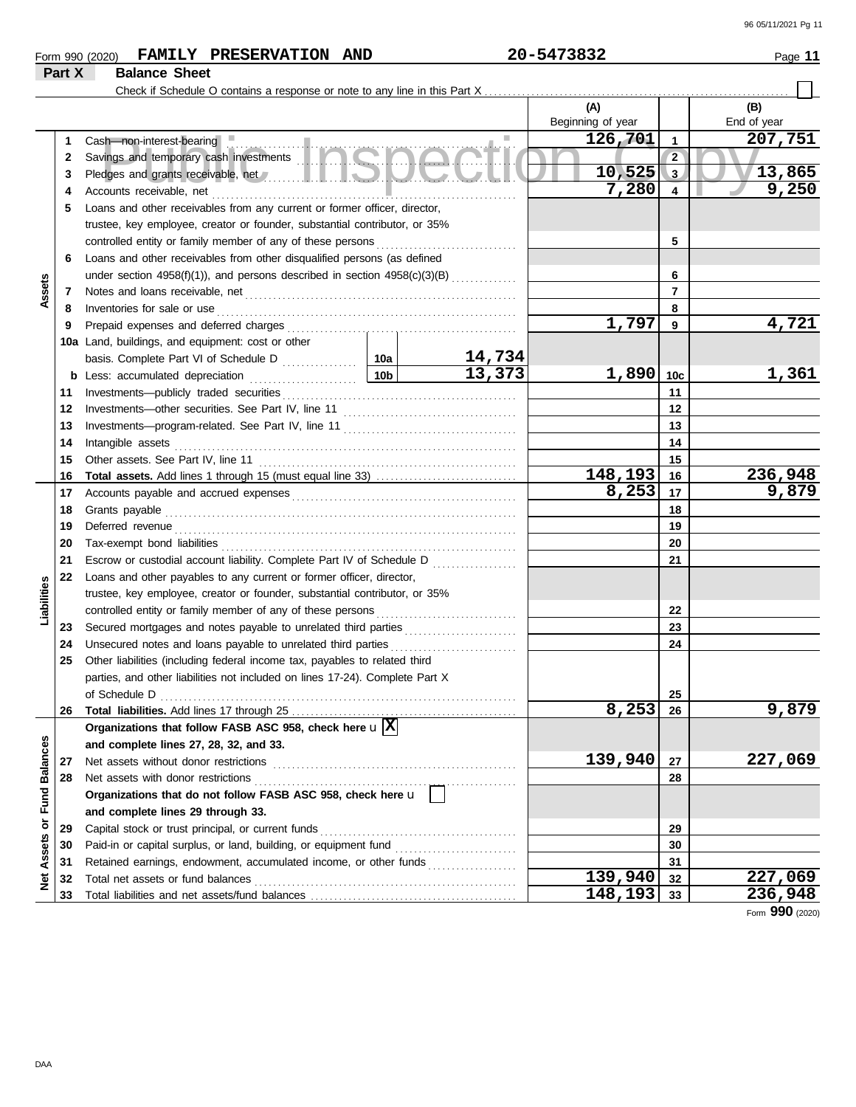|  | Form 990 (2020) |  | FAMILY PRESERVATION AND |  | 20-5473832 | Page |
|--|-----------------|--|-------------------------|--|------------|------|
|--|-----------------|--|-------------------------|--|------------|------|

# **Part X Balance Sheet**

Check if Schedule O contains a response or note to any line in this Part X . . . . . . . . . . . . . . . . . . . . . . . . . . . . . . . . . . . . . . . . . . . . . . . . . . . . . . . . . . . . . . . . .

|                         |    |                                                                                                                                                                                                                                      |                 |                         | (A)               |                | (B)             |
|-------------------------|----|--------------------------------------------------------------------------------------------------------------------------------------------------------------------------------------------------------------------------------------|-----------------|-------------------------|-------------------|----------------|-----------------|
|                         |    |                                                                                                                                                                                                                                      |                 |                         | Beginning of year |                | End of year     |
|                         | 1  | Cash-non-interest-bearing                                                                                                                                                                                                            |                 |                         | 126,701           | $\overline{1}$ | 207,751         |
|                         | 2  | Savings and temporary cash investments <b>the same of the Savings</b>                                                                                                                                                                |                 |                         |                   | $\overline{2}$ |                 |
|                         | 3  |                                                                                                                                                                                                                                      |                 |                         | 10,525            | 3              | 13,865          |
|                         | 4  | Accounts receivable, net                                                                                                                                                                                                             |                 |                         | 7,280             | $\overline{4}$ | 9,250           |
|                         | 5  | Loans and other receivables from any current or former officer, director,                                                                                                                                                            |                 |                         |                   |                |                 |
|                         |    | trustee, key employee, creator or founder, substantial contributor, or 35%                                                                                                                                                           |                 |                         |                   |                |                 |
|                         |    | controlled entity or family member of any of these persons                                                                                                                                                                           |                 |                         |                   | 5              |                 |
|                         | 6  | Loans and other receivables from other disqualified persons (as defined                                                                                                                                                              |                 |                         |                   |                |                 |
|                         |    | under section 4958(f)(1)), and persons described in section 4958(c)(3)(B)                                                                                                                                                            |                 |                         |                   | 6              |                 |
| Assets                  | 7  |                                                                                                                                                                                                                                      |                 |                         |                   | $\overline{7}$ |                 |
|                         | 8  | Inventories for sale or use                                                                                                                                                                                                          |                 |                         |                   | 8              |                 |
|                         | 9  |                                                                                                                                                                                                                                      |                 |                         | 1,797             | 9              | 4,721           |
|                         |    | 10a Land, buildings, and equipment: cost or other                                                                                                                                                                                    |                 |                         |                   |                |                 |
|                         |    |                                                                                                                                                                                                                                      |                 | $\frac{14,734}{13,373}$ |                   |                |                 |
|                         | b  | Less: accumulated depreciation                                                                                                                                                                                                       | 10 <sub>b</sub> |                         | 1,890             | 10c            | 1,361           |
|                         | 11 | Investments-publicly traded securities                                                                                                                                                                                               |                 |                         |                   | 11             |                 |
|                         | 12 |                                                                                                                                                                                                                                      |                 |                         |                   | 12             |                 |
|                         | 13 |                                                                                                                                                                                                                                      |                 |                         |                   | 13             |                 |
|                         | 14 | Intangible assets                                                                                                                                                                                                                    |                 |                         |                   | 14             |                 |
|                         | 15 | Other assets. See Part IV, line 11                                                                                                                                                                                                   |                 |                         |                   | 15             |                 |
|                         | 16 |                                                                                                                                                                                                                                      |                 |                         | 148,193           | 16             | 236,948         |
|                         | 17 |                                                                                                                                                                                                                                      |                 |                         | 8,253             | $\vert$ 17     | 9,879           |
|                         | 18 | Grants payable                                                                                                                                                                                                                       |                 |                         |                   | 18             |                 |
|                         | 19 | Deferred revenue <b>contract and the contract of the contract of the contract of the contract of the contract of the contract of the contract of the contract of the contract of the contract of the contract of the contract of</b> |                 | 19                      |                   |                |                 |
|                         | 20 | Tax-exempt bond liabilities                                                                                                                                                                                                          |                 |                         | 20                |                |                 |
|                         | 21 | Escrow or custodial account liability. Complete Part IV of Schedule D                                                                                                                                                                |                 |                         |                   | 21             |                 |
|                         | 22 | Loans and other payables to any current or former officer, director,                                                                                                                                                                 |                 |                         |                   |                |                 |
| Liabilities             |    | trustee, key employee, creator or founder, substantial contributor, or 35%                                                                                                                                                           |                 |                         |                   |                |                 |
|                         |    | controlled entity or family member of any of these persons                                                                                                                                                                           |                 |                         |                   | 22             |                 |
|                         | 23 | Secured mortgages and notes payable to unrelated third parties [111] Secured mortgages and notes payable to unrelated third parties                                                                                                  |                 |                         |                   | 23             |                 |
|                         | 24 | Unsecured notes and loans payable to unrelated third parties                                                                                                                                                                         |                 |                         |                   | 24             |                 |
|                         | 25 | Other liabilities (including federal income tax, payables to related third                                                                                                                                                           |                 |                         |                   |                |                 |
|                         |    | parties, and other liabilities not included on lines 17-24). Complete Part X                                                                                                                                                         |                 |                         |                   |                |                 |
|                         |    | of Schedule D                                                                                                                                                                                                                        |                 |                         |                   | 25             |                 |
|                         | 26 |                                                                                                                                                                                                                                      |                 |                         | 8,253             | 26             | 9,879           |
|                         |    | Organizations that follow FASB ASC 958, check here $\mathbf{u}$ $\overline{\mathbf{X}}$                                                                                                                                              |                 |                         |                   |                |                 |
|                         |    | and complete lines 27, 28, 32, and 33.                                                                                                                                                                                               |                 |                         |                   |                |                 |
|                         | 27 | Net assets without donor restrictions                                                                                                                                                                                                |                 |                         | 139,940           | 27             | 227,069         |
|                         | 28 | Net assets with donor restrictions                                                                                                                                                                                                   |                 |                         |                   | 28             |                 |
|                         |    | Organizations that do not follow FASB ASC 958, check here u                                                                                                                                                                          |                 |                         |                   |                |                 |
|                         |    | and complete lines 29 through 33.                                                                                                                                                                                                    |                 |                         |                   |                |                 |
|                         | 29 | Capital stock or trust principal, or current funds                                                                                                                                                                                   |                 |                         |                   | 29             |                 |
| Assets or Fund Balances | 30 | Paid-in or capital surplus, or land, building, or equipment fund                                                                                                                                                                     |                 |                         |                   | 30             |                 |
|                         | 31 | Retained earnings, endowment, accumulated income, or other funds                                                                                                                                                                     |                 |                         |                   | 31             |                 |
| <b>Met</b>              | 32 | Total net assets or fund balances                                                                                                                                                                                                    |                 |                         | 139,940           | 32             | 227,069         |
|                         | 33 |                                                                                                                                                                                                                                      |                 |                         | 148,193           | 33             | 236,948         |
|                         |    |                                                                                                                                                                                                                                      |                 |                         |                   |                | Form 990 (2020) |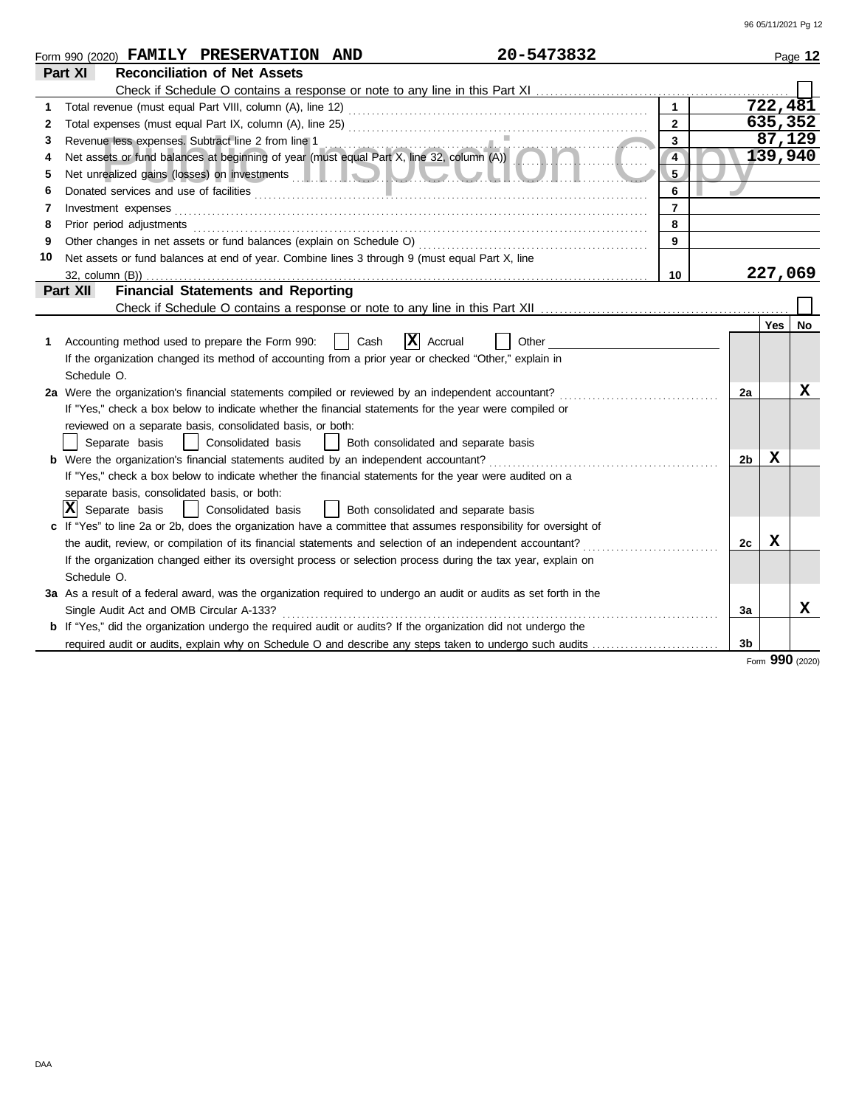|    | 20-5473832<br>Form 990 (2020) FAMILY PRESERVATION AND                                                                                                                                                                               |                 |    |          | Page 12 |
|----|-------------------------------------------------------------------------------------------------------------------------------------------------------------------------------------------------------------------------------------|-----------------|----|----------|---------|
|    | <b>Reconciliation of Net Assets</b><br>Part XI                                                                                                                                                                                      |                 |    |          |         |
|    |                                                                                                                                                                                                                                     |                 |    |          |         |
|    |                                                                                                                                                                                                                                     | $\mathbf{1}$    |    | 722, 481 |         |
| 2  |                                                                                                                                                                                                                                     | $\overline{2}$  |    | 635,352  |         |
| 3  |                                                                                                                                                                                                                                     | $\overline{3}$  |    | 87,129   |         |
| 4  | Revenue less expenses. Subtract line 2 from line 1<br>Net assets or fund balances at beginning of year (must equal Part X, line 32, column (A))                                                                                     | $\overline{4}$  |    | 139,940  |         |
| 5  |                                                                                                                                                                                                                                     | $5\phantom{.0}$ |    |          |         |
| 6  | Donated services and use of facilities <b>constructs</b> and the service of the service of the service of the service of the service of the service of the service of the service of the service of the service of the service of t | 6               |    |          |         |
| 7  |                                                                                                                                                                                                                                     | $\overline{7}$  |    |          |         |
| 8  | Prior period adjustments entertainments and a statements of the statement of the statement of the statements of the statement of the statement of the statement of the statement of the statement of the statement of the stat      | 8               |    |          |         |
| 9  |                                                                                                                                                                                                                                     | 9               |    |          |         |
| 10 | Net assets or fund balances at end of year. Combine lines 3 through 9 (must equal Part X, line                                                                                                                                      |                 |    |          |         |
|    |                                                                                                                                                                                                                                     | 10              |    | 227,069  |         |
|    | <b>Financial Statements and Reporting</b><br><b>Part XII</b>                                                                                                                                                                        |                 |    |          |         |
|    |                                                                                                                                                                                                                                     |                 |    |          |         |
|    |                                                                                                                                                                                                                                     |                 |    | Yes      | No      |
| 1  | $ \mathbf{x} $<br>Cash<br>Accounting method used to prepare the Form 990:<br>Accrual<br>Other                                                                                                                                       |                 |    |          |         |
|    | If the organization changed its method of accounting from a prior year or checked "Other," explain in                                                                                                                               |                 |    |          |         |
|    | Schedule O.                                                                                                                                                                                                                         |                 |    |          |         |
|    | 2a Were the organization's financial statements compiled or reviewed by an independent accountant?                                                                                                                                  |                 | 2a |          | X       |
|    | If "Yes," check a box below to indicate whether the financial statements for the year were compiled or                                                                                                                              |                 |    |          |         |
|    | reviewed on a separate basis, consolidated basis, or both:                                                                                                                                                                          |                 |    |          |         |
|    | Separate basis<br>  Consolidated basis<br>  Both consolidated and separate basis                                                                                                                                                    |                 |    |          |         |
|    | <b>b</b> Were the organization's financial statements audited by an independent accountant?                                                                                                                                         |                 | 2b | X        |         |
|    | If "Yes," check a box below to indicate whether the financial statements for the year were audited on a                                                                                                                             |                 |    |          |         |
|    | separate basis, consolidated basis, or both:                                                                                                                                                                                        |                 |    |          |         |
|    | IXI<br>Separate basis<br>  Consolidated basis<br>  Both consolidated and separate basis                                                                                                                                             |                 |    |          |         |
|    | c If "Yes" to line 2a or 2b, does the organization have a committee that assumes responsibility for oversight of                                                                                                                    |                 |    |          |         |
|    | the audit, review, or compilation of its financial statements and selection of an independent accountant?                                                                                                                           |                 | 2c | х        |         |
|    | If the organization changed either its oversight process or selection process during the tax year, explain on                                                                                                                       |                 |    |          |         |
|    | Schedule O.                                                                                                                                                                                                                         |                 |    |          |         |
|    | 3a As a result of a federal award, was the organization required to undergo an audit or audits as set forth in the                                                                                                                  |                 |    |          |         |
|    | Single Audit Act and OMB Circular A-133?                                                                                                                                                                                            |                 | За |          | x       |
|    | <b>b</b> If "Yes," did the organization undergo the required audit or audits? If the organization did not undergo the                                                                                                               |                 |    |          |         |
|    | required audit or audits, explain why on Schedule O and describe any steps taken to undergo such audits                                                                                                                             |                 | 3b |          |         |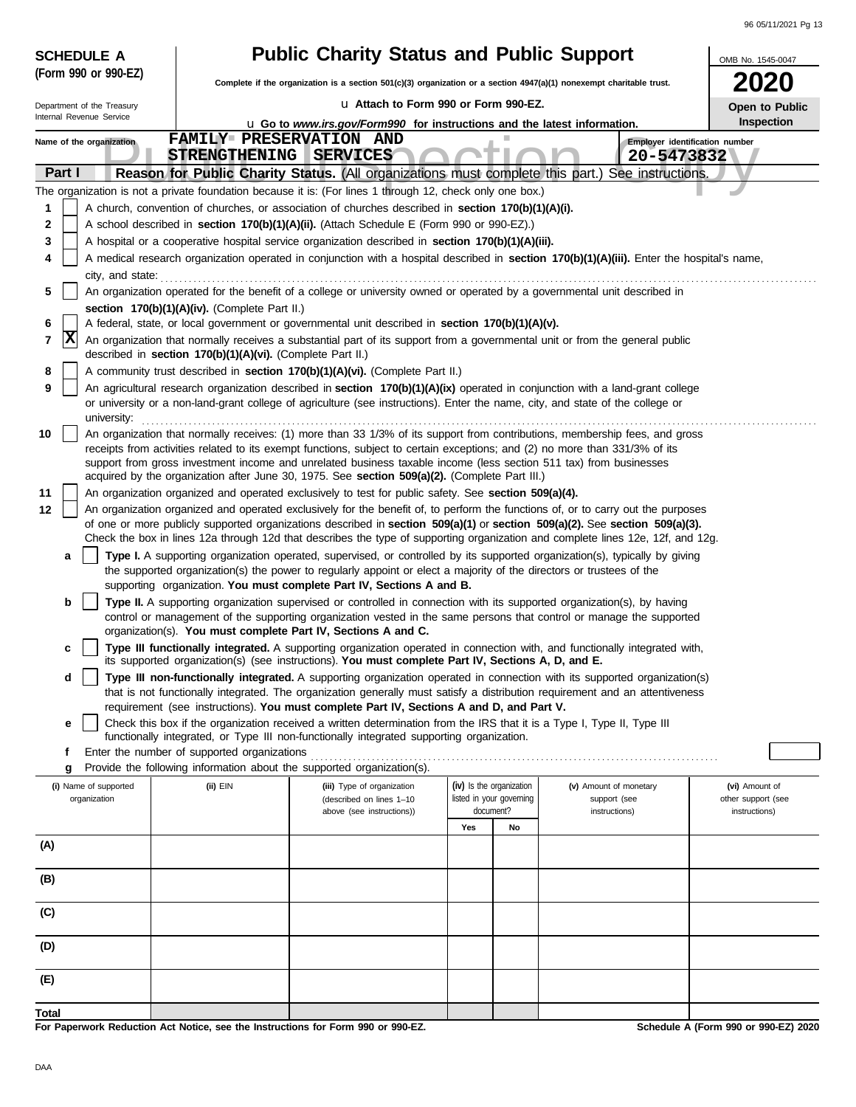| <b>SCHEDULE A</b>                                                                                                                                      |                                                                                                                                            | <b>Public Charity Status and Public Support</b>                                                                                                                                                                                                                |                                       |    |                                              | OMB No. 1545-0047                   |
|--------------------------------------------------------------------------------------------------------------------------------------------------------|--------------------------------------------------------------------------------------------------------------------------------------------|----------------------------------------------------------------------------------------------------------------------------------------------------------------------------------------------------------------------------------------------------------------|---------------------------------------|----|----------------------------------------------|-------------------------------------|
| (Form 990 or 990-EZ)                                                                                                                                   |                                                                                                                                            | Complete if the organization is a section 501(c)(3) organization or a section 4947(a)(1) nonexempt charitable trust.                                                                                                                                           |                                       |    |                                              |                                     |
| Department of the Treasury                                                                                                                             |                                                                                                                                            | La Attach to Form 990 or Form 990-EZ.                                                                                                                                                                                                                          |                                       |    |                                              | Open to Public                      |
| Internal Revenue Service                                                                                                                               |                                                                                                                                            | <b>u</b> Go to www.irs.gov/Form990 for instructions and the latest information.                                                                                                                                                                                |                                       |    |                                              | Inspection                          |
| Name of the organization                                                                                                                               | <b>STRENGTHENING</b>                                                                                                                       | FAMILY PRESERVATION AND<br><b>SERVICES</b>                                                                                                                                                                                                                     |                                       |    | Employer identification number<br>20-5473832 |                                     |
| Part I                                                                                                                                                 |                                                                                                                                            | Reason for Public Charity Status. (All organizations must complete this part.)                                                                                                                                                                                 |                                       |    | See instructions.                            |                                     |
|                                                                                                                                                        |                                                                                                                                            | The organization is not a private foundation because it is: (For lines 1 through 12, check only one box.)                                                                                                                                                      |                                       |    |                                              |                                     |
| 1                                                                                                                                                      |                                                                                                                                            | A church, convention of churches, or association of churches described in section 170(b)(1)(A)(i).                                                                                                                                                             |                                       |    |                                              |                                     |
| 2                                                                                                                                                      |                                                                                                                                            | A school described in section 170(b)(1)(A)(ii). (Attach Schedule E (Form 990 or 990-EZ).)                                                                                                                                                                      |                                       |    |                                              |                                     |
| 3<br>4                                                                                                                                                 |                                                                                                                                            | A hospital or a cooperative hospital service organization described in section 170(b)(1)(A)(iii).<br>A medical research organization operated in conjunction with a hospital described in section 170(b)(1)(A)(iii). Enter the hospital's name,                |                                       |    |                                              |                                     |
| city, and state:                                                                                                                                       |                                                                                                                                            |                                                                                                                                                                                                                                                                |                                       |    |                                              |                                     |
| 5                                                                                                                                                      |                                                                                                                                            | An organization operated for the benefit of a college or university owned or operated by a governmental unit described in                                                                                                                                      |                                       |    |                                              |                                     |
| section 170(b)(1)(A)(iv). (Complete Part II.)<br>A federal, state, or local government or governmental unit described in section 170(b)(1)(A)(v).<br>6 |                                                                                                                                            |                                                                                                                                                                                                                                                                |                                       |    |                                              |                                     |
| X<br>7<br>An organization that normally receives a substantial part of its support from a governmental unit or from the general public                 |                                                                                                                                            |                                                                                                                                                                                                                                                                |                                       |    |                                              |                                     |
| 8                                                                                                                                                      | described in section 170(b)(1)(A)(vi). (Complete Part II.)<br>A community trust described in section 170(b)(1)(A)(vi). (Complete Part II.) |                                                                                                                                                                                                                                                                |                                       |    |                                              |                                     |
| 9                                                                                                                                                      |                                                                                                                                            | An agricultural research organization described in section 170(b)(1)(A)(ix) operated in conjunction with a land-grant college                                                                                                                                  |                                       |    |                                              |                                     |
| university:                                                                                                                                            | or university or a non-land-grant college of agriculture (see instructions). Enter the name, city, and state of the college or             |                                                                                                                                                                                                                                                                |                                       |    |                                              |                                     |
| 10                                                                                                                                                     |                                                                                                                                            | An organization that normally receives: (1) more than 33 1/3% of its support from contributions, membership fees, and gross                                                                                                                                    |                                       |    |                                              |                                     |
|                                                                                                                                                        |                                                                                                                                            | receipts from activities related to its exempt functions, subject to certain exceptions; and (2) no more than 331/3% of its<br>support from gross investment income and unrelated business taxable income (less section 511 tax) from businesses               |                                       |    |                                              |                                     |
|                                                                                                                                                        |                                                                                                                                            | acquired by the organization after June 30, 1975. See section 509(a)(2). (Complete Part III.)                                                                                                                                                                  |                                       |    |                                              |                                     |
| 11<br>12                                                                                                                                               |                                                                                                                                            | An organization organized and operated exclusively to test for public safety. See section 509(a)(4).<br>An organization organized and operated exclusively for the benefit of, to perform the functions of, or to carry out the purposes                       |                                       |    |                                              |                                     |
|                                                                                                                                                        |                                                                                                                                            | of one or more publicly supported organizations described in section 509(a)(1) or section 509(a)(2). See section 509(a)(3).                                                                                                                                    |                                       |    |                                              |                                     |
| a                                                                                                                                                      |                                                                                                                                            | Check the box in lines 12a through 12d that describes the type of supporting organization and complete lines 12e, 12f, and 12g.<br>Type I. A supporting organization operated, supervised, or controlled by its supported organization(s), typically by giving |                                       |    |                                              |                                     |
|                                                                                                                                                        |                                                                                                                                            | the supported organization(s) the power to regularly appoint or elect a majority of the directors or trustees of the<br>supporting organization. You must complete Part IV, Sections A and B.                                                                  |                                       |    |                                              |                                     |
| b                                                                                                                                                      |                                                                                                                                            | Type II. A supporting organization supervised or controlled in connection with its supported organization(s), by having                                                                                                                                        |                                       |    |                                              |                                     |
|                                                                                                                                                        |                                                                                                                                            | control or management of the supporting organization vested in the same persons that control or manage the supported<br>organization(s). You must complete Part IV, Sections A and C.                                                                          |                                       |    |                                              |                                     |
| c                                                                                                                                                      |                                                                                                                                            | Type III functionally integrated. A supporting organization operated in connection with, and functionally integrated with,                                                                                                                                     |                                       |    |                                              |                                     |
| d                                                                                                                                                      |                                                                                                                                            | its supported organization(s) (see instructions). You must complete Part IV, Sections A, D, and E.<br>Type III non-functionally integrated. A supporting organization operated in connection with its supported organization(s)                                |                                       |    |                                              |                                     |
|                                                                                                                                                        |                                                                                                                                            | that is not functionally integrated. The organization generally must satisfy a distribution requirement and an attentiveness                                                                                                                                   |                                       |    |                                              |                                     |
| е                                                                                                                                                      |                                                                                                                                            | requirement (see instructions). You must complete Part IV, Sections A and D, and Part V.<br>Check this box if the organization received a written determination from the IRS that it is a Type I, Type II, Type III                                            |                                       |    |                                              |                                     |
|                                                                                                                                                        |                                                                                                                                            | functionally integrated, or Type III non-functionally integrated supporting organization.                                                                                                                                                                      |                                       |    |                                              |                                     |
| f<br>g                                                                                                                                                 | Enter the number of supported organizations                                                                                                | Provide the following information about the supported organization(s).                                                                                                                                                                                         |                                       |    |                                              |                                     |
| (i) Name of supported                                                                                                                                  | (ii) EIN                                                                                                                                   | (iii) Type of organization                                                                                                                                                                                                                                     | (iv) Is the organization              |    | (v) Amount of monetary                       | (vi) Amount of                      |
| organization                                                                                                                                           |                                                                                                                                            | (described on lines 1-10<br>above (see instructions))                                                                                                                                                                                                          | listed in your governing<br>document? |    | support (see<br>instructions)                | other support (see<br>instructions) |
|                                                                                                                                                        |                                                                                                                                            |                                                                                                                                                                                                                                                                | Yes                                   | No |                                              |                                     |
| (A)                                                                                                                                                    |                                                                                                                                            |                                                                                                                                                                                                                                                                |                                       |    |                                              |                                     |
| (B)                                                                                                                                                    |                                                                                                                                            |                                                                                                                                                                                                                                                                |                                       |    |                                              |                                     |
| (C)                                                                                                                                                    |                                                                                                                                            |                                                                                                                                                                                                                                                                |                                       |    |                                              |                                     |
|                                                                                                                                                        |                                                                                                                                            |                                                                                                                                                                                                                                                                |                                       |    |                                              |                                     |
| (D)                                                                                                                                                    |                                                                                                                                            |                                                                                                                                                                                                                                                                |                                       |    |                                              |                                     |
| (E)                                                                                                                                                    |                                                                                                                                            |                                                                                                                                                                                                                                                                |                                       |    |                                              |                                     |
| Total                                                                                                                                                  |                                                                                                                                            |                                                                                                                                                                                                                                                                |                                       |    |                                              |                                     |

**For Paperwork Reduction Act Notice, see the Instructions for Form 990 or 990-EZ.**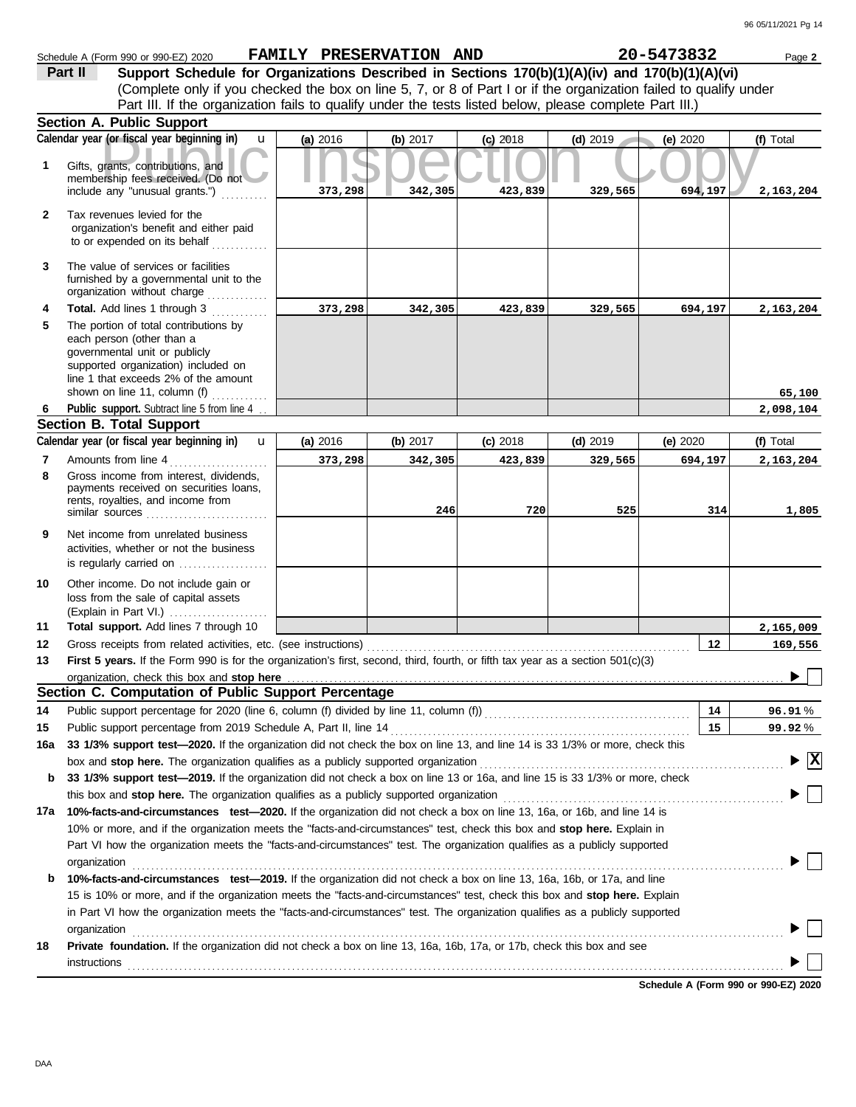|              | Schedule A (Form 990 or 990-EZ) 2020                                                                                                                                                                                                                                                  | FAMILY PRESERVATION AND |          |            |            | 20-5473832 | Page 2                             |
|--------------|---------------------------------------------------------------------------------------------------------------------------------------------------------------------------------------------------------------------------------------------------------------------------------------|-------------------------|----------|------------|------------|------------|------------------------------------|
|              | Support Schedule for Organizations Described in Sections 170(b)(1)(A)(iv) and 170(b)(1)(A)(vi)<br>Part II                                                                                                                                                                             |                         |          |            |            |            |                                    |
|              | (Complete only if you checked the box on line 5, 7, or 8 of Part I or if the organization failed to qualify under                                                                                                                                                                     |                         |          |            |            |            |                                    |
|              | Part III. If the organization fails to qualify under the tests listed below, please complete Part III.)                                                                                                                                                                               |                         |          |            |            |            |                                    |
|              | Section A. Public Support                                                                                                                                                                                                                                                             |                         |          |            |            |            |                                    |
|              | Calendar year (or fiscal year beginning in)<br>$\mathbf{u}$                                                                                                                                                                                                                           | (a) 2016                | (b) 2017 | $(c)$ 2018 | $(d)$ 2019 | (e) 2020   | (f) Total                          |
| 1            | Gifts, grants, contributions, and<br>membership fees received. (Do not<br>include any "unusual grants.")                                                                                                                                                                              | 373,298                 | 342,305  | 423,839    | 329,565    | 694,197    | 2,163,204                          |
| $\mathbf{2}$ | Tax revenues levied for the<br>organization's benefit and either paid<br>to or expended on its behalf                                                                                                                                                                                 |                         |          |            |            |            |                                    |
| 3            | The value of services or facilities<br>furnished by a governmental unit to the<br>organization without charge                                                                                                                                                                         |                         |          |            |            |            |                                    |
| 4            | Total. Add lines 1 through 3                                                                                                                                                                                                                                                          | 373,298                 | 342,305  | 423,839    | 329,565    | 694,197    | 2,163,204                          |
| 5            | The portion of total contributions by<br>each person (other than a<br>governmental unit or publicly<br>supported organization) included on<br>line 1 that exceeds 2% of the amount<br>shown on line 11, column (f)                                                                    |                         |          |            |            |            | 65,100                             |
| 6            | Public support. Subtract line 5 from line 4.                                                                                                                                                                                                                                          |                         |          |            |            |            | 2,098,104                          |
|              | <b>Section B. Total Support</b>                                                                                                                                                                                                                                                       |                         |          |            |            |            |                                    |
|              | Calendar year (or fiscal year beginning in)<br>$\mathbf{u}$                                                                                                                                                                                                                           | (a) 2016                | (b) 2017 | $(c)$ 2018 | $(d)$ 2019 | (e) 2020   | (f) Total                          |
| 7            | Amounts from line 4                                                                                                                                                                                                                                                                   | 373,298                 | 342,305  | 423,839    | 329,565    | 694,197    | 2,163,204                          |
| 8            | Gross income from interest, dividends,<br>payments received on securities loans,<br>rents, royalties, and income from<br>similar sources                                                                                                                                              |                         | 246      | 720        | 525        | 314        | 1,805                              |
| 9            | Net income from unrelated business<br>activities, whether or not the business                                                                                                                                                                                                         |                         |          |            |            |            |                                    |
| 10<br>11     | Other income. Do not include gain or<br>loss from the sale of capital assets<br>(Explain in Part VI.)<br>Total support. Add lines 7 through 10                                                                                                                                        |                         |          |            |            |            |                                    |
|              |                                                                                                                                                                                                                                                                                       |                         |          |            |            |            | 2,165,009                          |
| 12           | Gross receipts from related activities, etc. (see instructions)                                                                                                                                                                                                                       |                         |          |            |            | 12         | 169,556                            |
| 13           | First 5 years. If the Form 990 is for the organization's first, second, third, fourth, or fifth tax year as a section 501(c)(3)                                                                                                                                                       |                         |          |            |            |            |                                    |
|              | organization, check this box and stop here manufactured and content to the state of the state of the state of the state of the state of the state of the state of the state of the state of the state of the state of the stat<br>Section C. Computation of Public Support Percentage |                         |          |            |            |            |                                    |
|              |                                                                                                                                                                                                                                                                                       |                         |          |            |            |            |                                    |
| 14           |                                                                                                                                                                                                                                                                                       |                         |          |            |            | 14         | 96.91%                             |
| 15           | Public support percentage from 2019 Schedule A, Part II, line 14                                                                                                                                                                                                                      |                         |          |            |            | 15         | 99.92%                             |
| 16a          | 33 1/3% support test-2020. If the organization did not check the box on line 13, and line 14 is 33 1/3% or more, check this                                                                                                                                                           |                         |          |            |            |            |                                    |
|              | box and stop here. The organization qualifies as a publicly supported organization                                                                                                                                                                                                    |                         |          |            |            |            | $\blacktriangleright \overline{X}$ |
| b            | 33 1/3% support test-2019. If the organization did not check a box on line 13 or 16a, and line 15 is 33 1/3% or more, check                                                                                                                                                           |                         |          |            |            |            |                                    |
|              | this box and stop here. The organization qualifies as a publicly supported organization                                                                                                                                                                                               |                         |          |            |            |            |                                    |
|              | 17a 10%-facts-and-circumstances test-2020. If the organization did not check a box on line 13, 16a, or 16b, and line 14 is                                                                                                                                                            |                         |          |            |            |            |                                    |
|              | 10% or more, and if the organization meets the "facts-and-circumstances" test, check this box and stop here. Explain in                                                                                                                                                               |                         |          |            |            |            |                                    |
|              | Part VI how the organization meets the "facts-and-circumstances" test. The organization qualifies as a publicly supported                                                                                                                                                             |                         |          |            |            |            |                                    |
|              | organization                                                                                                                                                                                                                                                                          |                         |          |            |            |            |                                    |
| b            | 10%-facts-and-circumstances test-2019. If the organization did not check a box on line 13, 16a, 16b, or 17a, and line                                                                                                                                                                 |                         |          |            |            |            |                                    |
|              | 15 is 10% or more, and if the organization meets the "facts-and-circumstances" test, check this box and stop here. Explain                                                                                                                                                            |                         |          |            |            |            |                                    |
|              | in Part VI how the organization meets the "facts-and-circumstances" test. The organization qualifies as a publicly supported                                                                                                                                                          |                         |          |            |            |            |                                    |
|              | organization                                                                                                                                                                                                                                                                          |                         |          |            |            |            |                                    |
| 18           | Private foundation. If the organization did not check a box on line 13, 16a, 16b, 17a, or 17b, check this box and see<br>instructions                                                                                                                                                 |                         |          |            |            |            |                                    |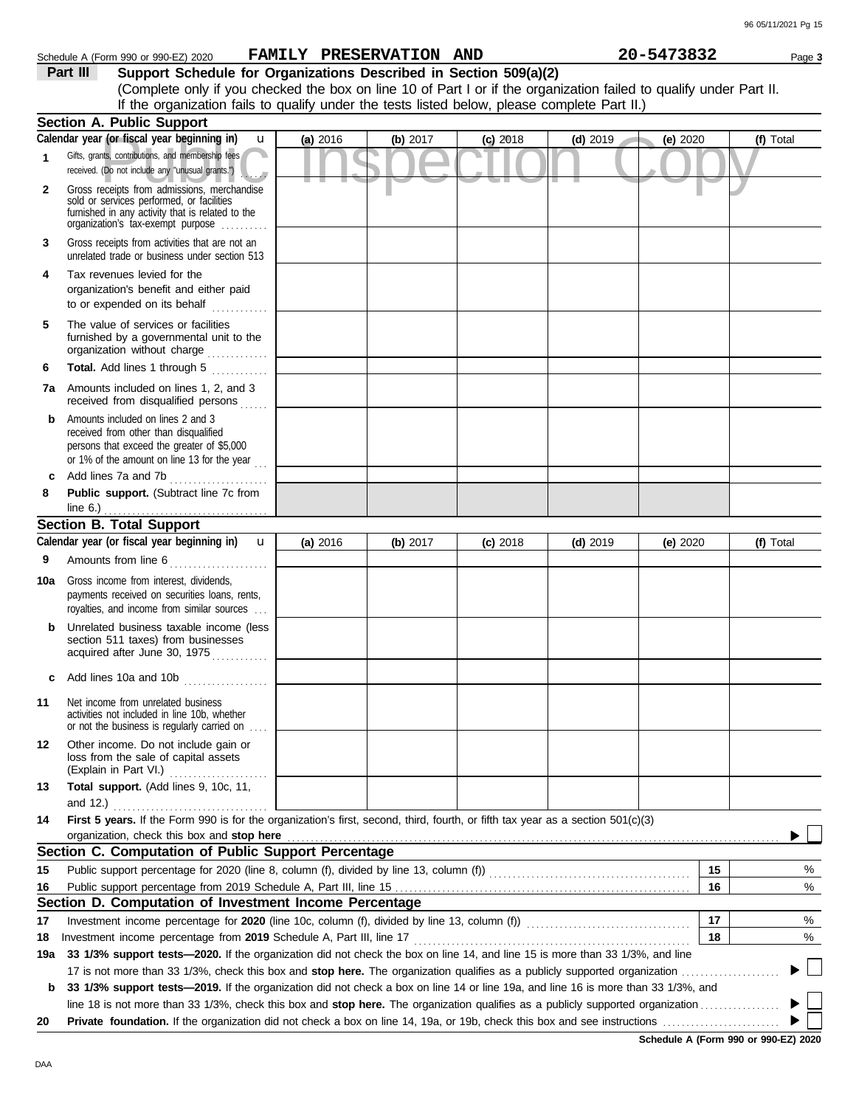|          | Schedule A (Form 990 or 990-EZ) 2020                                                                                                                                                                               |          | <b>FAMILY PRESERVATION</b> | AND        |            | 20-5473832 | Page 3    |
|----------|--------------------------------------------------------------------------------------------------------------------------------------------------------------------------------------------------------------------|----------|----------------------------|------------|------------|------------|-----------|
| Part III | Support Schedule for Organizations Described in Section 509(a)(2)                                                                                                                                                  |          |                            |            |            |            |           |
|          | (Complete only if you checked the box on line 10 of Part I or if the organization failed to qualify under Part II.<br>If the organization fails to qualify under the tests listed below, please complete Part II.) |          |                            |            |            |            |           |
|          | <b>Section A. Public Support</b>                                                                                                                                                                                   |          |                            |            |            |            |           |
|          | Calendar year (or fiscal year beginning in)<br>u                                                                                                                                                                   | (a) 2016 | (b) $2017$                 | $(c)$ 2018 | $(d)$ 2019 | (e) $2020$ | (f) Total |
|          | Gifts, grants, contributions, and membership fees<br>received. (Do not include any "unusual grants.")<br>Alberta B                                                                                                 |          |                            |            |            |            |           |
|          | Gross receipts from admissions, merchandise<br>sold or services performed, or facilities<br>furnished in any activity that is related to the<br>organization's tax-exempt purpose                                  |          |                            |            |            |            |           |

unrelated trade or business under section 513 **3** Gross receipts from activities that are not an

**4** Tax revenues levied for the organization's benefit and either paid to or expended on its behalf when  $\cdots$ 

organization without charge .............. furnished by a governmental unit to the **5** The value of services or facilities

**6 Total.** Add lines 1 through 5 ............. **7a** Amounts included on lines 1, 2, and 3 received from disqualified persons

**b** Amounts included on lines 2 and 3 received from other than disqualified persons that exceed the greater of \$5,000 or 1% of the amount on line 13 for the year  $\ldots$ 

**8 Public support.** (Subtract line 7c from **c** Add lines 7a and 7b . . . . . . . . . . . . . . . . . . . . . line 6.)

### **Section B. Total Support** . . . . . . . . . . . . . . . . . . . . . . . . . . . . . . . . . . .

|       | Calendar year (or fiscal year beginning in)<br>$\mathbf{u}$                                                                                                                                                                              | (a) 2016 | (b) 2017 | $(c)$ 2018 | $(d)$ 2019 | (e) 2020 | (f) Total                  |
|-------|------------------------------------------------------------------------------------------------------------------------------------------------------------------------------------------------------------------------------------------|----------|----------|------------|------------|----------|----------------------------|
| 9     | Amounts from line 6                                                                                                                                                                                                                      |          |          |            |            |          |                            |
| 10a   | Gross income from interest, dividends,<br>payments received on securities loans, rents,<br>royalties, and income from similar sources                                                                                                    |          |          |            |            |          |                            |
| b     | Unrelated business taxable income (less<br>section 511 taxes) from businesses<br>acquired after June 30, 1975                                                                                                                            |          |          |            |            |          |                            |
| C     | Add lines 10a and 10b                                                                                                                                                                                                                    |          |          |            |            |          |                            |
| 11    | Net income from unrelated business<br>activities not included in line 10b, whether<br>or not the business is regularly carried on<br>.                                                                                                   |          |          |            |            |          |                            |
| 12    | Other income. Do not include gain or<br>loss from the sale of capital assets<br>(Explain in Part VI.)                                                                                                                                    |          |          |            |            |          |                            |
| 13    | Total support. (Add lines 9, 10c, 11,                                                                                                                                                                                                    |          |          |            |            |          |                            |
|       | and 12.) $\ldots$                                                                                                                                                                                                                        |          |          |            |            |          |                            |
| 14    | First 5 years. If the Form 990 is for the organization's first, second, third, fourth, or fifth tax year as a section 501(c)(3)                                                                                                          |          |          |            |            |          |                            |
|       | organization, check this box and stop here <b>constant and an interventional constant and stop here</b> constant and stop here <b>constant and stop here</b> constant and an interventional constant and stop here constant and stop her |          |          |            |            |          |                            |
|       | Section C. Computation of Public Support Percentage                                                                                                                                                                                      |          |          |            |            |          |                            |
| 15    |                                                                                                                                                                                                                                          |          |          |            |            | 15       | %                          |
| 16    |                                                                                                                                                                                                                                          |          |          |            |            | 16       | %                          |
|       | Section D. Computation of Investment Income Percentage                                                                                                                                                                                   |          |          |            |            |          |                            |
| 17    |                                                                                                                                                                                                                                          |          |          |            |            | 17       | %                          |
| 18    | Investment income percentage from 2019 Schedule A, Part III, line 17                                                                                                                                                                     |          |          |            |            | 18       | %                          |
| 19a l | 33 1/3% support tests-2020. If the organization did not check the box on line 14, and line 15 is more than 33 1/3%, and line                                                                                                             |          |          |            |            |          |                            |
|       |                                                                                                                                                                                                                                          |          |          |            |            |          | $\blacktriangleright \bot$ |
| b     | 33 1/3% support tests—2019. If the organization did not check a box on line 14 or line 19a, and line 16 is more than 33 1/3%, and                                                                                                        |          |          |            |            |          |                            |
|       | line 18 is not more than 33 1/3%, check this box and stop here. The organization qualifies as a publicly supported organization $(1, 2, 3, 3, 4)$                                                                                        |          |          |            |            |          |                            |
| 20    |                                                                                                                                                                                                                                          |          |          |            |            |          |                            |
|       |                                                                                                                                                                                                                                          |          |          |            |            |          |                            |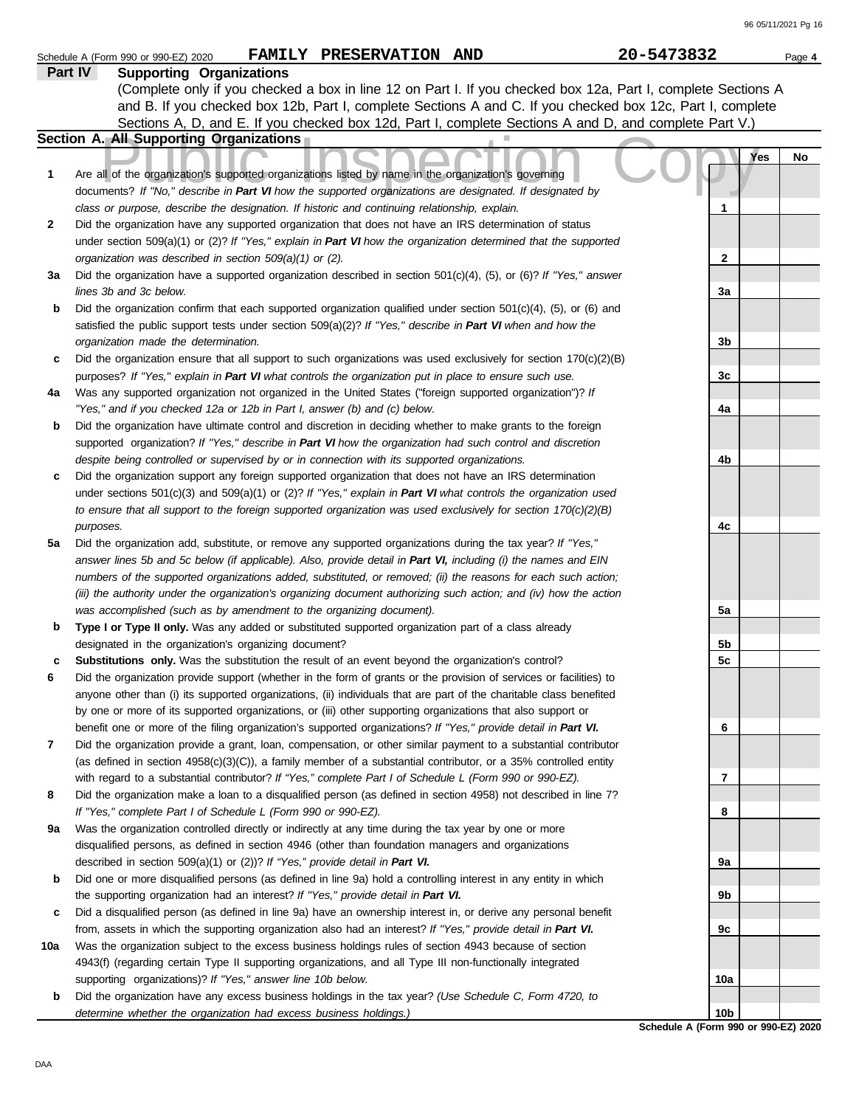|         | FAMILY PRESERVATION AND<br>Schedule A (Form 990 or 990-EZ) 2020                                                                                                                       | 20-5473832      | Page 4 |
|---------|---------------------------------------------------------------------------------------------------------------------------------------------------------------------------------------|-----------------|--------|
| Part IV | <b>Supporting Organizations</b>                                                                                                                                                       |                 |        |
|         | (Complete only if you checked a box in line 12 on Part I. If you checked box 12a, Part I, complete Sections A                                                                         |                 |        |
|         | and B. If you checked box 12b, Part I, complete Sections A and C. If you checked box 12c, Part I, complete                                                                            |                 |        |
|         | Sections A, D, and E. If you checked box 12d, Part I, complete Sections A and D, and complete Part V.)                                                                                |                 |        |
|         | Section A. All Supporting Organizations                                                                                                                                               |                 |        |
|         |                                                                                                                                                                                       | Yes             | No     |
| 1       | Are all of the organization's supported organizations listed by name in the organization's governing                                                                                  |                 |        |
|         | documents? If "No," describe in Part VI how the supported organizations are designated. If designated by                                                                              |                 |        |
|         | class or purpose, describe the designation. If historic and continuing relationship, explain.                                                                                         | 1               |        |
| 2       | Did the organization have any supported organization that does not have an IRS determination of status                                                                                |                 |        |
|         | under section 509(a)(1) or (2)? If "Yes," explain in Part VI how the organization determined that the supported                                                                       |                 |        |
|         | organization was described in section 509(a)(1) or (2).                                                                                                                               | $\mathbf{2}$    |        |
| За      | Did the organization have a supported organization described in section $501(c)(4)$ , (5), or (6)? If "Yes," answer                                                                   |                 |        |
|         | lines 3b and 3c below.                                                                                                                                                                | 3a              |        |
| b       | Did the organization confirm that each supported organization qualified under section $501(c)(4)$ , $(5)$ , or $(6)$ and                                                              |                 |        |
|         | satisfied the public support tests under section 509(a)(2)? If "Yes," describe in Part VI when and how the                                                                            |                 |        |
|         | organization made the determination.                                                                                                                                                  | 3b              |        |
| c       | Did the organization ensure that all support to such organizations was used exclusively for section $170(c)(2)(B)$                                                                    |                 |        |
|         |                                                                                                                                                                                       | 3c              |        |
|         | purposes? If "Yes," explain in Part VI what controls the organization put in place to ensure such use.                                                                                |                 |        |
| 4a      | Was any supported organization not organized in the United States ("foreign supported organization")? If<br>"Yes," and if you checked 12a or 12b in Part I, answer (b) and (c) below. | 4a              |        |
|         | Did the organization have ultimate control and discretion in deciding whether to make grants to the foreign                                                                           |                 |        |
| b       |                                                                                                                                                                                       |                 |        |
|         | supported organization? If "Yes," describe in Part VI how the organization had such control and discretion                                                                            |                 |        |
|         | despite being controlled or supervised by or in connection with its supported organizations.                                                                                          | 4b              |        |
| c       | Did the organization support any foreign supported organization that does not have an IRS determination                                                                               |                 |        |
|         | under sections $501(c)(3)$ and $509(a)(1)$ or (2)? If "Yes," explain in Part VI what controls the organization used                                                                   |                 |        |
|         | to ensure that all support to the foreign supported organization was used exclusively for section $170(c)(2)(B)$                                                                      |                 |        |
|         | purposes.                                                                                                                                                                             | 4c              |        |
| 5a      | Did the organization add, substitute, or remove any supported organizations during the tax year? If "Yes,"                                                                            |                 |        |
|         | answer lines 5b and 5c below (if applicable). Also, provide detail in Part VI, including (i) the names and EIN                                                                        |                 |        |
|         | numbers of the supported organizations added, substituted, or removed; (ii) the reasons for each such action;                                                                         |                 |        |
|         | (iii) the authority under the organization's organizing document authorizing such action; and (iv) how the action                                                                     |                 |        |
|         | was accomplished (such as by amendment to the organizing document).                                                                                                                   | 5a              |        |
| b       | Type I or Type II only. Was any added or substituted supported organization part of a class already                                                                                   |                 |        |
|         | designated in the organization's organizing document?                                                                                                                                 | 5b              |        |
| с       | Substitutions only. Was the substitution the result of an event beyond the organization's control?                                                                                    | 5 <sub>c</sub>  |        |
| 6       | Did the organization provide support (whether in the form of grants or the provision of services or facilities) to                                                                    |                 |        |
|         | anyone other than (i) its supported organizations, (ii) individuals that are part of the charitable class benefited                                                                   |                 |        |
|         | by one or more of its supported organizations, or (iii) other supporting organizations that also support or                                                                           |                 |        |
|         | benefit one or more of the filing organization's supported organizations? If "Yes," provide detail in Part VI.                                                                        | 6               |        |
| 7       | Did the organization provide a grant, loan, compensation, or other similar payment to a substantial contributor                                                                       |                 |        |
|         | (as defined in section $4958(c)(3)(C)$ ), a family member of a substantial contributor, or a 35% controlled entity                                                                    |                 |        |
|         | with regard to a substantial contributor? If "Yes," complete Part I of Schedule L (Form 990 or 990-EZ).                                                                               | 7               |        |
| 8       | Did the organization make a loan to a disqualified person (as defined in section 4958) not described in line 7?                                                                       |                 |        |
|         | If "Yes," complete Part I of Schedule L (Form 990 or 990-EZ).                                                                                                                         | 8               |        |
| 9а      | Was the organization controlled directly or indirectly at any time during the tax year by one or more                                                                                 |                 |        |
|         | disqualified persons, as defined in section 4946 (other than foundation managers and organizations                                                                                    |                 |        |
|         | described in section 509(a)(1) or (2))? If "Yes," provide detail in Part VI.                                                                                                          | 9а              |        |
| b       | Did one or more disqualified persons (as defined in line 9a) hold a controlling interest in any entity in which                                                                       |                 |        |
|         | the supporting organization had an interest? If "Yes," provide detail in Part VI.                                                                                                     | 9b              |        |
| c       | Did a disqualified person (as defined in line 9a) have an ownership interest in, or derive any personal benefit                                                                       |                 |        |
|         | from, assets in which the supporting organization also had an interest? If "Yes," provide detail in Part VI.                                                                          | 9с              |        |
| 10a     | Was the organization subject to the excess business holdings rules of section 4943 because of section                                                                                 |                 |        |
|         | 4943(f) (regarding certain Type II supporting organizations, and all Type III non-functionally integrated                                                                             |                 |        |
|         | supporting organizations)? If "Yes," answer line 10b below.                                                                                                                           | 10a             |        |
| b       | Did the organization have any excess business holdings in the tax year? (Use Schedule C, Form 4720, to                                                                                |                 |        |
|         | determine whether the organization had excess business holdings.)                                                                                                                     | 10 <sub>b</sub> |        |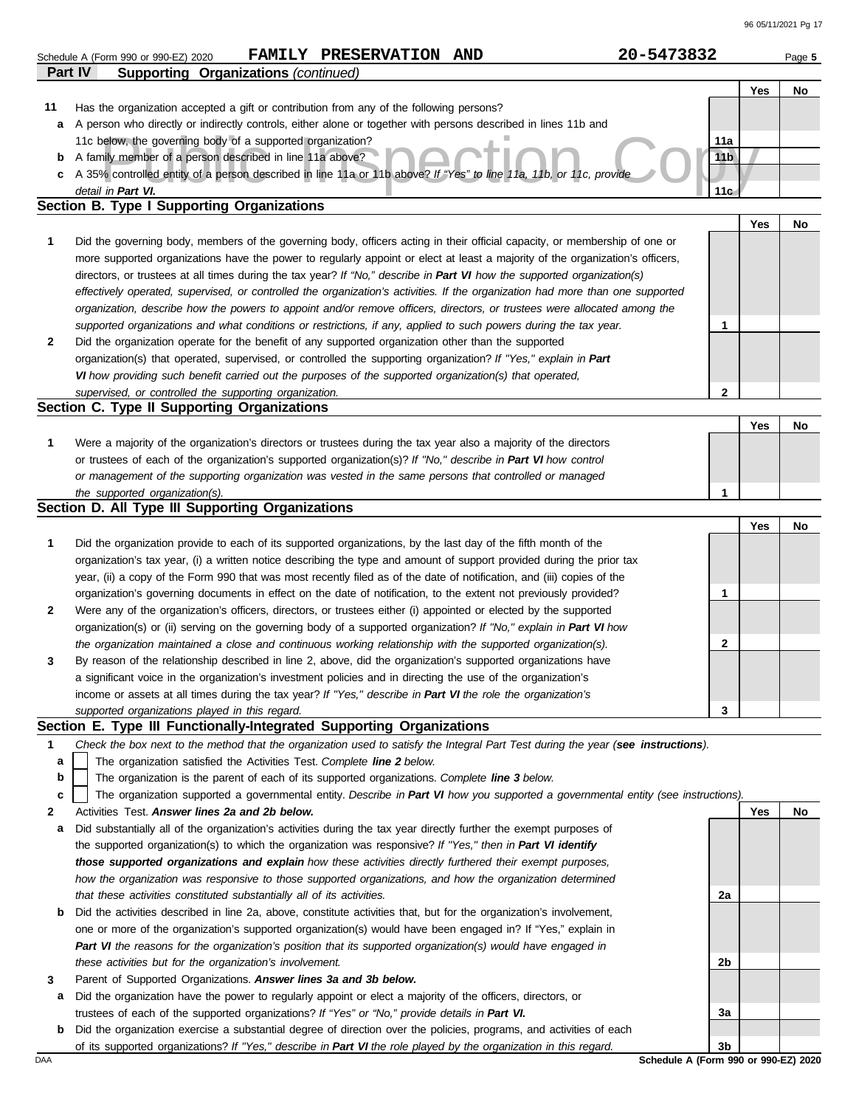|         | FAMILY PRESERVATION AND<br>Schedule A (Form 990 or 990-EZ) 2020                                                                   | 20-5473832                           | Page 5 |
|---------|-----------------------------------------------------------------------------------------------------------------------------------|--------------------------------------|--------|
| Part IV | <b>Supporting Organizations (continued)</b>                                                                                       |                                      |        |
|         |                                                                                                                                   | Yes                                  | No     |
| 11      | Has the organization accepted a gift or contribution from any of the following persons?                                           |                                      |        |
| а       | A person who directly or indirectly controls, either alone or together with persons described in lines 11b and                    |                                      |        |
|         | 11c below, the governing body of a supported organization?                                                                        | 11a                                  |        |
| b       | A family member of a person described in line 11a above?                                                                          | 11 <sub>b</sub>                      |        |
|         | A 35% controlled entity of a person described in line 11a or 11b above? If "Yes" to line 11a, 11b, or 11c, provide                |                                      |        |
| c       |                                                                                                                                   | 11 <sub>c</sub>                      |        |
|         | detail in Part VI.<br>Section B. Type I Supporting Organizations                                                                  |                                      |        |
|         |                                                                                                                                   |                                      |        |
|         |                                                                                                                                   | Yes                                  | No     |
| 1       | Did the governing body, members of the governing body, officers acting in their official capacity, or membership of one or        |                                      |        |
|         | more supported organizations have the power to regularly appoint or elect at least a majority of the organization's officers,     |                                      |        |
|         | directors, or trustees at all times during the tax year? If "No," describe in Part VI how the supported organization(s)           |                                      |        |
|         | effectively operated, supervised, or controlled the organization's activities. If the organization had more than one supported    |                                      |        |
|         | organization, describe how the powers to appoint and/or remove officers, directors, or trustees were allocated among the          |                                      |        |
|         | supported organizations and what conditions or restrictions, if any, applied to such powers during the tax year.                  | 1                                    |        |
| 2       | Did the organization operate for the benefit of any supported organization other than the supported                               |                                      |        |
|         | organization(s) that operated, supervised, or controlled the supporting organization? If "Yes," explain in Part                   |                                      |        |
|         | VI how providing such benefit carried out the purposes of the supported organization(s) that operated,                            |                                      |        |
|         | supervised, or controlled the supporting organization.                                                                            | $\mathbf 2$                          |        |
|         | Section C. Type II Supporting Organizations                                                                                       |                                      |        |
|         |                                                                                                                                   |                                      |        |
|         |                                                                                                                                   | Yes                                  | No     |
| 1       | Were a majority of the organization's directors or trustees during the tax year also a majority of the directors                  |                                      |        |
|         | or trustees of each of the organization's supported organization(s)? If "No," describe in Part VI how control                     |                                      |        |
|         | or management of the supporting organization was vested in the same persons that controlled or managed                            |                                      |        |
|         | the supported organization(s).                                                                                                    | 1                                    |        |
|         | Section D. All Type III Supporting Organizations                                                                                  |                                      |        |
|         |                                                                                                                                   | Yes                                  | No     |
| 1       | Did the organization provide to each of its supported organizations, by the last day of the fifth month of the                    |                                      |        |
|         | organization's tax year, (i) a written notice describing the type and amount of support provided during the prior tax             |                                      |        |
|         | year, (ii) a copy of the Form 990 that was most recently filed as of the date of notification, and (iii) copies of the            |                                      |        |
|         | organization's governing documents in effect on the date of notification, to the extent not previously provided?                  | 1                                    |        |
| 2       | Were any of the organization's officers, directors, or trustees either (i) appointed or elected by the supported                  |                                      |        |
|         | organization(s) or (ii) serving on the governing body of a supported organization? If "No," explain in Part VI how                |                                      |        |
|         |                                                                                                                                   |                                      |        |
|         | the organization maintained a close and continuous working relationship with the supported organization(s).                       | $\mathbf{2}$                         |        |
| 3       | By reason of the relationship described in line 2, above, did the organization's supported organizations have                     |                                      |        |
|         | a significant voice in the organization's investment policies and in directing the use of the organization's                      |                                      |        |
|         | income or assets at all times during the tax year? If "Yes," describe in Part VI the role the organization's                      |                                      |        |
|         | supported organizations played in this regard.                                                                                    | 3                                    |        |
|         | Section E. Type III Functionally-Integrated Supporting Organizations                                                              |                                      |        |
| 1       | Check the box next to the method that the organization used to satisfy the Integral Part Test during the year (see instructions). |                                      |        |
| a       | The organization satisfied the Activities Test. Complete line 2 below.                                                            |                                      |        |
| b       | The organization is the parent of each of its supported organizations. Complete line 3 below.                                     |                                      |        |
| c       | The organization supported a governmental entity. Describe in Part VI how you supported a governmental entity (see instructions). |                                      |        |
| 2       | Activities Test. Answer lines 2a and 2b below.                                                                                    | Yes                                  | No     |
| a       | Did substantially all of the organization's activities during the tax year directly further the exempt purposes of                |                                      |        |
|         | the supported organization(s) to which the organization was responsive? If "Yes," then in Part VI identify                        |                                      |        |
|         | those supported organizations and explain how these activities directly furthered their exempt purposes,                          |                                      |        |
|         |                                                                                                                                   |                                      |        |
|         | how the organization was responsive to those supported organizations, and how the organization determined                         |                                      |        |
|         | that these activities constituted substantially all of its activities.                                                            | 2a                                   |        |
| b       | Did the activities described in line 2a, above, constitute activities that, but for the organization's involvement,               |                                      |        |
|         | one or more of the organization's supported organization(s) would have been engaged in? If "Yes," explain in                      |                                      |        |
|         | Part VI the reasons for the organization's position that its supported organization(s) would have engaged in                      |                                      |        |
|         | these activities but for the organization's involvement.                                                                          | 2b                                   |        |
| 3       | Parent of Supported Organizations. Answer lines 3a and 3b below.                                                                  |                                      |        |
| а       | Did the organization have the power to regularly appoint or elect a majority of the officers, directors, or                       |                                      |        |
|         | trustees of each of the supported organizations? If "Yes" or "No," provide details in Part VI.                                    | За                                   |        |
| b       | Did the organization exercise a substantial degree of direction over the policies, programs, and activities of each               |                                      |        |
|         | of its supported organizations? If "Yes," describe in Part VI the role played by the organization in this regard.                 | 3b                                   |        |
| DAA     |                                                                                                                                   | Schedule A (Form 990 or 990-EZ) 2020 |        |
|         |                                                                                                                                   |                                      |        |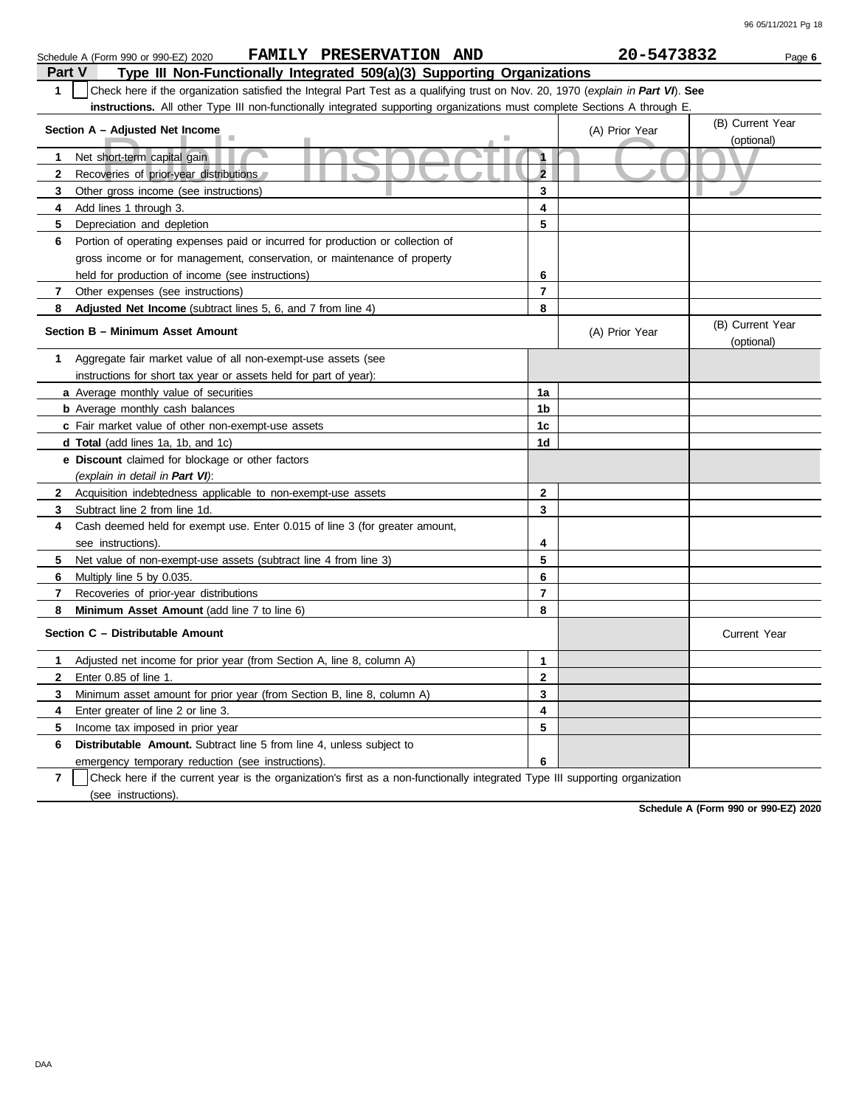|                         | FAMILY PRESERVATION AND<br>Schedule A (Form 990 or 990-EZ) 2020                                                                  |                | 20-5473832     | Page 6                         |
|-------------------------|----------------------------------------------------------------------------------------------------------------------------------|----------------|----------------|--------------------------------|
| <b>Part V</b>           | Type III Non-Functionally Integrated 509(a)(3) Supporting Organizations                                                          |                |                |                                |
| $\mathbf{1}$            | Check here if the organization satisfied the Integral Part Test as a qualifying trust on Nov. 20, 1970 (explain in Part VI). See |                |                |                                |
|                         | instructions. All other Type III non-functionally integrated supporting organizations must complete Sections A through E.        |                |                |                                |
|                         |                                                                                                                                  |                |                | (B) Current Year               |
|                         | Section A - Adjusted Net Income                                                                                                  |                | (A) Prior Year | (optional)                     |
| 1                       | Net short-term capital gain                                                                                                      | $\mathbf{1}$   |                |                                |
| $\mathbf{2}$            | Recoveries of prior-year distributions                                                                                           | $\overline{2}$ |                |                                |
| 3                       | Other gross income (see instructions)                                                                                            | 3              |                |                                |
| 4                       | Add lines 1 through 3.                                                                                                           | 4              |                |                                |
| 5                       | Depreciation and depletion                                                                                                       | 5              |                |                                |
| 6                       | Portion of operating expenses paid or incurred for production or collection of                                                   |                |                |                                |
|                         | gross income or for management, conservation, or maintenance of property                                                         |                |                |                                |
|                         | held for production of income (see instructions)                                                                                 | 6              |                |                                |
| $\overline{\mathbf{r}}$ | Other expenses (see instructions)                                                                                                | $\overline{7}$ |                |                                |
| 8                       | Adjusted Net Income (subtract lines 5, 6, and 7 from line 4)                                                                     | 8              |                |                                |
|                         | Section B - Minimum Asset Amount                                                                                                 |                | (A) Prior Year | (B) Current Year<br>(optional) |
| 1                       | Aggregate fair market value of all non-exempt-use assets (see                                                                    |                |                |                                |
|                         | instructions for short tax year or assets held for part of year):                                                                |                |                |                                |
|                         | <b>a</b> Average monthly value of securities                                                                                     | 1a             |                |                                |
|                         | <b>b</b> Average monthly cash balances                                                                                           | 1 <sub>b</sub> |                |                                |
|                         | c Fair market value of other non-exempt-use assets                                                                               | 1c             |                |                                |
|                         | d Total (add lines 1a, 1b, and 1c)                                                                                               | 1 <sub>d</sub> |                |                                |
|                         | e Discount claimed for blockage or other factors                                                                                 |                |                |                                |
|                         | (explain in detail in Part VI):                                                                                                  |                |                |                                |
| $\mathbf{2}$            | Acquisition indebtedness applicable to non-exempt-use assets                                                                     | $\overline{2}$ |                |                                |
| 3                       | Subtract line 2 from line 1d.                                                                                                    | 3              |                |                                |
| 4                       | Cash deemed held for exempt use. Enter 0.015 of line 3 (for greater amount,                                                      |                |                |                                |
|                         | see instructions).                                                                                                               | 4              |                |                                |
| 5                       | Net value of non-exempt-use assets (subtract line 4 from line 3)                                                                 | 5              |                |                                |
| 6                       | Multiply line 5 by 0.035.                                                                                                        | 6              |                |                                |
| 7                       | Recoveries of prior-year distributions                                                                                           | $\overline{7}$ |                |                                |
| 8                       | Minimum Asset Amount (add line 7 to line 6)                                                                                      | 8              |                |                                |
|                         | Section C - Distributable Amount                                                                                                 |                |                | <b>Current Year</b>            |
| $\mathbf 1$             | Adjusted net income for prior year (from Section A, line 8, column A)                                                            | 1              |                |                                |
| $\mathbf{2}$            | Enter 0.85 of line 1.                                                                                                            | $\overline{2}$ |                |                                |
| 3                       | Minimum asset amount for prior year (from Section B, line 8, column A)                                                           | 3              |                |                                |
| 4                       | Enter greater of line 2 or line 3.                                                                                               | 4              |                |                                |
| 5                       | Income tax imposed in prior year                                                                                                 | 5              |                |                                |
| 6                       | <b>Distributable Amount.</b> Subtract line 5 from line 4, unless subject to                                                      |                |                |                                |
|                         | emergency temporary reduction (see instructions).                                                                                | 6              |                |                                |

**7** | Check here if the current year is the organization's first as a non-functionally integrated Type III supporting organization (see instructions).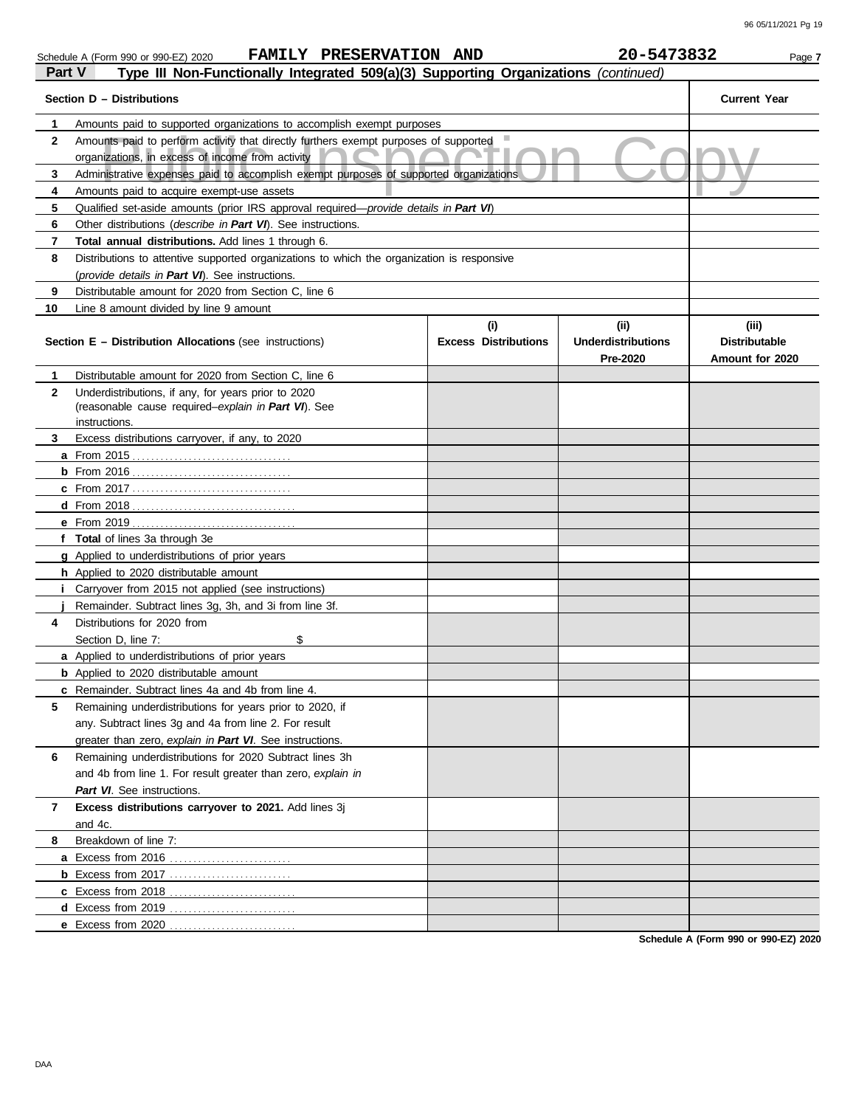| Part V<br>Type III Non-Functionally Integrated 509(a)(3) Supporting Organizations (continued) |                                                                                                                                          |                                    |                                               |                                                  |
|-----------------------------------------------------------------------------------------------|------------------------------------------------------------------------------------------------------------------------------------------|------------------------------------|-----------------------------------------------|--------------------------------------------------|
|                                                                                               | Section D - Distributions                                                                                                                |                                    |                                               | <b>Current Year</b>                              |
| 1                                                                                             | Amounts paid to supported organizations to accomplish exempt purposes                                                                    |                                    |                                               |                                                  |
| 2                                                                                             | Amounts paid to perform activity that directly furthers exempt purposes of supported<br>organizations, in excess of income from activity |                                    |                                               |                                                  |
| 3                                                                                             | Administrative expenses paid to accomplish exempt purposes of supported organizations                                                    |                                    |                                               |                                                  |
| 4                                                                                             | Amounts paid to acquire exempt-use assets                                                                                                |                                    |                                               |                                                  |
| 5                                                                                             | Qualified set-aside amounts (prior IRS approval required—provide details in Part VI)                                                     |                                    |                                               |                                                  |
| 6                                                                                             | Other distributions (describe in Part VI). See instructions.                                                                             |                                    |                                               |                                                  |
| 7                                                                                             | <b>Total annual distributions.</b> Add lines 1 through 6.                                                                                |                                    |                                               |                                                  |
| 8                                                                                             | Distributions to attentive supported organizations to which the organization is responsive                                               |                                    |                                               |                                                  |
|                                                                                               | (provide details in Part VI). See instructions.                                                                                          |                                    |                                               |                                                  |
| 9                                                                                             | Distributable amount for 2020 from Section C, line 6                                                                                     |                                    |                                               |                                                  |
| 10                                                                                            | Line 8 amount divided by line 9 amount                                                                                                   |                                    |                                               |                                                  |
|                                                                                               | <b>Section E - Distribution Allocations</b> (see instructions)                                                                           | (i)<br><b>Excess Distributions</b> | (ii)<br><b>Underdistributions</b><br>Pre-2020 | (iii)<br><b>Distributable</b><br>Amount for 2020 |
| 1                                                                                             | Distributable amount for 2020 from Section C, line 6                                                                                     |                                    |                                               |                                                  |
| 2                                                                                             | Underdistributions, if any, for years prior to 2020                                                                                      |                                    |                                               |                                                  |
|                                                                                               | (reasonable cause required-explain in Part VI). See<br>instructions.                                                                     |                                    |                                               |                                                  |
| 3                                                                                             | Excess distributions carryover, if any, to 2020                                                                                          |                                    |                                               |                                                  |
|                                                                                               | <b>a</b> From 2015                                                                                                                       |                                    |                                               |                                                  |
|                                                                                               |                                                                                                                                          |                                    |                                               |                                                  |
|                                                                                               |                                                                                                                                          |                                    |                                               |                                                  |
|                                                                                               |                                                                                                                                          |                                    |                                               |                                                  |
|                                                                                               |                                                                                                                                          |                                    |                                               |                                                  |
|                                                                                               | f Total of lines 3a through 3e                                                                                                           |                                    |                                               |                                                  |
|                                                                                               | <b>g</b> Applied to underdistributions of prior years                                                                                    |                                    |                                               |                                                  |
|                                                                                               | <b>h</b> Applied to 2020 distributable amount                                                                                            |                                    |                                               |                                                  |
|                                                                                               | <i>i</i> Carryover from 2015 not applied (see instructions)                                                                              |                                    |                                               |                                                  |
|                                                                                               | Remainder. Subtract lines 3q, 3h, and 3i from line 3f.                                                                                   |                                    |                                               |                                                  |
| 4                                                                                             | Distributions for 2020 from                                                                                                              |                                    |                                               |                                                  |
|                                                                                               | \$<br>Section D, line 7:                                                                                                                 |                                    |                                               |                                                  |
|                                                                                               | <b>a</b> Applied to underdistributions of prior years                                                                                    |                                    |                                               |                                                  |
|                                                                                               | <b>b</b> Applied to 2020 distributable amount                                                                                            |                                    |                                               |                                                  |
|                                                                                               | c Remainder. Subtract lines 4a and 4b from line 4.                                                                                       |                                    |                                               |                                                  |
| 5                                                                                             | Remaining underdistributions for years prior to 2020, if                                                                                 |                                    |                                               |                                                  |
|                                                                                               | any. Subtract lines 3g and 4a from line 2. For result                                                                                    |                                    |                                               |                                                  |
|                                                                                               | greater than zero, explain in Part VI. See instructions.                                                                                 |                                    |                                               |                                                  |
| 6                                                                                             | Remaining underdistributions for 2020 Subtract lines 3h                                                                                  |                                    |                                               |                                                  |
|                                                                                               | and 4b from line 1. For result greater than zero, explain in                                                                             |                                    |                                               |                                                  |
|                                                                                               | Part VI. See instructions.                                                                                                               |                                    |                                               |                                                  |
| 7                                                                                             | Excess distributions carryover to 2021. Add lines 3j                                                                                     |                                    |                                               |                                                  |
|                                                                                               | and 4c.                                                                                                                                  |                                    |                                               |                                                  |
| 8                                                                                             | Breakdown of line 7:                                                                                                                     |                                    |                                               |                                                  |
|                                                                                               | a Excess from 2016                                                                                                                       |                                    |                                               |                                                  |
|                                                                                               |                                                                                                                                          |                                    |                                               |                                                  |
|                                                                                               | c Excess from 2018                                                                                                                       |                                    |                                               |                                                  |
|                                                                                               |                                                                                                                                          |                                    |                                               |                                                  |
|                                                                                               | e Excess from 2020                                                                                                                       |                                    |                                               |                                                  |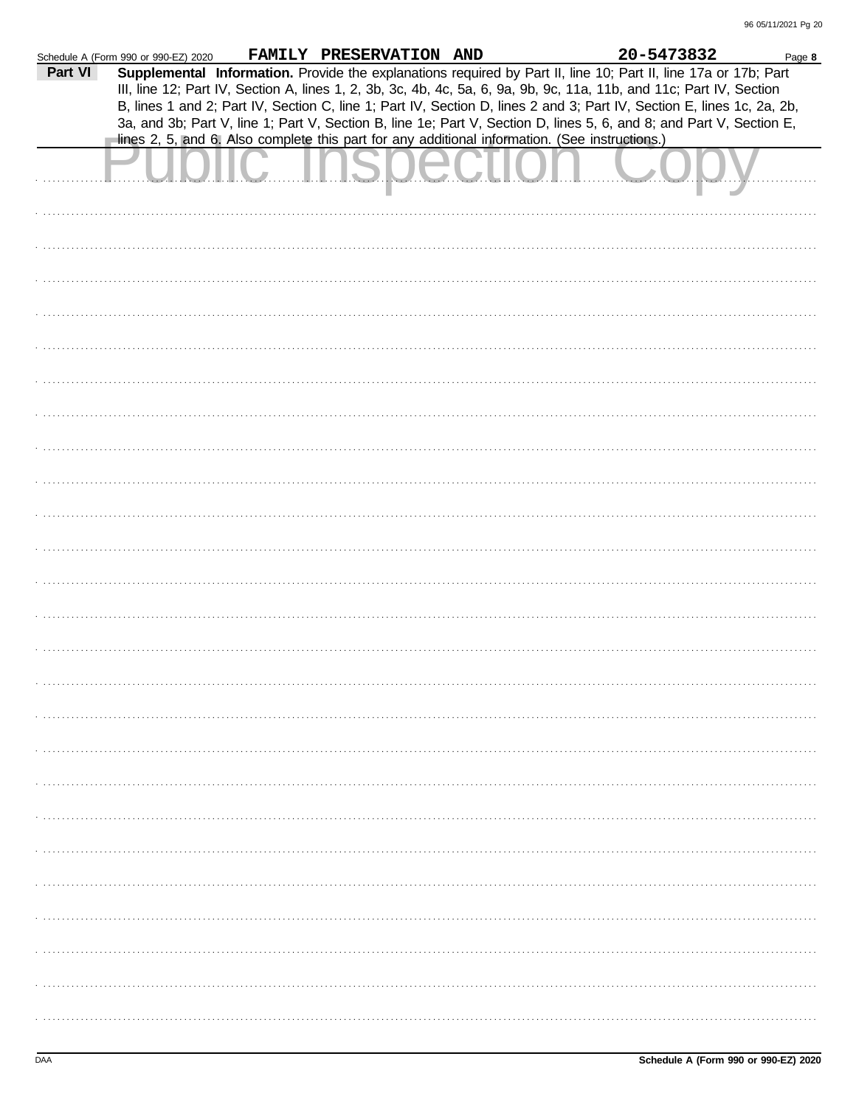|         | Schedule A (Form 990 or 990-EZ) 2020 | FAMILY PRESERVATION AND |                                                                                                | 20-5473832                                                                                                                                                                                                                                     | Page 8 |
|---------|--------------------------------------|-------------------------|------------------------------------------------------------------------------------------------|------------------------------------------------------------------------------------------------------------------------------------------------------------------------------------------------------------------------------------------------|--------|
| Part VI |                                      |                         |                                                                                                | Supplemental Information. Provide the explanations required by Part II, line 10; Part II, line 17a or 17b; Part                                                                                                                                |        |
|         |                                      |                         |                                                                                                | III, line 12; Part IV, Section A, lines 1, 2, 3b, 3c, 4b, 4c, 5a, 6, 9a, 9b, 9c, 11a, 11b, and 11c; Part IV, Section<br>B, lines 1 and 2; Part IV, Section C, line 1; Part IV, Section D, lines 2 and 3; Part IV, Section E, lines 1c, 2a, 2b, |        |
|         |                                      |                         |                                                                                                | 3a, and 3b; Part V, line 1; Part V, Section B, line 1e; Part V, Section D, lines 5, 6, and 8; and Part V, Section E,                                                                                                                           |        |
|         |                                      |                         | lines 2, 5, and 6. Also complete this part for any additional information. (See instructions.) |                                                                                                                                                                                                                                                |        |
|         |                                      |                         |                                                                                                |                                                                                                                                                                                                                                                |        |
|         |                                      |                         |                                                                                                |                                                                                                                                                                                                                                                |        |
|         |                                      |                         |                                                                                                |                                                                                                                                                                                                                                                |        |
|         |                                      |                         |                                                                                                |                                                                                                                                                                                                                                                |        |
|         |                                      |                         |                                                                                                |                                                                                                                                                                                                                                                |        |
|         |                                      |                         |                                                                                                |                                                                                                                                                                                                                                                |        |
|         |                                      |                         |                                                                                                |                                                                                                                                                                                                                                                |        |
|         |                                      |                         |                                                                                                |                                                                                                                                                                                                                                                |        |
|         |                                      |                         |                                                                                                |                                                                                                                                                                                                                                                |        |
|         |                                      |                         |                                                                                                |                                                                                                                                                                                                                                                |        |
|         |                                      |                         |                                                                                                |                                                                                                                                                                                                                                                |        |
|         |                                      |                         |                                                                                                |                                                                                                                                                                                                                                                |        |
|         |                                      |                         |                                                                                                |                                                                                                                                                                                                                                                |        |
|         |                                      |                         |                                                                                                |                                                                                                                                                                                                                                                |        |
|         |                                      |                         |                                                                                                |                                                                                                                                                                                                                                                |        |
|         |                                      |                         |                                                                                                |                                                                                                                                                                                                                                                |        |
|         |                                      |                         |                                                                                                |                                                                                                                                                                                                                                                |        |
|         |                                      |                         |                                                                                                |                                                                                                                                                                                                                                                |        |
|         |                                      |                         |                                                                                                |                                                                                                                                                                                                                                                |        |
|         |                                      |                         |                                                                                                |                                                                                                                                                                                                                                                |        |
|         |                                      |                         |                                                                                                |                                                                                                                                                                                                                                                |        |
|         |                                      |                         |                                                                                                |                                                                                                                                                                                                                                                |        |
|         |                                      |                         |                                                                                                |                                                                                                                                                                                                                                                |        |
|         |                                      |                         |                                                                                                |                                                                                                                                                                                                                                                |        |
|         |                                      |                         |                                                                                                |                                                                                                                                                                                                                                                |        |
|         |                                      |                         |                                                                                                |                                                                                                                                                                                                                                                |        |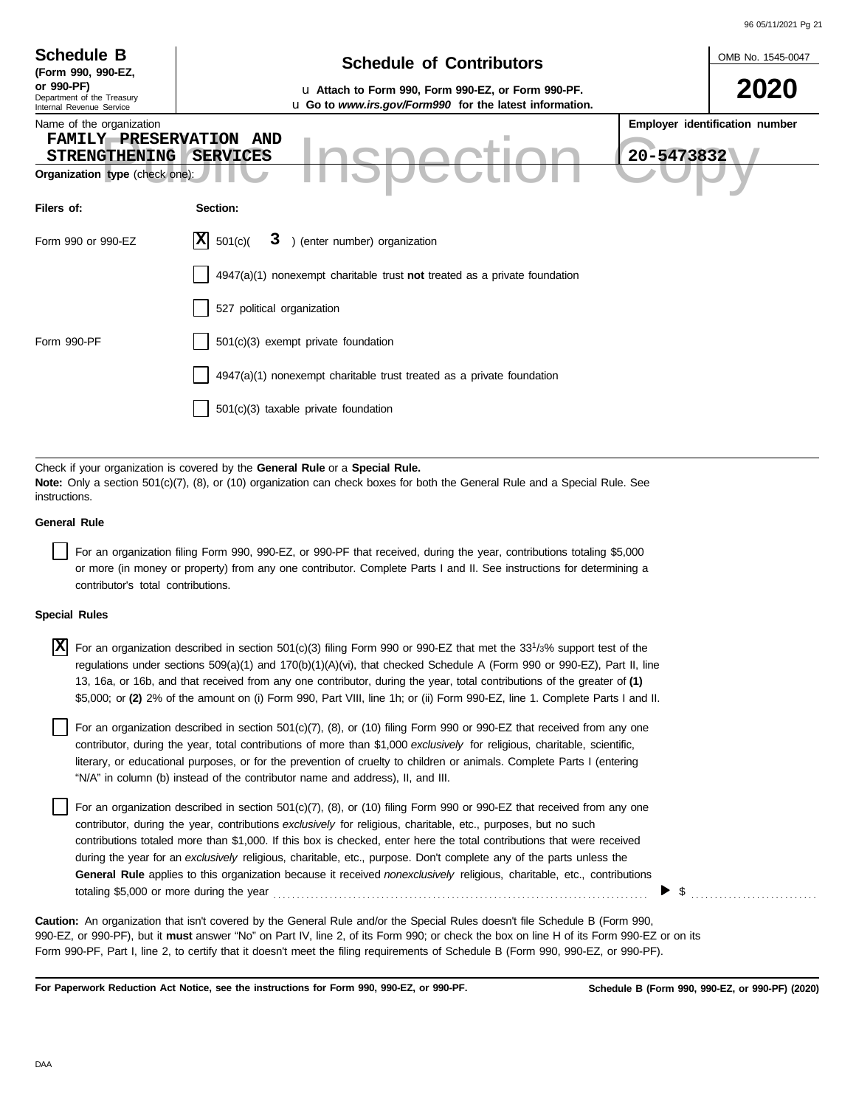|                                                                                                               |                                                                                                                                                                                                                                                                                                                                                                                                                                                                                                                       | 96 05/11/2021 Pg 21            |
|---------------------------------------------------------------------------------------------------------------|-----------------------------------------------------------------------------------------------------------------------------------------------------------------------------------------------------------------------------------------------------------------------------------------------------------------------------------------------------------------------------------------------------------------------------------------------------------------------------------------------------------------------|--------------------------------|
| <b>Schedule B</b><br>(Form 990, 990-EZ,                                                                       | <b>Schedule of Contributors</b>                                                                                                                                                                                                                                                                                                                                                                                                                                                                                       | OMB No. 1545-0047              |
| or 990-PF)<br>Department of the Treasury<br>Internal Revenue Service                                          | u Attach to Form 990, Form 990-EZ, or Form 990-PF.<br>u Go to www.irs.gov/Form990 for the latest information.                                                                                                                                                                                                                                                                                                                                                                                                         | 2020                           |
| Name of the organization<br>FAMILY PRESERVATION AND<br><b>STRENGTHENING</b><br>Organization type (check one): | 20-5473832<br><b>SERVICES</b>                                                                                                                                                                                                                                                                                                                                                                                                                                                                                         | Employer identification number |
| Filers of:                                                                                                    | Section:                                                                                                                                                                                                                                                                                                                                                                                                                                                                                                              |                                |
| Form 990 or 990-EZ                                                                                            | $ X $ 501(c)(<br>3 ) (enter number) organization                                                                                                                                                                                                                                                                                                                                                                                                                                                                      |                                |
|                                                                                                               | $4947(a)(1)$ nonexempt charitable trust not treated as a private foundation                                                                                                                                                                                                                                                                                                                                                                                                                                           |                                |
|                                                                                                               | 527 political organization                                                                                                                                                                                                                                                                                                                                                                                                                                                                                            |                                |
| Form 990-PF                                                                                                   | 501(c)(3) exempt private foundation                                                                                                                                                                                                                                                                                                                                                                                                                                                                                   |                                |
|                                                                                                               | 4947(a)(1) nonexempt charitable trust treated as a private foundation                                                                                                                                                                                                                                                                                                                                                                                                                                                 |                                |
|                                                                                                               | 501(c)(3) taxable private foundation                                                                                                                                                                                                                                                                                                                                                                                                                                                                                  |                                |
|                                                                                                               |                                                                                                                                                                                                                                                                                                                                                                                                                                                                                                                       |                                |
| instructions.                                                                                                 | Check if your organization is covered by the General Rule or a Special Rule.<br>Note: Only a section 501(c)(7), (8), or (10) organization can check boxes for both the General Rule and a Special Rule. See                                                                                                                                                                                                                                                                                                           |                                |
| <b>General Rule</b>                                                                                           |                                                                                                                                                                                                                                                                                                                                                                                                                                                                                                                       |                                |
| contributor's total contributions.                                                                            | For an organization filing Form 990, 990-EZ, or 990-PF that received, during the year, contributions totaling \$5,000<br>or more (in money or property) from any one contributor. Complete Parts I and II. See instructions for determining a                                                                                                                                                                                                                                                                         |                                |
| <b>Special Rules</b>                                                                                          |                                                                                                                                                                                                                                                                                                                                                                                                                                                                                                                       |                                |
| X                                                                                                             | For an organization described in section 501(c)(3) filing Form 990 or 990-EZ that met the 33 <sup>1</sup> /3% support test of the<br>regulations under sections 509(a)(1) and 170(b)(1)(A)(vi), that checked Schedule A (Form 990 or 990-EZ), Part II, line<br>13, 16a, or 16b, and that received from any one contributor, during the year, total contributions of the greater of (1)<br>\$5,000; or (2) 2% of the amount on (i) Form 990, Part VIII, line 1h; or (ii) Form 990-EZ, line 1. Complete Parts I and II. |                                |
|                                                                                                               | For an organization described in section 501(c)(7), (8), or (10) filing Form 990 or 990-EZ that received from any one<br>contributor, during the year, total contributions of more than \$1,000 exclusively for religious, charitable, scientific,                                                                                                                                                                                                                                                                    |                                |

literary, or educational purposes, or for the prevention of cruelty to children or animals. Complete Parts I (entering "N/A" in column (b) instead of the contributor name and address), II, and III.

For an organization described in section 501(c)(7), (8), or (10) filing Form 990 or 990-EZ that received from any one contributor, during the year, contributions *exclusively* for religious, charitable, etc., purposes, but no such contributions totaled more than \$1,000. If this box is checked, enter here the total contributions that were received during the year for an *exclusively* religious, charitable, etc., purpose. Don't complete any of the parts unless the **General Rule** applies to this organization because it received *nonexclusively* religious, charitable, etc., contributions totaling \$5,000 or more during the year . . . . . . . . . . . . . . . . . . . . . . . . . . . . . . . . . . . . . . . . . . . . . . . . . . . . . . . . . . . . . . . . . . . . . . . . . . . . . . . .

990-EZ, or 990-PF), but it **must** answer "No" on Part IV, line 2, of its Form 990; or check the box on line H of its Form 990-EZ or on its Form 990-PF, Part I, line 2, to certify that it doesn't meet the filing requirements of Schedule B (Form 990, 990-EZ, or 990-PF). **Caution:** An organization that isn't covered by the General Rule and/or the Special Rules doesn't file Schedule B (Form 990,

**For Paperwork Reduction Act Notice, see the instructions for Form 990, 990-EZ, or 990-PF.**

 $\triangleright$  \$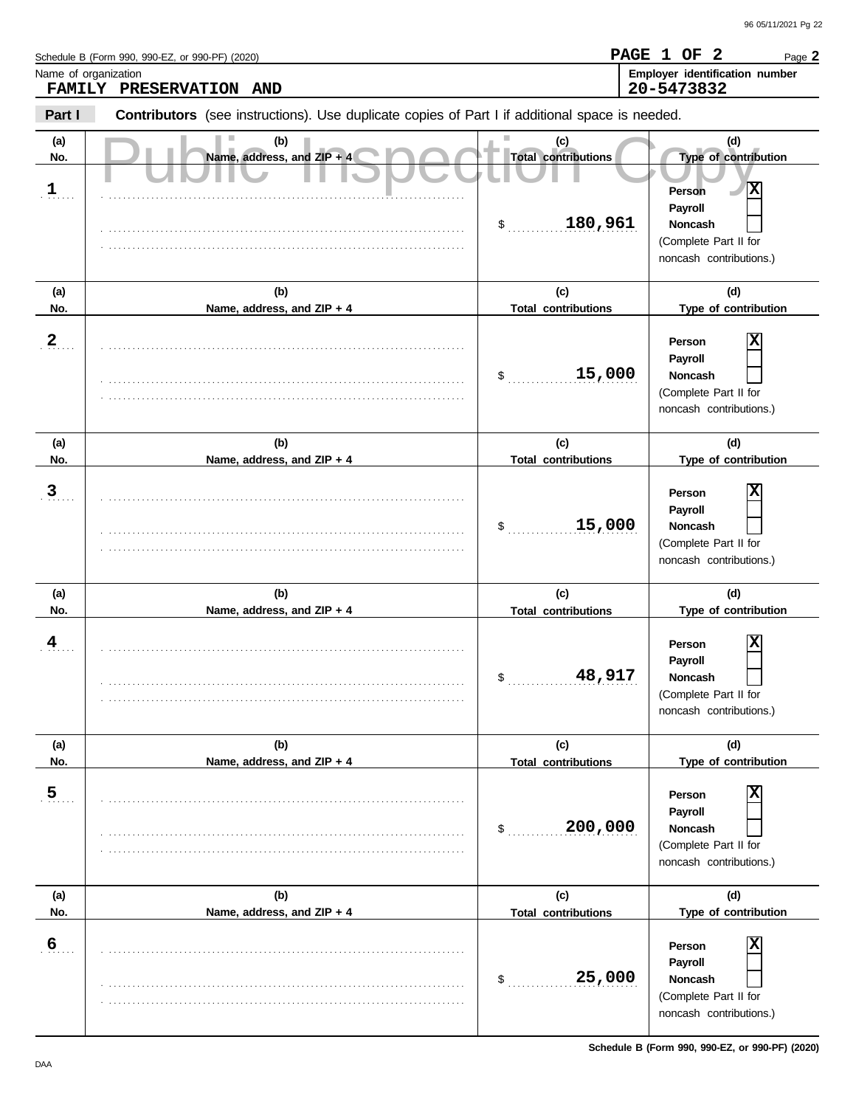Schedule B (Form 990, 990-EZ, or 990-PF) (2020)<br>Name of organization

| <b>FAMILY</b>              | Name of organization<br>PRESERVATION AND                                                       |                                                               | Employer identification number<br>20-5473832                                                                                      |
|----------------------------|------------------------------------------------------------------------------------------------|---------------------------------------------------------------|-----------------------------------------------------------------------------------------------------------------------------------|
| Part I                     | Contributors (see instructions). Use duplicate copies of Part I if additional space is needed. |                                                               |                                                                                                                                   |
| (a)<br>No.<br>$\mathbf{1}$ | (b)<br>Name, address, and ZIP + 4                                                              | (c)<br><b>Total contributions</b><br>180,961<br>$\frac{1}{2}$ | (d)<br>Type of contribution<br>$ \mathbf{x} $<br>Person<br>Payroll<br>Noncash<br>(Complete Part II for<br>noncash contributions.) |
| (a)<br>No.                 | (b)<br>Name, address, and ZIP + 4                                                              | (c)<br><b>Total contributions</b>                             | (d)<br>Type of contribution                                                                                                       |
| $\frac{2}{\cdot}$          |                                                                                                | 15,000<br>$\mathsf{\$}$                                       | х<br>Person<br>Payroll<br>Noncash<br>(Complete Part II for<br>noncash contributions.)                                             |
| (a)<br>No.                 | (b)<br>Name, address, and ZIP + 4                                                              | (c)<br><b>Total contributions</b>                             | (d)<br>Type of contribution                                                                                                       |
| $\overline{3}$             |                                                                                                | 15,000<br>\$                                                  | ΙX<br>Person<br>Payroll<br>Noncash<br>(Complete Part II for<br>noncash contributions.)                                            |
| (a)<br>No.                 | (b)<br>Name, address, and ZIP + 4                                                              | (c)<br><b>Total contributions</b>                             | (d)<br>Type of contribution                                                                                                       |
| $\frac{4}{1}$              |                                                                                                | 48,917<br>$\frac{1}{2}$                                       | х<br>Person<br>Payroll<br><b>Noncash</b><br>(Complete Part II for<br>noncash contributions.)                                      |
| (a)<br>No.                 | (b)<br>Name, address, and ZIP + 4                                                              | (c)<br><b>Total contributions</b>                             | (d)<br>Type of contribution                                                                                                       |
| $\overline{5}$             |                                                                                                | 200,000<br>\$                                                 | Person<br>Payroll<br>Noncash<br>(Complete Part II for<br>noncash contributions.)                                                  |
| (a)                        | (b)                                                                                            | (c)                                                           | (d)                                                                                                                               |
| No.<br>6                   | Name, address, and ZIP + 4                                                                     | <b>Total contributions</b><br>25,000<br>\$                    | Type of contribution<br>Person<br>Payroll<br>Noncash<br>(Complete Part II for<br>noncash contributions.)                          |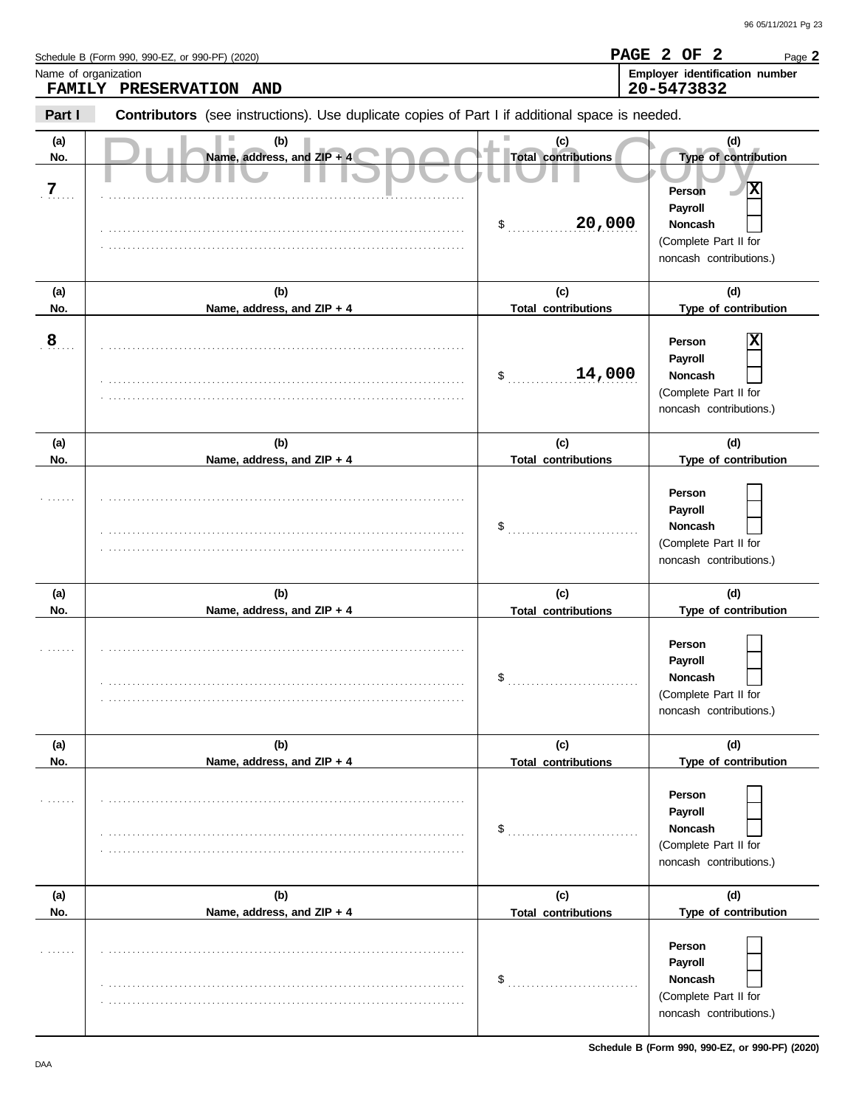|                              | Schedule B (Form 990, 990-EZ, or 990-PF) (2020)                                                |                                                   | PAGE 2 OF 2<br>Page 2                                                                                                |
|------------------------------|------------------------------------------------------------------------------------------------|---------------------------------------------------|----------------------------------------------------------------------------------------------------------------------|
| Name of organization         | FAMILY PRESERVATION AND                                                                        |                                                   | Employer identification number<br>20-5473832                                                                         |
| Part I                       | Contributors (see instructions). Use duplicate copies of Part I if additional space is needed. |                                                   |                                                                                                                      |
| (a)<br>No.<br>$\overline{7}$ | (b)<br>Name, address, and ZIP + 4                                                              | (c)<br><b>Total contributions</b><br>20,000<br>\$ | (d)<br>Type of contribution<br>x<br>Person<br>Payroll<br>Noncash<br>(Complete Part II for<br>noncash contributions.) |
| (a)<br>No.                   | (b)<br>Name, address, and ZIP + 4                                                              | (c)<br><b>Total contributions</b>                 | (d)<br>Type of contribution                                                                                          |
| $\overline{8}$               |                                                                                                | 14,000<br>\$                                      | Person<br>Payroll<br>Noncash<br>(Complete Part II for<br>noncash contributions.)                                     |
| (a)<br>No.                   | (b)<br>Name, address, and ZIP + 4                                                              | (c)<br><b>Total contributions</b>                 | (d)<br>Type of contribution                                                                                          |
|                              |                                                                                                | \$                                                | Person<br>Payroll<br>Noncash<br>(Complete Part II for<br>noncash contributions.)                                     |
| (a)<br>No.                   | (b)<br>Name, address, and ZIP + 4                                                              | (c)<br><b>Total contributions</b>                 | (d)<br>Type of contribution                                                                                          |
|                              |                                                                                                | \$                                                | Person<br>Payroll<br>Noncash<br>(Complete Part II for<br>noncash contributions.)                                     |
| (a)<br>No.                   | (b)<br>Name, address, and ZIP + 4                                                              | (c)<br><b>Total contributions</b>                 | (d)<br>Type of contribution                                                                                          |
| .                            |                                                                                                | $\$\ldots$                                        | Person<br>Payroll<br>Noncash<br>(Complete Part II for<br>noncash contributions.)                                     |
| (a)                          | (b)                                                                                            | (c)                                               | (d)                                                                                                                  |
| No.<br>.                     | Name, address, and ZIP + 4                                                                     | <b>Total contributions</b><br>$\$\ldots$          | Type of contribution<br>Person<br>Payroll<br>Noncash<br>(Complete Part II for<br>noncash contributions.)             |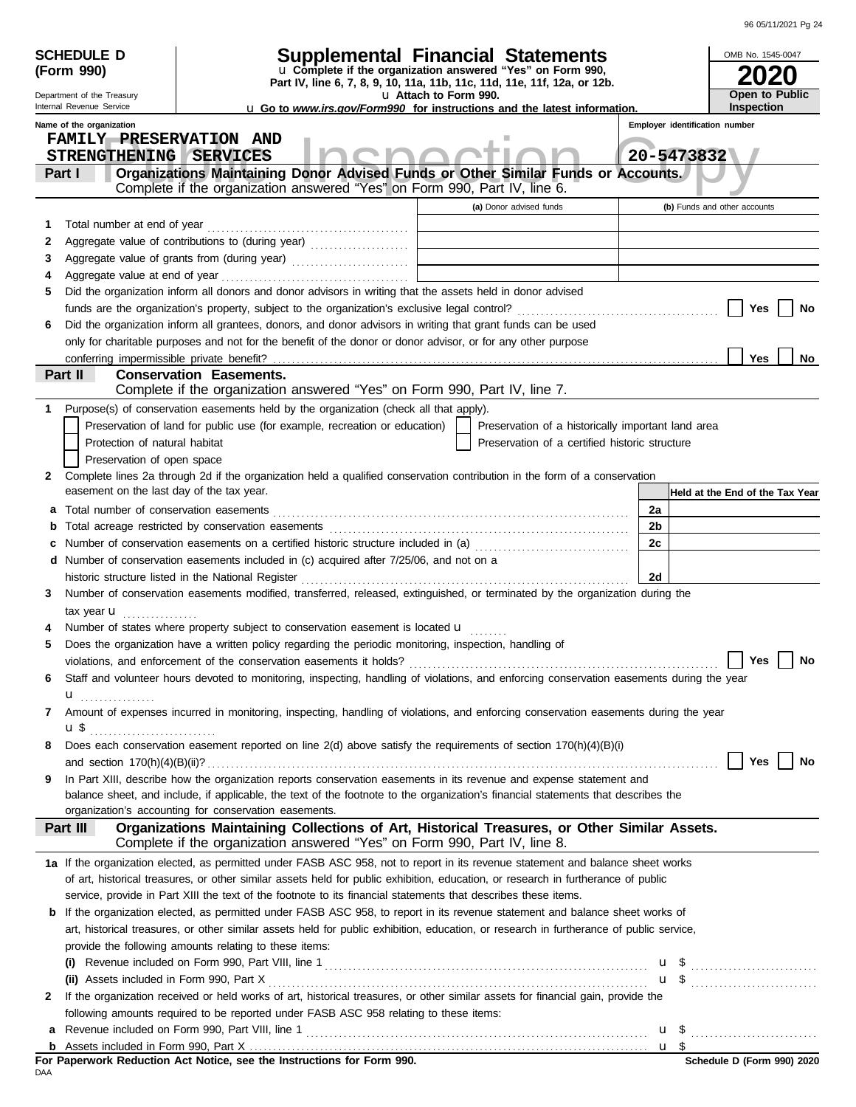| 96 05/11/2021 Pg 24 |  |
|---------------------|--|

|        | <b>Supplemental Financial Statements</b><br><b>SCHEDULE D</b><br>u Complete if the organization answered "Yes" on Form 990,<br>(Form 990)<br>Part IV, line 6, 7, 8, 9, 10, 11a, 11b, 11c, 11d, 11e, 11f, 12a, or 12b. |                                                                                                                                                                                    |       |            |                                                     |  |
|--------|-----------------------------------------------------------------------------------------------------------------------------------------------------------------------------------------------------------------------|------------------------------------------------------------------------------------------------------------------------------------------------------------------------------------|-------|------------|-----------------------------------------------------|--|
|        | Department of the Treasury                                                                                                                                                                                            | u Attach to Form 990.                                                                                                                                                              |       |            | Open to Public                                      |  |
|        | Internal Revenue Service<br>Name of the organization                                                                                                                                                                  | <b>u</b> Go to <i>www.irs.gov/Form990</i> for instructions and the latest information.                                                                                             |       |            | <b>Inspection</b><br>Employer identification number |  |
|        | <b>FAMILY PRESERVATION AND</b>                                                                                                                                                                                        |                                                                                                                                                                                    |       |            |                                                     |  |
|        | STRENGTHENING SERVICES                                                                                                                                                                                                |                                                                                                                                                                                    |       | 20-5473832 |                                                     |  |
|        | Part I                                                                                                                                                                                                                | Organizations Maintaining Donor Advised Funds or Other Similar Funds or Accounts.                                                                                                  |       |            |                                                     |  |
|        |                                                                                                                                                                                                                       | Complete if the organization answered "Yes" on Form 990, Part IV, line 6.                                                                                                          |       |            |                                                     |  |
|        |                                                                                                                                                                                                                       | (a) Donor advised funds                                                                                                                                                            |       |            | (b) Funds and other accounts                        |  |
| 1      | Total number at end of year                                                                                                                                                                                           |                                                                                                                                                                                    |       |            |                                                     |  |
| 2      |                                                                                                                                                                                                                       | Aggregate value of contributions to (during year) [1] [1] [1] Aggregate value of contributions to (during year)                                                                    |       |            |                                                     |  |
| 3<br>4 |                                                                                                                                                                                                                       | Aggregate value of grants from (during year)                                                                                                                                       |       |            |                                                     |  |
| 5      |                                                                                                                                                                                                                       | Did the organization inform all donors and donor advisors in writing that the assets held in donor advised                                                                         |       |            |                                                     |  |
|        | Yes<br>No                                                                                                                                                                                                             |                                                                                                                                                                                    |       |            |                                                     |  |
| 6      |                                                                                                                                                                                                                       | Did the organization inform all grantees, donors, and donor advisors in writing that grant funds can be used                                                                       |       |            |                                                     |  |
|        |                                                                                                                                                                                                                       | only for charitable purposes and not for the benefit of the donor or donor advisor, or for any other purpose                                                                       |       |            |                                                     |  |
|        | conferring impermissible private benefit?                                                                                                                                                                             |                                                                                                                                                                                    |       |            | Yes<br><b>No</b>                                    |  |
|        | Part II                                                                                                                                                                                                               | <b>Conservation Easements.</b>                                                                                                                                                     |       |            |                                                     |  |
|        |                                                                                                                                                                                                                       | Complete if the organization answered "Yes" on Form 990, Part IV, line 7.                                                                                                          |       |            |                                                     |  |
| 1      |                                                                                                                                                                                                                       | Purpose(s) of conservation easements held by the organization (check all that apply).                                                                                              |       |            |                                                     |  |
|        |                                                                                                                                                                                                                       | Preservation of land for public use (for example, recreation or education)<br>Preservation of a historically important land area                                                   |       |            |                                                     |  |
|        | Protection of natural habitat                                                                                                                                                                                         | Preservation of a certified historic structure                                                                                                                                     |       |            |                                                     |  |
|        | Preservation of open space                                                                                                                                                                                            |                                                                                                                                                                                    |       |            |                                                     |  |
| 2      |                                                                                                                                                                                                                       | Complete lines 2a through 2d if the organization held a qualified conservation contribution in the form of a conservation                                                          |       |            |                                                     |  |
|        | easement on the last day of the tax year.                                                                                                                                                                             |                                                                                                                                                                                    |       |            | Held at the End of the Tax Year                     |  |
| а      |                                                                                                                                                                                                                       |                                                                                                                                                                                    | 2a    |            |                                                     |  |
| b      |                                                                                                                                                                                                                       |                                                                                                                                                                                    | 2b    |            |                                                     |  |
|        |                                                                                                                                                                                                                       | Number of conservation easements on a certified historic structure included in (a) [[[[[[ [ ]]]]                                                                                   | 2c    |            |                                                     |  |
| d      |                                                                                                                                                                                                                       | Number of conservation easements included in (c) acquired after 7/25/06, and not on a                                                                                              |       |            |                                                     |  |
| 3      |                                                                                                                                                                                                                       | historic structure listed in the National Register<br>Number of conservation easements modified, transferred, released, extinguished, or terminated by the organization during the | 2d    |            |                                                     |  |
|        |                                                                                                                                                                                                                       |                                                                                                                                                                                    |       |            |                                                     |  |
|        | tax year $\mathbf u$                                                                                                                                                                                                  | Number of states where property subject to conservation easement is located <b>u</b>                                                                                               |       |            |                                                     |  |
| 5      |                                                                                                                                                                                                                       | Does the organization have a written policy regarding the periodic monitoring, inspection, handling of                                                                             |       |            |                                                     |  |
|        |                                                                                                                                                                                                                       | violations, and enforcement of the conservation easements it holds?                                                                                                                |       |            | Yes<br>No                                           |  |
| 6      |                                                                                                                                                                                                                       | Staff and volunteer hours devoted to monitoring, inspecting, handling of violations, and enforcing conservation easements during the year                                          |       |            |                                                     |  |
|        | u <sub></sub> .                                                                                                                                                                                                       |                                                                                                                                                                                    |       |            |                                                     |  |
| 7      |                                                                                                                                                                                                                       | Amount of expenses incurred in monitoring, inspecting, handling of violations, and enforcing conservation easements during the year                                                |       |            |                                                     |  |
|        |                                                                                                                                                                                                                       |                                                                                                                                                                                    |       |            |                                                     |  |
| 8      |                                                                                                                                                                                                                       | Does each conservation easement reported on line 2(d) above satisfy the requirements of section 170(h)(4)(B)(i)                                                                    |       |            |                                                     |  |
|        |                                                                                                                                                                                                                       |                                                                                                                                                                                    |       |            | Yes<br>No                                           |  |
| 9      |                                                                                                                                                                                                                       | In Part XIII, describe how the organization reports conservation easements in its revenue and expense statement and                                                                |       |            |                                                     |  |
|        |                                                                                                                                                                                                                       | balance sheet, and include, if applicable, the text of the footnote to the organization's financial statements that describes the                                                  |       |            |                                                     |  |
|        |                                                                                                                                                                                                                       | organization's accounting for conservation easements.                                                                                                                              |       |            |                                                     |  |
|        | Part III                                                                                                                                                                                                              | Organizations Maintaining Collections of Art, Historical Treasures, or Other Similar Assets.<br>Complete if the organization answered "Yes" on Form 990, Part IV, line 8.          |       |            |                                                     |  |
|        |                                                                                                                                                                                                                       | 1a If the organization elected, as permitted under FASB ASC 958, not to report in its revenue statement and balance sheet works                                                    |       |            |                                                     |  |
|        |                                                                                                                                                                                                                       | of art, historical treasures, or other similar assets held for public exhibition, education, or research in furtherance of public                                                  |       |            |                                                     |  |
|        |                                                                                                                                                                                                                       | service, provide in Part XIII the text of the footnote to its financial statements that describes these items.                                                                     |       |            |                                                     |  |
| b      |                                                                                                                                                                                                                       | If the organization elected, as permitted under FASB ASC 958, to report in its revenue statement and balance sheet works of                                                        |       |            |                                                     |  |
|        |                                                                                                                                                                                                                       | art, historical treasures, or other similar assets held for public exhibition, education, or research in furtherance of public service,                                            |       |            |                                                     |  |
|        |                                                                                                                                                                                                                       | provide the following amounts relating to these items:                                                                                                                             |       |            |                                                     |  |
|        |                                                                                                                                                                                                                       |                                                                                                                                                                                    |       |            | $\mathbf{u}$ \$                                     |  |
|        |                                                                                                                                                                                                                       | If the organization received or held works of art, historical treasures, or other similar assets for financial gain, provide the                                                   |       |            | <b>u</b> \$                                         |  |
| 2      |                                                                                                                                                                                                                       | following amounts required to be reported under FASB ASC 958 relating to these items:                                                                                              |       |            |                                                     |  |
| a      |                                                                                                                                                                                                                       |                                                                                                                                                                                    |       |            |                                                     |  |
| b      |                                                                                                                                                                                                                       |                                                                                                                                                                                    | $u \$ |            |                                                     |  |
|        |                                                                                                                                                                                                                       | For Paperwork Reduction Act Notice, see the Instructions for Form 990.                                                                                                             |       |            | Schedule D (Form 990) 2020                          |  |

FOF I<br>Daa **For Paperwork Reduction Act Notice, see the Instructions for Form 990.**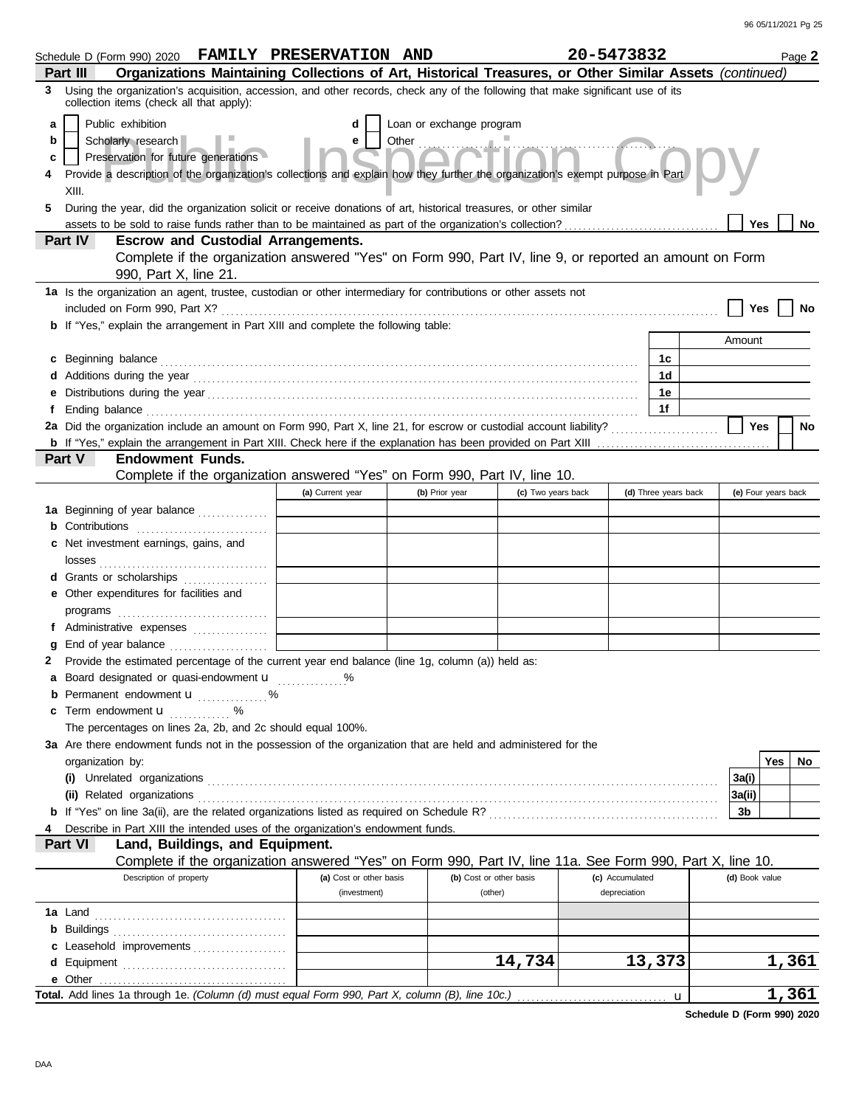| Schedule D (Form 990) 2020 FAMILY PRESERVATION AND                                                                                                                                                                                   |                                                                                                               |                          |                         | 20-5473832      |                      |                | Page 2              |
|--------------------------------------------------------------------------------------------------------------------------------------------------------------------------------------------------------------------------------------|---------------------------------------------------------------------------------------------------------------|--------------------------|-------------------------|-----------------|----------------------|----------------|---------------------|
| Organizations Maintaining Collections of Art, Historical Treasures, or Other Similar Assets (continued)<br>Part III                                                                                                                  |                                                                                                               |                          |                         |                 |                      |                |                     |
| Using the organization's acquisition, accession, and other records, check any of the following that make significant use of its<br>3<br>collection items (check all that apply):                                                     |                                                                                                               |                          |                         |                 |                      |                |                     |
| Public exhibition<br>a                                                                                                                                                                                                               | d                                                                                                             | Loan or exchange program |                         |                 |                      |                |                     |
| Scholarly research<br>b                                                                                                                                                                                                              | e                                                                                                             | Other Change of Times    |                         |                 |                      |                |                     |
| Preservation for future generations<br>c                                                                                                                                                                                             |                                                                                                               |                          |                         |                 |                      |                |                     |
| Provide a description of the organization's collections and explain how they further the organization's exempt purpose in Part                                                                                                       |                                                                                                               |                          |                         |                 |                      |                |                     |
| XIII.                                                                                                                                                                                                                                |                                                                                                               |                          |                         |                 |                      |                |                     |
| During the year, did the organization solicit or receive donations of art, historical treasures, or other similar<br>5.                                                                                                              |                                                                                                               |                          |                         |                 |                      |                |                     |
|                                                                                                                                                                                                                                      |                                                                                                               |                          |                         |                 |                      | Yes            | No                  |
| Part IV<br><b>Escrow and Custodial Arrangements.</b>                                                                                                                                                                                 |                                                                                                               |                          |                         |                 |                      |                |                     |
| Complete if the organization answered "Yes" on Form 990, Part IV, line 9, or reported an amount on Form                                                                                                                              |                                                                                                               |                          |                         |                 |                      |                |                     |
| 990, Part X, line 21.                                                                                                                                                                                                                |                                                                                                               |                          |                         |                 |                      |                |                     |
| 1a Is the organization an agent, trustee, custodian or other intermediary for contributions or other assets not                                                                                                                      |                                                                                                               |                          |                         |                 |                      |                |                     |
|                                                                                                                                                                                                                                      |                                                                                                               |                          |                         |                 |                      | Yes            |                     |
| <b>b</b> If "Yes," explain the arrangement in Part XIII and complete the following table:                                                                                                                                            |                                                                                                               |                          |                         |                 |                      |                |                     |
|                                                                                                                                                                                                                                      |                                                                                                               |                          |                         |                 |                      | Amount         |                     |
| c Beginning balance <b>contract to the contract of the set of the contract of the contract of the contract of the contract of the contract of the contract of the contract of the contract of the contract of the contract of th</b> |                                                                                                               |                          |                         |                 | 1c                   |                |                     |
|                                                                                                                                                                                                                                      |                                                                                                               |                          |                         |                 | 1d                   |                |                     |
| е                                                                                                                                                                                                                                    |                                                                                                               |                          |                         |                 | 1е                   |                |                     |
| f                                                                                                                                                                                                                                    |                                                                                                               |                          |                         |                 | 1f                   |                |                     |
| 2a Did the organization include an amount on Form 990, Part X, line 21, for escrow or custodial account liability?                                                                                                                   |                                                                                                               |                          |                         |                 |                      | Yes            | No                  |
|                                                                                                                                                                                                                                      |                                                                                                               |                          |                         |                 |                      |                |                     |
| Part V<br><b>Endowment Funds.</b>                                                                                                                                                                                                    |                                                                                                               |                          |                         |                 |                      |                |                     |
| Complete if the organization answered "Yes" on Form 990, Part IV, line 10.                                                                                                                                                           |                                                                                                               |                          |                         |                 |                      |                |                     |
|                                                                                                                                                                                                                                      | (a) Current year                                                                                              | (b) Prior year           | (c) Two years back      |                 | (d) Three years back |                | (e) Four years back |
| 1a Beginning of year balance                                                                                                                                                                                                         |                                                                                                               |                          |                         |                 |                      |                |                     |
| <b>b</b> Contributions                                                                                                                                                                                                               |                                                                                                               |                          |                         |                 |                      |                |                     |
| c Net investment earnings, gains, and                                                                                                                                                                                                |                                                                                                               |                          |                         |                 |                      |                |                     |
|                                                                                                                                                                                                                                      |                                                                                                               |                          |                         |                 |                      |                |                     |
| d Grants or scholarships                                                                                                                                                                                                             |                                                                                                               |                          |                         |                 |                      |                |                     |
| e Other expenditures for facilities and                                                                                                                                                                                              |                                                                                                               |                          |                         |                 |                      |                |                     |
|                                                                                                                                                                                                                                      |                                                                                                               |                          |                         |                 |                      |                |                     |
| f Administrative expenses                                                                                                                                                                                                            |                                                                                                               |                          |                         |                 |                      |                |                     |
| End of year balance<br>g                                                                                                                                                                                                             |                                                                                                               |                          |                         |                 |                      |                |                     |
| Provide the estimated percentage of the current year end balance (line 1g, column (a)) held as:<br>2                                                                                                                                 |                                                                                                               |                          |                         |                 |                      |                |                     |
| a Board designated or quasi-endowment u                                                                                                                                                                                              |                                                                                                               |                          |                         |                 |                      |                |                     |
| <b>b</b> Permanent endowment <b>u</b> %                                                                                                                                                                                              |                                                                                                               |                          |                         |                 |                      |                |                     |
| <b>c</b> Term endowment $\mathbf{u}$ %<br>The percentages on lines 2a, 2b, and 2c should equal 100%.                                                                                                                                 |                                                                                                               |                          |                         |                 |                      |                |                     |
| 3a Are there endowment funds not in the possession of the organization that are held and administered for the                                                                                                                        |                                                                                                               |                          |                         |                 |                      |                |                     |
| organization by:                                                                                                                                                                                                                     |                                                                                                               |                          |                         |                 |                      |                | Yes<br>No           |
|                                                                                                                                                                                                                                      |                                                                                                               |                          |                         |                 |                      | 3a(i)          |                     |
|                                                                                                                                                                                                                                      |                                                                                                               |                          |                         |                 |                      | 3a(ii)         |                     |
|                                                                                                                                                                                                                                      |                                                                                                               |                          |                         |                 |                      | 3b             |                     |
| Describe in Part XIII the intended uses of the organization's endowment funds.                                                                                                                                                       |                                                                                                               |                          |                         |                 |                      |                |                     |
| Land, Buildings, and Equipment.<br><b>Part VI</b>                                                                                                                                                                                    |                                                                                                               |                          |                         |                 |                      |                |                     |
| Complete if the organization answered "Yes" on Form 990, Part IV, line 11a. See Form 990, Part X, line 10.                                                                                                                           |                                                                                                               |                          |                         |                 |                      |                |                     |
| Description of property                                                                                                                                                                                                              | (a) Cost or other basis                                                                                       |                          | (b) Cost or other basis | (c) Accumulated |                      | (d) Book value |                     |
|                                                                                                                                                                                                                                      | (investment)                                                                                                  |                          | (other)                 | depreciation    |                      |                |                     |
|                                                                                                                                                                                                                                      |                                                                                                               |                          |                         |                 |                      |                |                     |
|                                                                                                                                                                                                                                      |                                                                                                               |                          |                         |                 |                      |                |                     |
| c Leasehold improvements                                                                                                                                                                                                             |                                                                                                               |                          |                         |                 |                      |                |                     |
|                                                                                                                                                                                                                                      |                                                                                                               |                          | 14,734                  |                 | 13,373               |                | 1,361               |
|                                                                                                                                                                                                                                      |                                                                                                               |                          |                         |                 |                      |                |                     |
|                                                                                                                                                                                                                                      | 1,361<br>Total. Add lines 1a through 1e. (Column (d) must equal Form 990, Part X, column (B), line 10c.)<br>u |                          |                         |                 |                      |                |                     |

**Schedule D (Form 990) 2020**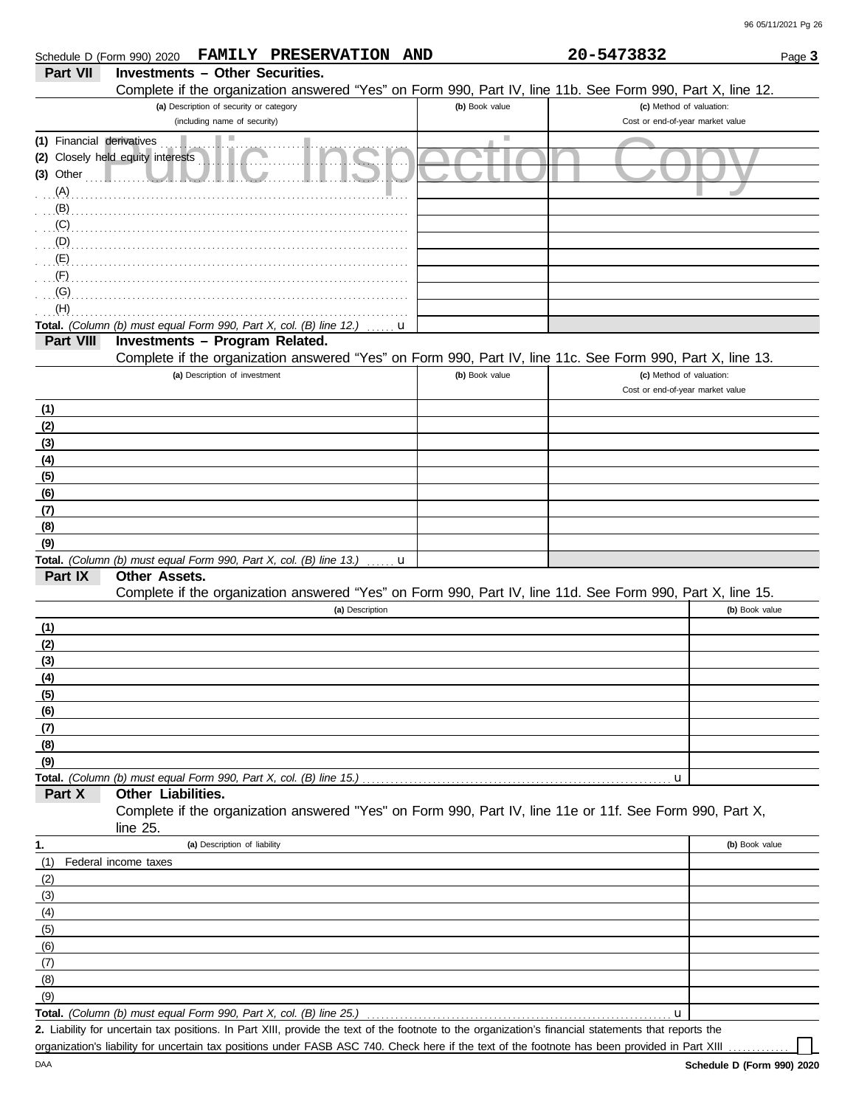|                           | PRESERVATION AND<br><b>FAMILY</b><br>Schedule D (Form 990) 2020                                            |                | 20-5473832                                                   | Page 3         |
|---------------------------|------------------------------------------------------------------------------------------------------------|----------------|--------------------------------------------------------------|----------------|
| Part VII                  | <b>Investments - Other Securities.</b>                                                                     |                |                                                              |                |
|                           | Complete if the organization answered "Yes" on Form 990, Part IV, line 11b. See Form 990, Part X, line 12. |                |                                                              |                |
|                           | (a) Description of security or category<br>(including name of security)                                    | (b) Book value | (c) Method of valuation:<br>Cost or end-of-year market value |                |
| (1) Financial derivatives | ш                                                                                                          | a.             |                                                              |                |
|                           | (2) Closely held equity interests                                                                          |                |                                                              |                |
| $(3)$ Other               |                                                                                                            |                |                                                              |                |
|                           |                                                                                                            |                |                                                              |                |
| $(B)$ .                   |                                                                                                            |                |                                                              |                |
| $\overline{C}$            |                                                                                                            |                |                                                              |                |
| $\Box$ (D) $\Box$         |                                                                                                            |                |                                                              |                |
| (E)                       |                                                                                                            |                |                                                              |                |
| $\cdot$ (F)               |                                                                                                            |                |                                                              |                |
|                           |                                                                                                            |                |                                                              |                |
| (H)                       |                                                                                                            |                |                                                              |                |
|                           | Total. (Column (b) must equal Form 990, Part X, col. (B) line 12.)<br>u                                    |                |                                                              |                |
| Part VIII                 | Investments - Program Related.                                                                             |                |                                                              |                |
|                           | Complete if the organization answered "Yes" on Form 990, Part IV, line 11c. See Form 990, Part X, line 13. |                |                                                              |                |
|                           | (a) Description of investment                                                                              | (b) Book value | (c) Method of valuation:                                     |                |
|                           |                                                                                                            |                | Cost or end-of-year market value                             |                |
| (1)                       |                                                                                                            |                |                                                              |                |
| (2)                       |                                                                                                            |                |                                                              |                |
| (3)                       |                                                                                                            |                |                                                              |                |
| (4)                       |                                                                                                            |                |                                                              |                |
| (5)                       |                                                                                                            |                |                                                              |                |
| (6)                       |                                                                                                            |                |                                                              |                |
| (7)                       |                                                                                                            |                |                                                              |                |
| (8)                       |                                                                                                            |                |                                                              |                |
| (9)                       |                                                                                                            |                |                                                              |                |
|                           | Total. (Column (b) must equal Form 990, Part X, col. (B) line 13.)<br>u                                    |                |                                                              |                |
| Part IX                   | Other Assets.                                                                                              |                |                                                              |                |
|                           | Complete if the organization answered "Yes" on Form 990, Part IV, line 11d. See Form 990, Part X, line 15. |                |                                                              |                |
|                           | (a) Description                                                                                            |                |                                                              | (b) Book value |
| (1)                       |                                                                                                            |                |                                                              |                |
| (2)                       |                                                                                                            |                |                                                              |                |
| (3)                       |                                                                                                            |                |                                                              |                |
| (4)                       |                                                                                                            |                |                                                              |                |
| (5)                       |                                                                                                            |                |                                                              |                |
| (6)                       |                                                                                                            |                |                                                              |                |
| (7)                       |                                                                                                            |                |                                                              |                |
| (8)                       |                                                                                                            |                |                                                              |                |
| (9)                       |                                                                                                            |                |                                                              |                |
| Part X                    | Other Liabilities.                                                                                         |                | u                                                            |                |
|                           | Complete if the organization answered "Yes" on Form 990, Part IV, line 11e or 11f. See Form 990, Part X,   |                |                                                              |                |
|                           | line $25$ .                                                                                                |                |                                                              |                |
| 1.                        | (a) Description of liability                                                                               |                |                                                              | (b) Book value |
| (1)                       | Federal income taxes                                                                                       |                |                                                              |                |
| (2)                       |                                                                                                            |                |                                                              |                |
| (3)                       |                                                                                                            |                |                                                              |                |
| (4)                       |                                                                                                            |                |                                                              |                |
| (5)                       |                                                                                                            |                |                                                              |                |
| (6)                       |                                                                                                            |                |                                                              |                |
| (7)                       |                                                                                                            |                |                                                              |                |
| (8)                       |                                                                                                            |                |                                                              |                |
| (9)                       |                                                                                                            |                |                                                              |                |
|                           | Total. (Column (b) must equal Form 990, Part X, col. (B) line 25.)                                         |                | u                                                            |                |

Liability for uncertain tax positions. In Part XIII, provide the text of the footnote to the organization's financial statements that reports the **2.** organization's liability for uncertain tax positions under FASB ASC 740. Check here if the text of the footnote has been provided in Part XIII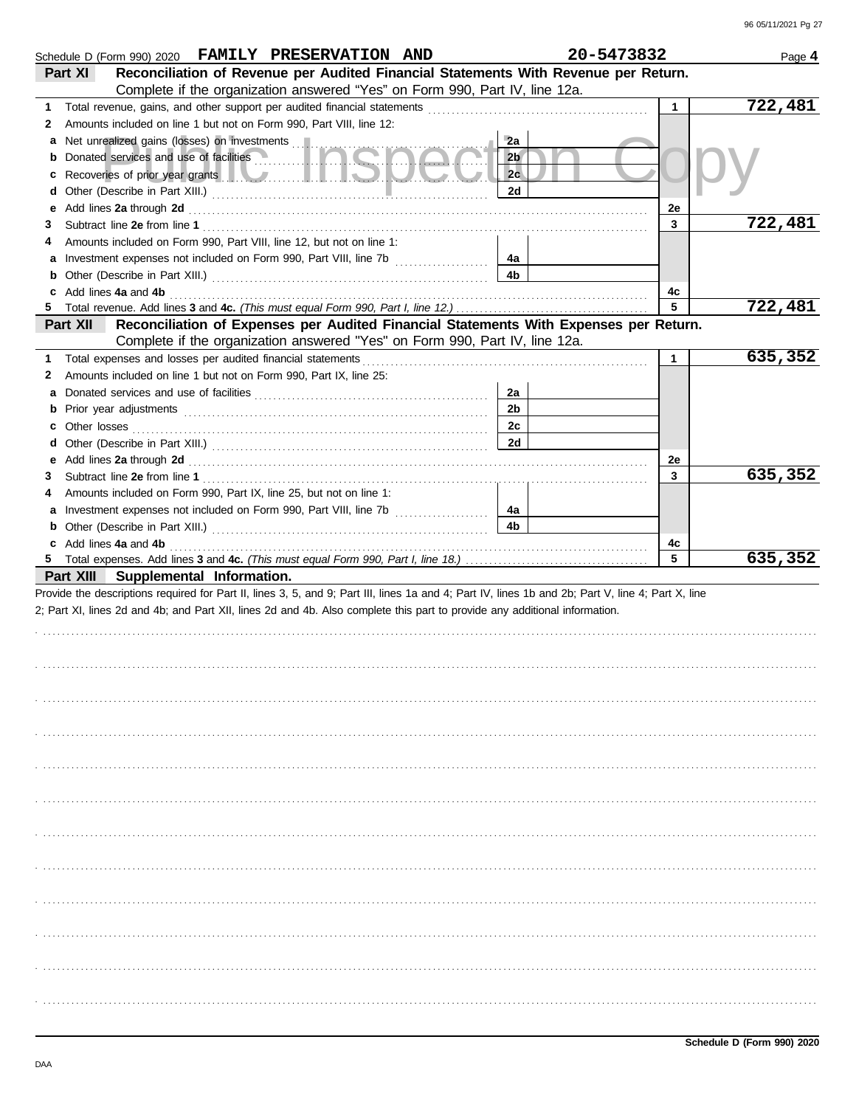|        | Schedule D (Form 990) 2020 FAMILY PRESERVATION AND                                                                                                                                                                                   |                      | 20-5473832   | Page 4  |
|--------|--------------------------------------------------------------------------------------------------------------------------------------------------------------------------------------------------------------------------------------|----------------------|--------------|---------|
|        | Reconciliation of Revenue per Audited Financial Statements With Revenue per Return.<br>Part XI                                                                                                                                       |                      |              |         |
|        | Complete if the organization answered "Yes" on Form 990, Part IV, line 12a.                                                                                                                                                          |                      |              |         |
| 1.     |                                                                                                                                                                                                                                      |                      | 1            | 722,481 |
| 2      | Amounts included on line 1 but not on Form 990, Part VIII, line 12:                                                                                                                                                                  |                      |              |         |
| a      | Net unrealized gains (losses) on investments                                                                                                                                                                                         | 2a                   |              |         |
| b      |                                                                                                                                                                                                                                      | 2 <sub>b</sub>       |              |         |
| с      | Recoveries of prior year grants <b>The Community of the Community of the Community of the Community of the Community of the Community of the Community of the Community of the Community of the Community of the Community of th</b> | 2c                   |              |         |
| d      |                                                                                                                                                                                                                                      | 2d                   |              |         |
| е      | Add lines 2a through 2d [11] March 20 [11] March 20 [11] March 20 [11] March 20 [11] March 20 [11] March 20 [11] March 20 [11] March 20 [11] March 20 [11] March 20 [11] March 20 [11] March 20 [11] March 20 [11] March 20 [1       |                      | 2e           |         |
| 3      |                                                                                                                                                                                                                                      |                      | 3            | 722,481 |
|        | Amounts included on Form 990, Part VIII, line 12, but not on line 1:                                                                                                                                                                 |                      |              |         |
|        |                                                                                                                                                                                                                                      | 4a<br>4 <sub>b</sub> |              |         |
| b      |                                                                                                                                                                                                                                      |                      |              |         |
| c<br>5 | Add lines 4a and 4b <b>contract and 4b</b> and 10 minutes and 10 minutes and 10 minutes and 10 minutes and 10 minutes and 10 minutes and 10 minutes and 10 minutes and 10 minutes and 10 minutes and 10 minutes and 10 minutes and   |                      | 4с<br>5      | 722,481 |
|        | Reconciliation of Expenses per Audited Financial Statements With Expenses per Return.<br>Part XII                                                                                                                                    |                      |              |         |
|        | Complete if the organization answered "Yes" on Form 990, Part IV, line 12a.                                                                                                                                                          |                      |              |         |
| 1.     |                                                                                                                                                                                                                                      |                      | $\mathbf{1}$ | 635,352 |
| 2      | Amounts included on line 1 but not on Form 990, Part IX, line 25:                                                                                                                                                                    |                      |              |         |
| а      |                                                                                                                                                                                                                                      | 2a                   |              |         |
| b      |                                                                                                                                                                                                                                      | 2 <sub>b</sub>       |              |         |
| с      | Other losses                                                                                                                                                                                                                         | 2c                   |              |         |
| d      |                                                                                                                                                                                                                                      | 2d                   |              |         |
| е      | Add lines 2a through 2d [11] March 2014 [12] March 2014 [12] March 2014 [12] March 2014 [12] March 2014 [12] March 2015 [12] March 2014 [12] March 2014 [12] March 2014 [12] March 2014 [12] March 2014 [12] March 2014 [12] M       |                      | 2e           |         |
| 3      |                                                                                                                                                                                                                                      |                      | 3            | 635,352 |
|        | Amounts included on Form 990, Part IX, line 25, but not on line 1:                                                                                                                                                                   |                      |              |         |
|        |                                                                                                                                                                                                                                      | 4a                   |              |         |
| b      |                                                                                                                                                                                                                                      | 4 <sub>b</sub>       |              |         |
|        | c Add lines 4a and 4b (a) and the contract of the contract of the contract of the contract of the contract of the contract of the contract of the contract of the contract of the contract of the contract of the contract of        |                      | 4c           |         |
|        |                                                                                                                                                                                                                                      |                      | 5            | 635,352 |
|        | Part XIII Supplemental Information.                                                                                                                                                                                                  |                      |              |         |
|        | Provide the descriptions required for Part II, lines 3, 5, and 9; Part III, lines 1a and 4; Part IV, lines 1b and 2b; Part V, line 4; Part X, line                                                                                   |                      |              |         |
|        | 2; Part XI, lines 2d and 4b; and Part XII, lines 2d and 4b. Also complete this part to provide any additional information.                                                                                                           |                      |              |         |
|        |                                                                                                                                                                                                                                      |                      |              |         |
|        |                                                                                                                                                                                                                                      |                      |              |         |
|        |                                                                                                                                                                                                                                      |                      |              |         |
|        |                                                                                                                                                                                                                                      |                      |              |         |
|        |                                                                                                                                                                                                                                      |                      |              |         |
|        |                                                                                                                                                                                                                                      |                      |              |         |
|        |                                                                                                                                                                                                                                      |                      |              |         |
|        |                                                                                                                                                                                                                                      |                      |              |         |
|        |                                                                                                                                                                                                                                      |                      |              |         |
|        |                                                                                                                                                                                                                                      |                      |              |         |
|        |                                                                                                                                                                                                                                      |                      |              |         |
|        |                                                                                                                                                                                                                                      |                      |              |         |
|        |                                                                                                                                                                                                                                      |                      |              |         |
|        |                                                                                                                                                                                                                                      |                      |              |         |
|        |                                                                                                                                                                                                                                      |                      |              |         |
|        |                                                                                                                                                                                                                                      |                      |              |         |
|        |                                                                                                                                                                                                                                      |                      |              |         |
|        |                                                                                                                                                                                                                                      |                      |              |         |
|        |                                                                                                                                                                                                                                      |                      |              |         |
|        |                                                                                                                                                                                                                                      |                      |              |         |
|        |                                                                                                                                                                                                                                      |                      |              |         |
|        |                                                                                                                                                                                                                                      |                      |              |         |
|        |                                                                                                                                                                                                                                      |                      |              |         |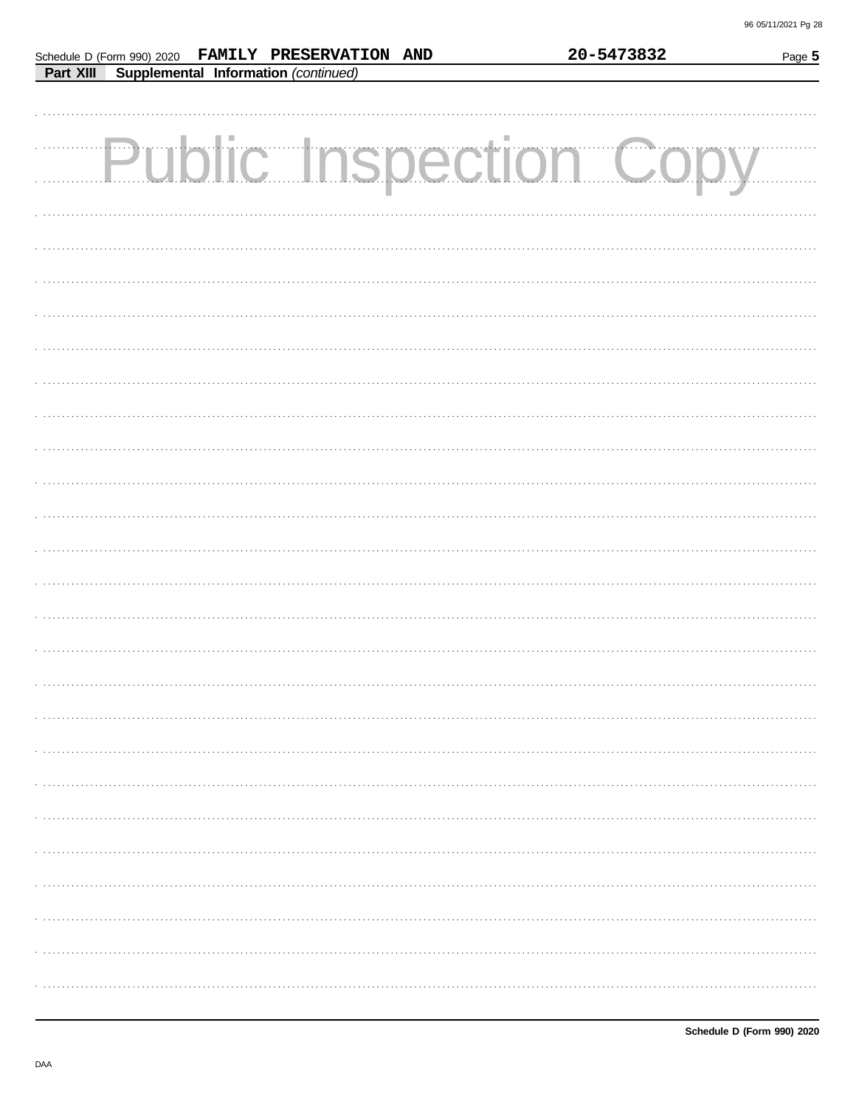| Schedule D (Form 990) 2020 FAMILY PRESERVATION AND | 20-5473832 | Page 5 |
|----------------------------------------------------|------------|--------|
| Supplemental Information (continued)<br>Part XIII  |            |        |
|                                                    |            |        |
|                                                    |            |        |
|                                                    |            |        |
| <b>Public Inspection Copy</b>                      |            |        |
|                                                    |            |        |
|                                                    |            |        |
|                                                    |            |        |
|                                                    |            |        |
|                                                    |            |        |
|                                                    |            |        |
|                                                    |            |        |
|                                                    |            |        |
|                                                    |            |        |
|                                                    |            |        |
|                                                    |            |        |
|                                                    |            |        |
|                                                    |            |        |
|                                                    |            |        |
|                                                    |            |        |
|                                                    |            |        |
|                                                    |            |        |
|                                                    |            |        |
|                                                    |            |        |
|                                                    |            |        |
|                                                    |            |        |
|                                                    |            |        |
|                                                    |            |        |
|                                                    |            |        |
|                                                    |            |        |
|                                                    |            |        |
|                                                    |            |        |
|                                                    |            |        |
|                                                    |            |        |
|                                                    |            |        |
|                                                    |            |        |
|                                                    |            |        |
|                                                    |            |        |
|                                                    |            |        |
|                                                    |            |        |
|                                                    |            |        |
|                                                    |            |        |
|                                                    |            |        |
|                                                    |            |        |
|                                                    |            |        |
|                                                    |            |        |
|                                                    |            |        |
|                                                    |            |        |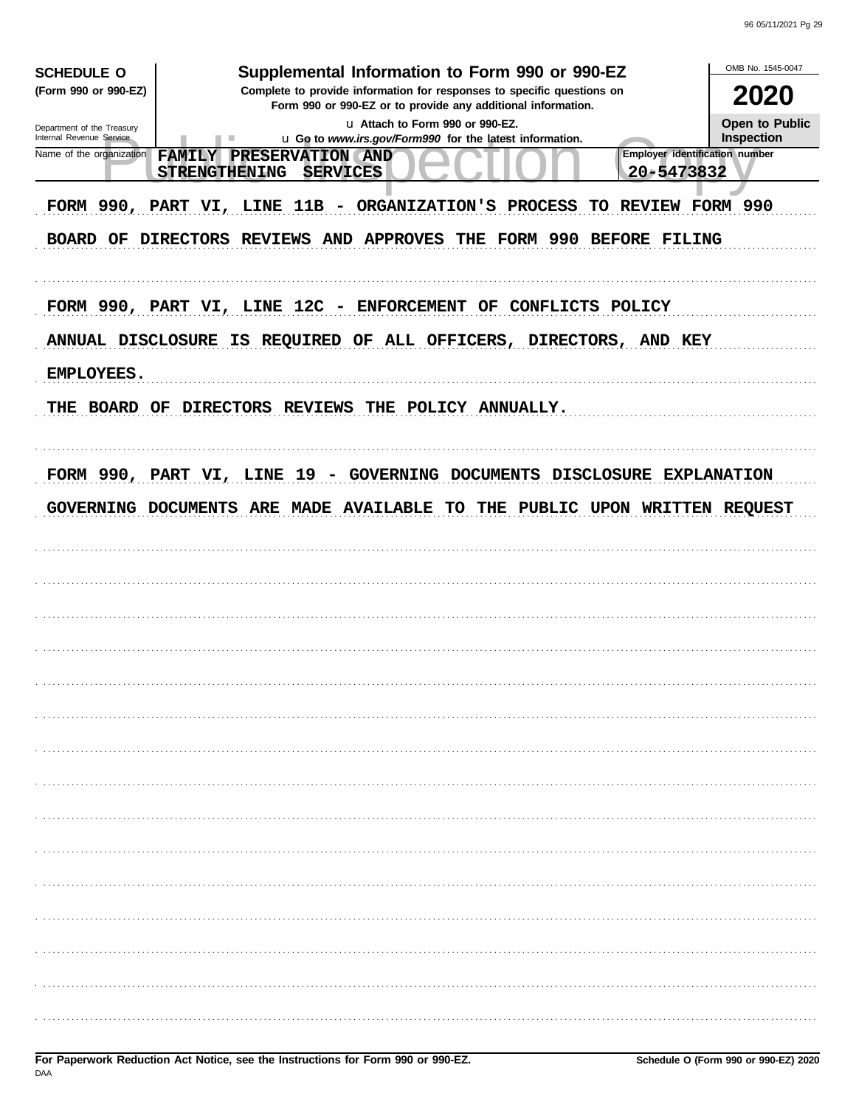| <b>SCHEDULE O</b>                                    | Supplemental Information to Form 990 or 990-EZ                                                                                         | OMB No. 1545-0047     |
|------------------------------------------------------|----------------------------------------------------------------------------------------------------------------------------------------|-----------------------|
| (Form 990 or 990-EZ)                                 | Complete to provide information for responses to specific questions on<br>Form 990 or 990-EZ or to provide any additional information. | 2020                  |
| Department of the Treasury                           | u Attach to Form 990 or 990-EZ.                                                                                                        | <b>Open to Public</b> |
| Internal Revenue Service<br>Name of the organization | u Go to www.irs.gov/Form990 for the latest information.<br>ш<br>Employer identification number<br>FAMILY PRESERVATION AND              | <b>Inspection</b>     |
|                                                      | 20-5473832<br><b>STRENGTHENING</b><br><b>SERVICES</b>                                                                                  |                       |
|                                                      | FORM 990, PART VI, LINE 11B - ORGANIZATION'S PROCESS TO REVIEW FORM 990                                                                |                       |
|                                                      | BOARD OF DIRECTORS REVIEWS AND APPROVES THE FORM 990 BEFORE FILING                                                                     |                       |
|                                                      | FORM 990, PART VI, LINE 12C - ENFORCEMENT OF CONFLICTS POLICY                                                                          |                       |
|                                                      | ANNUAL DISCLOSURE IS REQUIRED OF ALL OFFICERS, DIRECTORS, AND KEY                                                                      |                       |
| EMPLOYEES.                                           |                                                                                                                                        |                       |
|                                                      | THE BOARD OF DIRECTORS REVIEWS THE POLICY ANNUALLY.                                                                                    |                       |
|                                                      | FORM 990, PART VI, LINE 19 - GOVERNING DOCUMENTS DISCLOSURE EXPLANATION                                                                |                       |
|                                                      | GOVERNING DOCUMENTS ARE MADE AVAILABLE TO THE PUBLIC UPON WRITTEN REQUEST                                                              |                       |
|                                                      |                                                                                                                                        |                       |
|                                                      |                                                                                                                                        |                       |
|                                                      |                                                                                                                                        |                       |
|                                                      |                                                                                                                                        |                       |
|                                                      |                                                                                                                                        |                       |
|                                                      |                                                                                                                                        |                       |
|                                                      |                                                                                                                                        |                       |
|                                                      |                                                                                                                                        |                       |
|                                                      |                                                                                                                                        |                       |
|                                                      |                                                                                                                                        |                       |
|                                                      |                                                                                                                                        |                       |
|                                                      |                                                                                                                                        |                       |
|                                                      |                                                                                                                                        |                       |
|                                                      |                                                                                                                                        |                       |
|                                                      |                                                                                                                                        |                       |